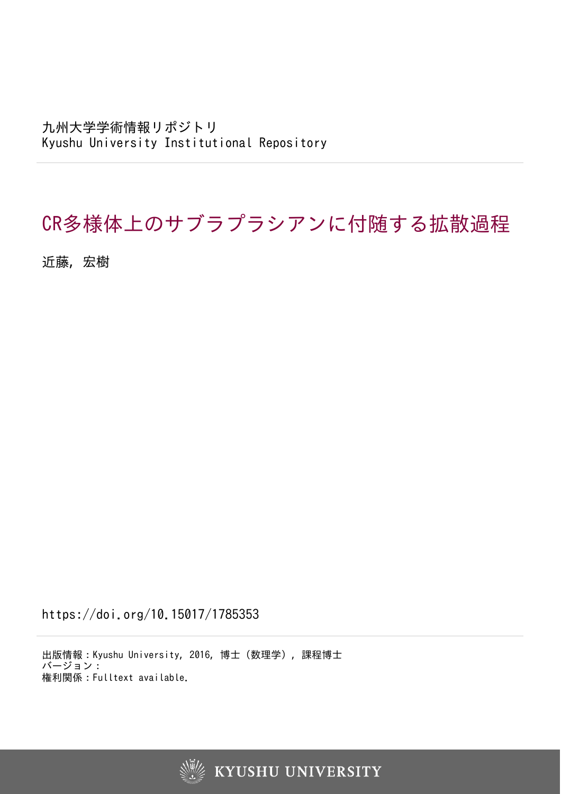九州大学学術情報リポジトリ Kyushu University Institutional Repository

# CR多様体上のサブラプラシアンに付随する拡散過程

近藤, 宏樹

https://doi.org/10.15017/1785353

出版情報:Kyushu University, 2016, 博士(数理学), 課程博士 バージョン: 権利関係:Fulltext available.

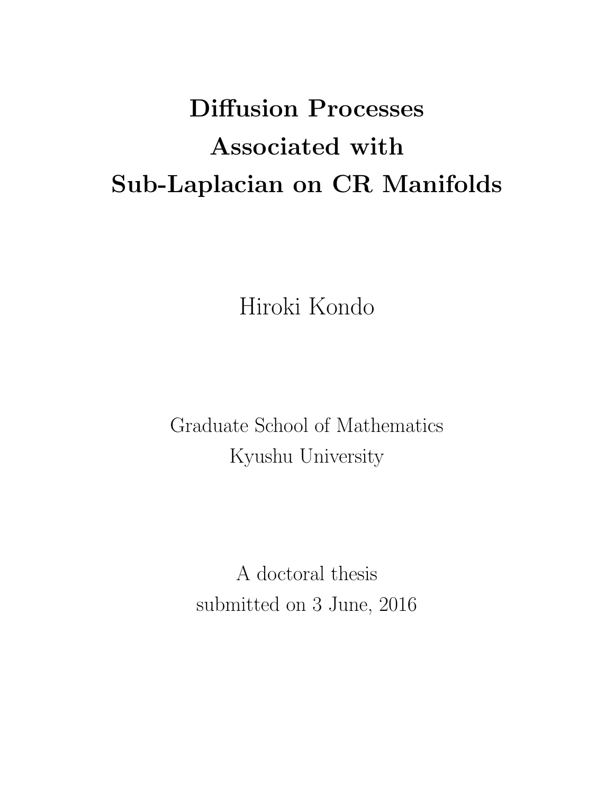# **Diffusion Processes Associated with Sub-Laplacian on CR Manifolds**

Hiroki Kondo

Graduate School of Mathematics Kyushu University

A doctoral thesis submitted on 3 June, 2016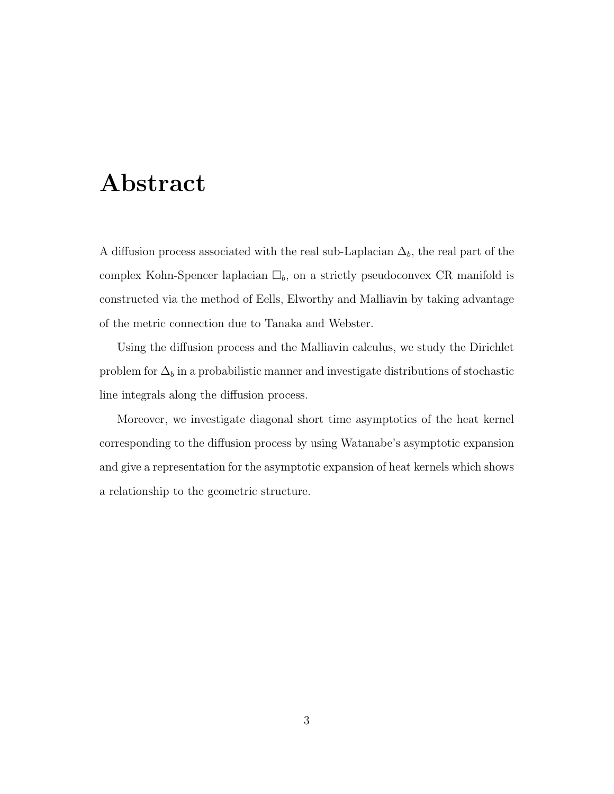# **Abstract**

A diffusion process associated with the real sub-Laplacian  $\Delta_b$ , the real part of the complex Kohn-Spencer laplacian  $\square_b$ , on a strictly pseudoconvex CR manifold is constructed via the method of Eells, Elworthy and Malliavin by taking advantage of the metric connection due to Tanaka and Webster.

Using the diffusion process and the Malliavin calculus, we study the Dirichlet problem for  $\Delta_b$  in a probabilistic manner and investigate distributions of stochastic line integrals along the diffusion process.

Moreover, we investigate diagonal short time asymptotics of the heat kernel corresponding to the diffusion process by using Watanabe's asymptotic expansion and give a representation for the asymptotic expansion of heat kernels which shows a relationship to the geometric structure.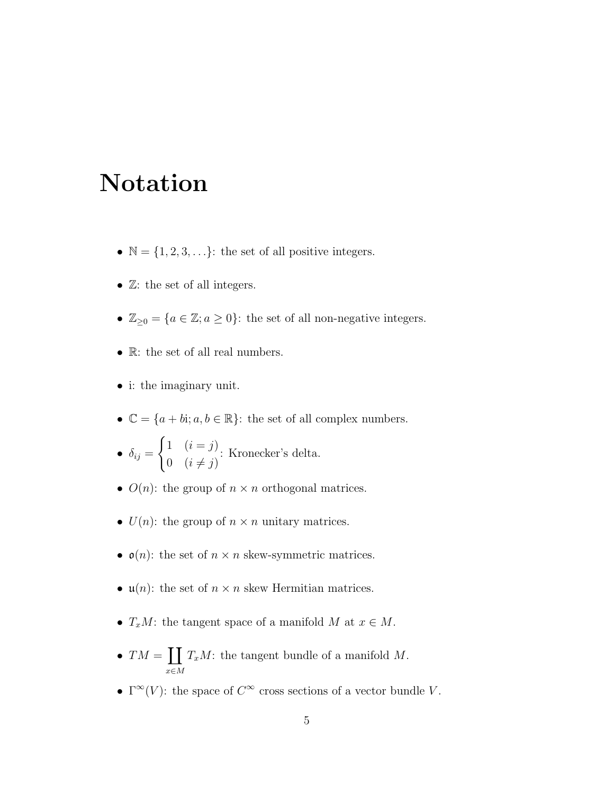# **Notation**

- $\mathbb{N} = \{1, 2, 3, \ldots\}$ : the set of all positive integers.
- $\mathbb{Z}$ : the set of all integers.
- *•*  $\mathbb{Z}_{\geq 0} = \{a \in \mathbb{Z}; a \geq 0\}$ : the set of all non-negative integers.
- *•* R: the set of all real numbers.
- *•* i: the imaginary unit.
- **•**  $\mathbb{C} = \{a + b\mathbf{i}; a, b \in \mathbb{R}\}$ : the set of all complex numbers.

• 
$$
\delta_{ij} = \begin{cases} 1 & (i = j) \\ 0 & (i \neq j) \end{cases}
$$
: Kronecker's delta.

- $O(n)$ : the group of  $n \times n$  orthogonal matrices.
- $U(n)$ : the group of  $n \times n$  unitary matrices.
- $o(n)$ : the set of  $n \times n$  skew-symmetric matrices.
- $u(n)$ : the set of  $n \times n$  skew Hermitian matrices.
- $T_xM$ : the tangent space of a manifold *M* at  $x \in M$ .
- $TM = \prod$ *x∈M TxM*: the tangent bundle of a manifold *M*.
- $\Gamma^{\infty}(V)$ : the space of  $C^{\infty}$  cross sections of a vector bundle *V*.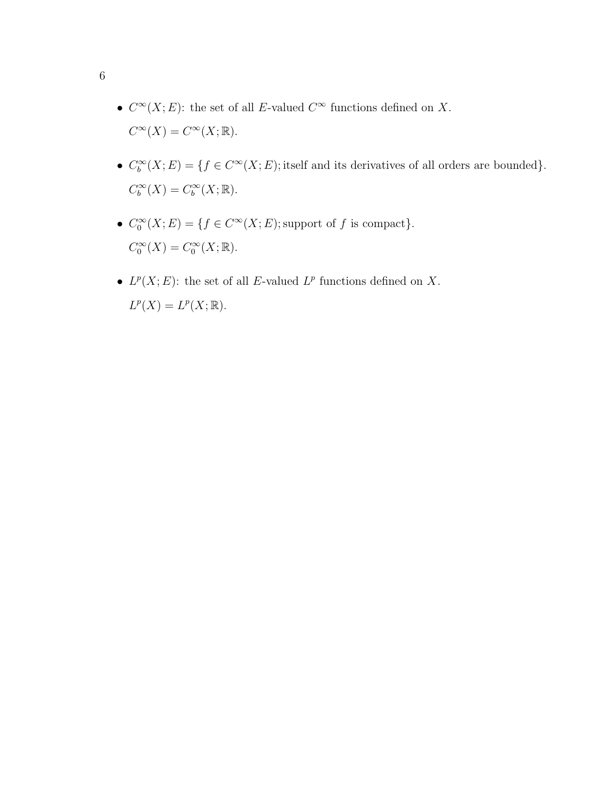- $C^{\infty}(X; E)$ : the set of all *E*-valued  $C^{\infty}$  functions defined on *X*.  $C^{\infty}(X) = C^{\infty}(X; \mathbb{R}).$
- $C_b^{\infty}(X; E) = \{f \in C^{\infty}(X; E)$ ; itself and its derivatives of all orders are bounded.  $C_b^{\infty}(X) = C_b^{\infty}(X; \mathbb{R}).$
- $\bullet$  *C*<sub>0</sub><sup>∞</sup>(*X*; *E*) = {*f* ∈ *C*<sup>∞</sup>(*X*; *E*); support of *f* is compact}.  $C_0^{\infty}(X) = C_0^{\infty}(X; \mathbb{R}).$
- $L^p(X; E)$ : the set of all *E*-valued  $L^p$  functions defined on *X*.  $L^p(X) = L^p(X; \mathbb{R}).$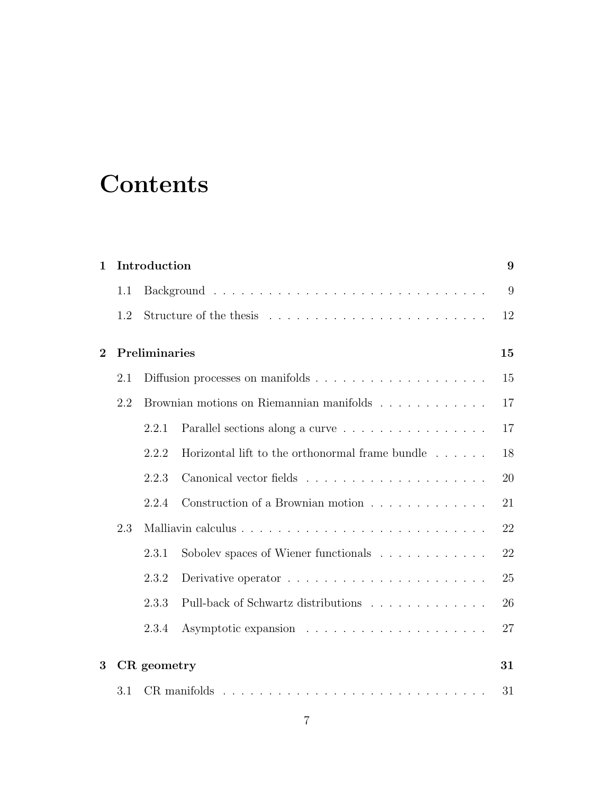# **Contents**

| 1        | Introduction                                                                  |       |                                                               |    |  |
|----------|-------------------------------------------------------------------------------|-------|---------------------------------------------------------------|----|--|
|          | 1.1                                                                           |       |                                                               | 9  |  |
|          | 1.2                                                                           |       |                                                               | 12 |  |
| $\bf{2}$ | Preliminaries                                                                 |       |                                                               |    |  |
|          | 2.1                                                                           |       |                                                               | 15 |  |
|          | Brownian motions on Riemannian manifolds $\ldots \ldots \ldots \ldots$<br>2.2 |       |                                                               |    |  |
|          |                                                                               | 2.2.1 | Parallel sections along a curve                               | 17 |  |
|          |                                                                               | 2.2.2 | Horizontal lift to the orthonormal frame bundle $\dots \dots$ | 18 |  |
|          |                                                                               | 2.2.3 |                                                               | 20 |  |
|          |                                                                               | 2.2.4 | Construction of a Brownian motion                             | 21 |  |
|          | 2.3                                                                           |       |                                                               | 22 |  |
|          |                                                                               | 2.3.1 | Sobolev spaces of Wiener functionals                          | 22 |  |
|          |                                                                               | 2.3.2 |                                                               | 25 |  |
|          |                                                                               | 2.3.3 | Pull-back of Schwartz distributions                           | 26 |  |
|          |                                                                               | 2.3.4 |                                                               | 27 |  |
| 3        | CR geometry                                                                   | 31    |                                                               |    |  |
|          | 3.1                                                                           |       |                                                               | 31 |  |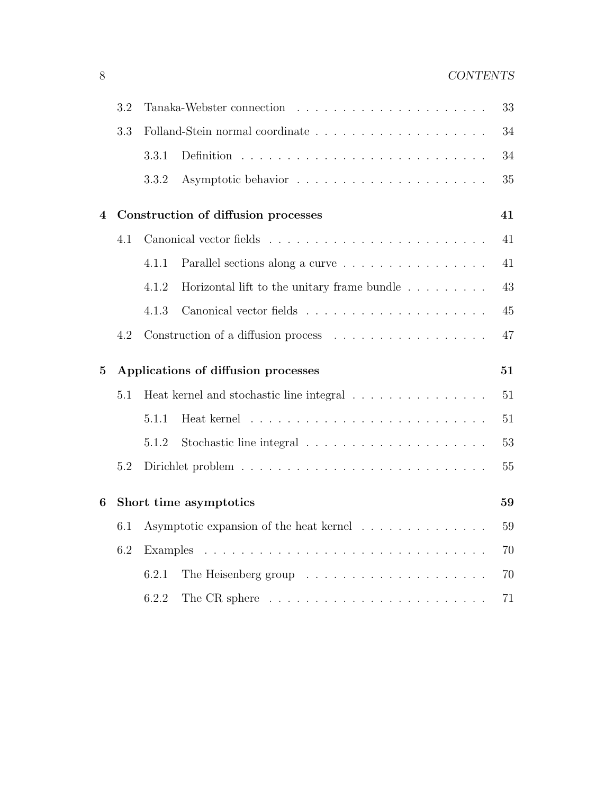## 8 *CONTENTS*

|                | 3.2 |          |                                                           | 33 |
|----------------|-----|----------|-----------------------------------------------------------|----|
|                | 3.3 |          |                                                           |    |
|                |     | 3.3.1    |                                                           | 34 |
|                |     | 3.3.2    |                                                           | 35 |
| 4              |     |          | Construction of diffusion processes                       | 41 |
|                | 4.1 |          |                                                           | 41 |
|                |     | 4.1.1    | Parallel sections along a curve                           | 41 |
|                |     | 4.1.2    | Horizontal lift to the unitary frame bundle $\dots \dots$ | 43 |
|                |     | 4.1.3    |                                                           | 45 |
|                | 4.2 |          |                                                           | 47 |
|                |     |          |                                                           |    |
| $\overline{5}$ |     |          | Applications of diffusion processes                       | 51 |
|                | 5.1 |          | Heat kernel and stochastic line integral                  | 51 |
|                |     | 5.1.1    |                                                           | 51 |
|                |     | 5.1.2    |                                                           | 53 |
|                | 5.2 |          |                                                           | 55 |
| 6              |     |          | Short time asymptotics                                    | 59 |
|                | 6.1 |          | Asymptotic expansion of the heat kernel                   | 59 |
|                | 6.2 | Examples |                                                           | 70 |
|                |     | 6.2.1    |                                                           | 70 |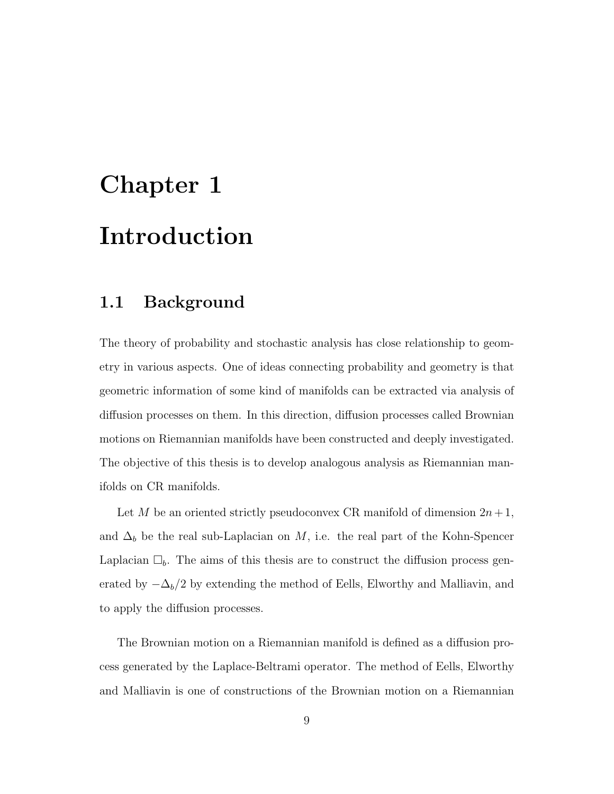# **Chapter 1 Introduction**

## **1.1 Background**

The theory of probability and stochastic analysis has close relationship to geometry in various aspects. One of ideas connecting probability and geometry is that geometric information of some kind of manifolds can be extracted via analysis of diffusion processes on them. In this direction, diffusion processes called Brownian motions on Riemannian manifolds have been constructed and deeply investigated. The objective of this thesis is to develop analogous analysis as Riemannian manifolds on CR manifolds.

Let *M* be an oriented strictly pseudoconvex CR manifold of dimension  $2n + 1$ , and  $\Delta_b$  be the real sub-Laplacian on *M*, i.e. the real part of the Kohn-Spencer Laplacian  $\square_b$ . The aims of this thesis are to construct the diffusion process generated by *−*∆*b/*2 by extending the method of Eells, Elworthy and Malliavin, and to apply the diffusion processes.

The Brownian motion on a Riemannian manifold is defined as a diffusion process generated by the Laplace-Beltrami operator. The method of Eells, Elworthy and Malliavin is one of constructions of the Brownian motion on a Riemannian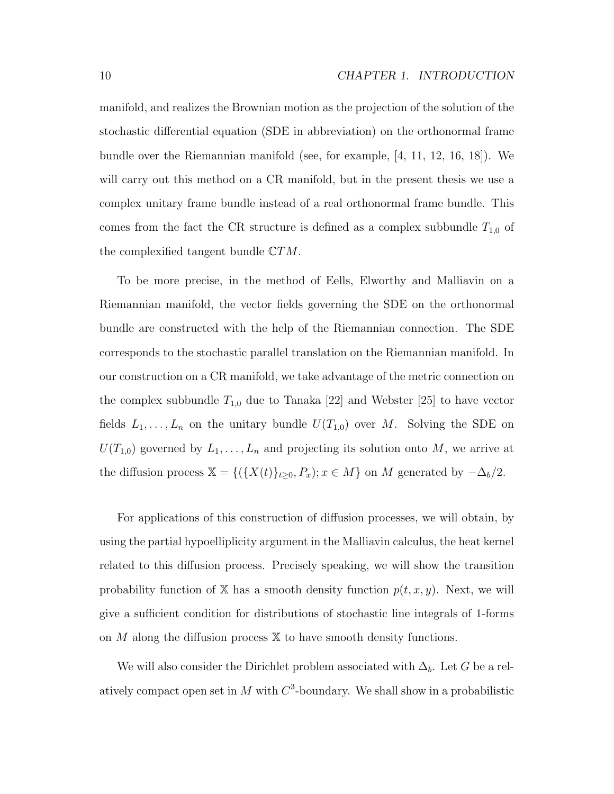manifold, and realizes the Brownian motion as the projection of the solution of the stochastic differential equation (SDE in abbreviation) on the orthonormal frame bundle over the Riemannian manifold (see, for example, [4, 11, 12, 16, 18]). We will carry out this method on a CR manifold, but in the present thesis we use a complex unitary frame bundle instead of a real orthonormal frame bundle. This comes from the fact the CR structure is defined as a complex subbundle  $T_{1,0}$  of the complexified tangent bundle C*TM*.

To be more precise, in the method of Eells, Elworthy and Malliavin on a Riemannian manifold, the vector fields governing the SDE on the orthonormal bundle are constructed with the help of the Riemannian connection. The SDE corresponds to the stochastic parallel translation on the Riemannian manifold. In our construction on a CR manifold, we take advantage of the metric connection on the complex subbundle  $T_{1,0}$  due to Tanaka [22] and Webster [25] to have vector fields  $L_1, \ldots, L_n$  on the unitary bundle  $U(T_{1,0})$  over M. Solving the SDE on  $U(T_{1,0})$  governed by  $L_1, \ldots, L_n$  and projecting its solution onto *M*, we arrive at the diffusion process  $\mathbb{X} = \{ (\{X(t)\}_{t\geq0}, P_x); x \in M \}$  on *M* generated by  $-\Delta_b/2$ .

For applications of this construction of diffusion processes, we will obtain, by using the partial hypoelliplicity argument in the Malliavin calculus, the heat kernel related to this diffusion process. Precisely speaking, we will show the transition probability function of  $X$  has a smooth density function  $p(t, x, y)$ . Next, we will give a sufficient condition for distributions of stochastic line integrals of 1-forms on  $M$  along the diffusion process  $X$  to have smooth density functions.

We will also consider the Dirichlet problem associated with ∆*b*. Let *G* be a relatively compact open set in  $M$  with  $C^3$ -boundary. We shall show in a probabilistic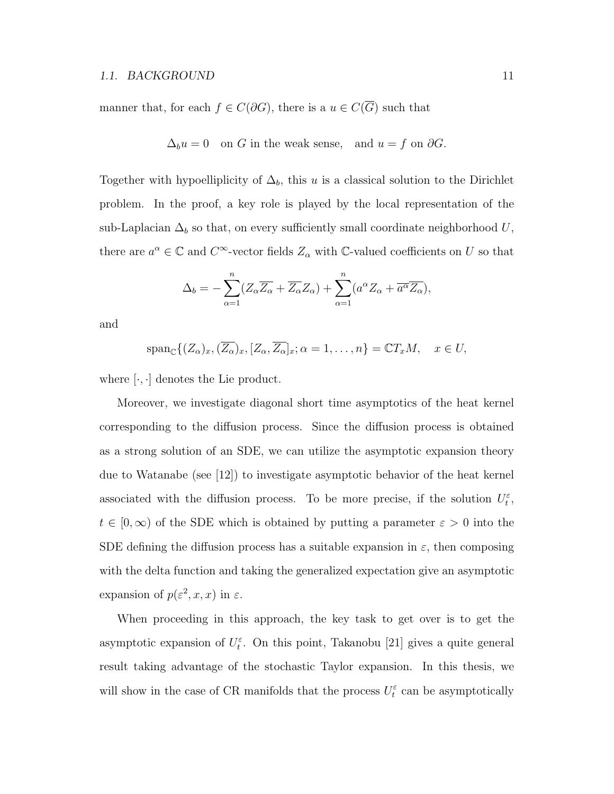manner that, for each  $f \in C(\partial G)$ , there is a  $u \in C(\overline{G})$  such that

$$
\Delta_b u = 0 \quad \text{on } G \text{ in the weak sense,} \quad \text{and } u = f \text{ on } \partial G.
$$

Together with hypoelliplicity of  $\Delta_b$ , this *u* is a classical solution to the Dirichlet problem. In the proof, a key role is played by the local representation of the sub-Laplacian  $\Delta_b$  so that, on every sufficiently small coordinate neighborhood *U*, there are  $a^{\alpha} \in \mathbb{C}$  and  $C^{\infty}$ -vector fields  $Z_{\alpha}$  with  $\mathbb{C}$ -valued coefficients on *U* so that

$$
\Delta_b = -\sum_{\alpha=1}^n (Z_{\alpha} \overline{Z_{\alpha}} + \overline{Z_{\alpha}} Z_{\alpha}) + \sum_{\alpha=1}^n (a^{\alpha} Z_{\alpha} + \overline{a^{\alpha}} \overline{Z_{\alpha}}),
$$

and

$$
\operatorname{span}_{\mathbb{C}}\{(Z_{\alpha})_x, (\overline{Z_{\alpha}})_x, [Z_{\alpha}, \overline{Z_{\alpha}}]_x; \alpha = 1,\ldots,n\} = \mathbb{C}T_xM, \quad x \in U,
$$

where  $[\cdot, \cdot]$  denotes the Lie product.

Moreover, we investigate diagonal short time asymptotics of the heat kernel corresponding to the diffusion process. Since the diffusion process is obtained as a strong solution of an SDE, we can utilize the asymptotic expansion theory due to Watanabe (see [12]) to investigate asymptotic behavior of the heat kernel associated with the diffusion process. To be more precise, if the solution  $U_t^{\varepsilon}$ ,  $t \in [0, \infty)$  of the SDE which is obtained by putting a parameter  $\varepsilon > 0$  into the SDE defining the diffusion process has a suitable expansion in  $\varepsilon$ , then composing with the delta function and taking the generalized expectation give an asymptotic expansion of  $p(\varepsilon^2, x, x)$  in  $\varepsilon$ .

When proceeding in this approach, the key task to get over is to get the asymptotic expansion of  $U_t^{\varepsilon}$ . On this point, Takanobu [21] gives a quite general result taking advantage of the stochastic Taylor expansion. In this thesis, we will show in the case of CR manifolds that the process  $U_t^{\varepsilon}$  can be asymptotically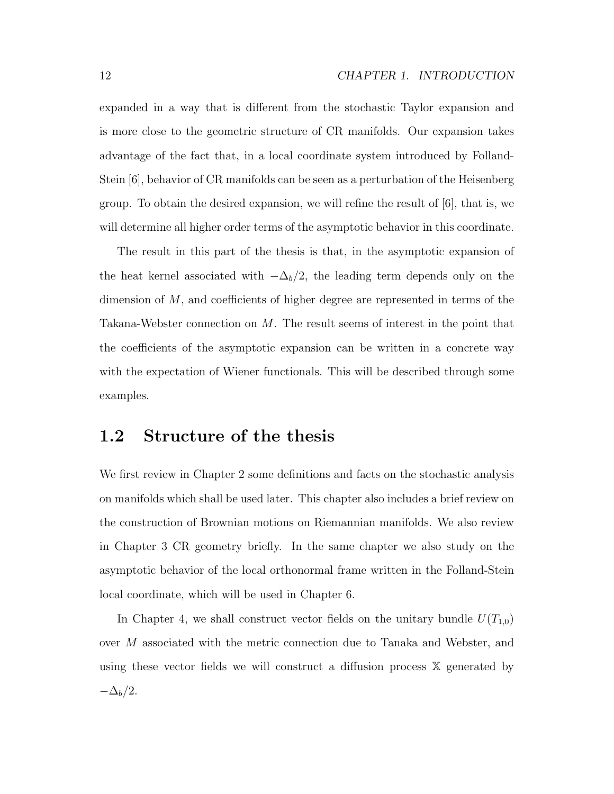expanded in a way that is different from the stochastic Taylor expansion and is more close to the geometric structure of CR manifolds. Our expansion takes advantage of the fact that, in a local coordinate system introduced by Folland-Stein [6], behavior of CR manifolds can be seen as a perturbation of the Heisenberg group. To obtain the desired expansion, we will refine the result of [6], that is, we will determine all higher order terms of the asymptotic behavior in this coordinate.

The result in this part of the thesis is that, in the asymptotic expansion of the heat kernel associated with  $-\Delta_b/2$ , the leading term depends only on the dimension of *M*, and coefficients of higher degree are represented in terms of the Takana-Webster connection on *M*. The result seems of interest in the point that the coefficients of the asymptotic expansion can be written in a concrete way with the expectation of Wiener functionals. This will be described through some examples.

### **1.2 Structure of the thesis**

We first review in Chapter 2 some definitions and facts on the stochastic analysis on manifolds which shall be used later. This chapter also includes a brief review on the construction of Brownian motions on Riemannian manifolds. We also review in Chapter 3 CR geometry briefly. In the same chapter we also study on the asymptotic behavior of the local orthonormal frame written in the Folland-Stein local coordinate, which will be used in Chapter 6.

In Chapter 4, we shall construct vector fields on the unitary bundle  $U(T_{1,0})$ over *M* associated with the metric connection due to Tanaka and Webster, and using these vector fields we will construct a diffusion process X generated by *−*∆*b/*2.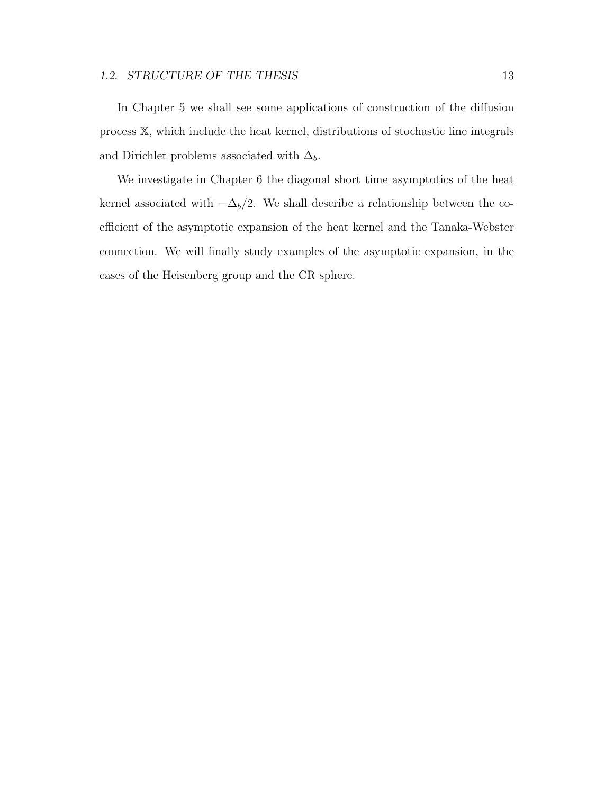In Chapter 5 we shall see some applications of construction of the diffusion process X, which include the heat kernel, distributions of stochastic line integrals and Dirichlet problems associated with  $\Delta_b$ .

We investigate in Chapter 6 the diagonal short time asymptotics of the heat kernel associated with  $-\Delta_b/2$ . We shall describe a relationship between the coefficient of the asymptotic expansion of the heat kernel and the Tanaka-Webster connection. We will finally study examples of the asymptotic expansion, in the cases of the Heisenberg group and the CR sphere.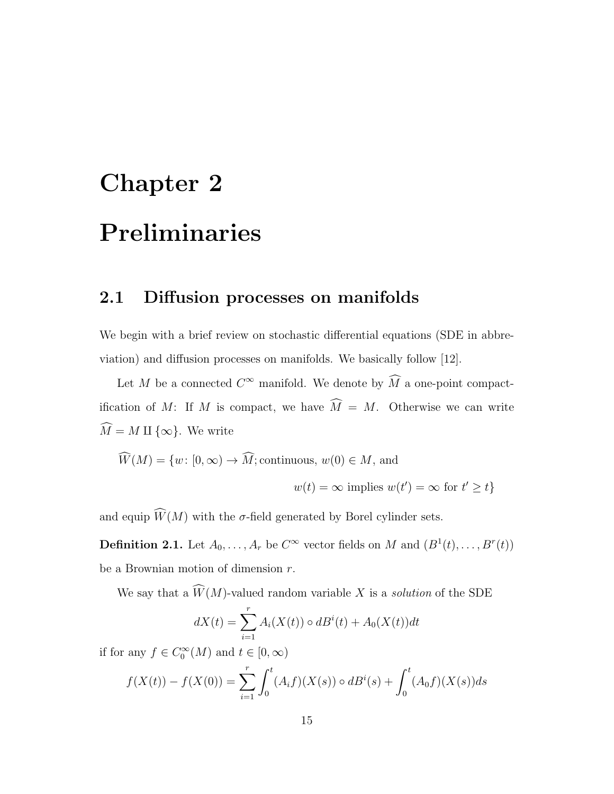# **Chapter 2 Preliminaries**

### **2.1 Diffusion processes on manifolds**

We begin with a brief review on stochastic differential equations (SDE in abbreviation) and diffusion processes on manifolds. We basically follow [12].

Let *M* be a connected  $C^{\infty}$  manifold. We denote by  $\widehat{M}$  a one-point compactification of *M*: If *M* is compact, we have  $\widehat{M} = M$ . Otherwise we can write  $\widehat{M} = M \amalg {\infty}$ . We write

$$
\widehat{W}(M) = \{w \colon [0, \infty) \to \widehat{M}; \text{continuous}, w(0) \in M, \text{ and}
$$

$$
w(t) = \infty \text{ implies } w(t') = \infty \text{ for } t' \ge t\}
$$

and equip  $\widehat{W}(M)$  with the  $\sigma$ -field generated by Borel cylinder sets.

**Definition 2.1.** Let  $A_0, \ldots, A_r$  be  $C^{\infty}$  vector fields on *M* and  $(B^1(t), \ldots, B^r(t))$ be a Brownian motion of dimension *r*.

We say that a  $\widehat{W}(M)$ -valued random variable X is a *solution* of the SDE

$$
dX(t) = \sum_{i=1}^{r} A_i(X(t)) \circ dB^{i}(t) + A_0(X(t))dt
$$

if for any  $f \in C_0^{\infty}(M)$  and  $t \in [0, \infty)$ 

$$
f(X(t)) - f(X(0)) = \sum_{i=1}^{r} \int_0^t (A_i f)(X(s)) \circ dB^i(s) + \int_0^t (A_0 f)(X(s))ds
$$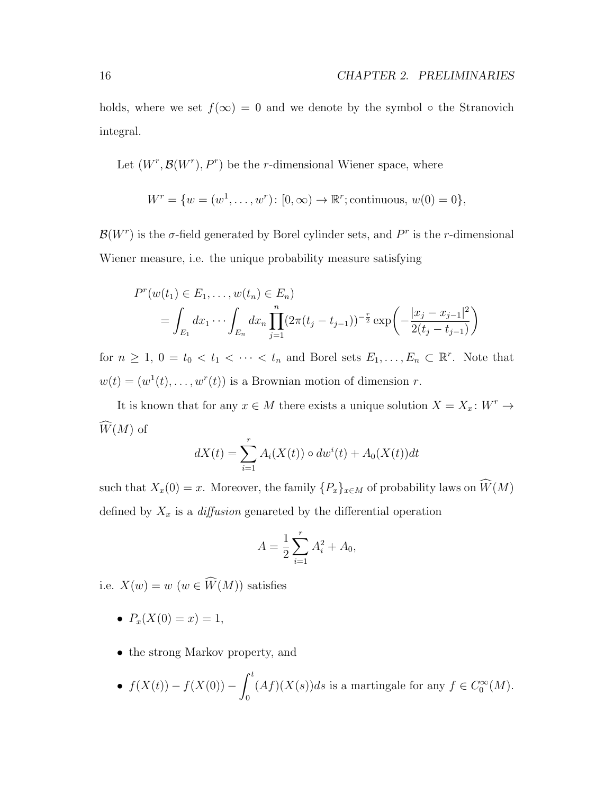holds, where we set  $f(\infty) = 0$  and we denote by the symbol  $\circ$  the Stranovich integral.

Let  $(W^r, \mathcal{B}(W^r), P^r)$  be the *r*-dimensional Wiener space, where

$$
W^r = \{ w = (w^1, \dots, w^r) \colon [0, \infty) \to \mathbb{R}^r; \text{continuous}, w(0) = 0 \},
$$

 $\mathcal{B}(W^r)$  is the *σ*-field generated by Borel cylinder sets, and  $P^r$  is the *r*-dimensional Wiener measure, i.e. the unique probability measure satisfying

$$
P^{r}(w(t_{1}) \in E_{1},...,w(t_{n}) \in E_{n})
$$
  
=  $\int_{E_{1}} dx_{1} \cdots \int_{E_{n}} dx_{n} \prod_{j=1}^{n} (2\pi(t_{j}-t_{j-1}))^{-\frac{r}{2}} \exp\left(-\frac{|x_{j}-x_{j-1}|^{2}}{2(t_{j}-t_{j-1})}\right)$ 

for  $n \geq 1, 0 = t_0 < t_1 < \cdots < t_n$  and Borel sets  $E_1, \ldots, E_n \subset \mathbb{R}^r$ . Note that  $w(t) = (w^1(t), \ldots, w^r(t))$  is a Brownian motion of dimension *r*.

It is known that for any  $x \in M$  there exists a unique solution  $X = X_x$ :  $W^r \to$  $\widehat{W}(M)$  of

$$
dX(t) = \sum_{i=1}^{r} A_i(X(t)) \circ dw^{i}(t) + A_0(X(t))dt
$$

such that  $X_x(0) = x$ . Moreover, the family  $\{P_x\}_{x \in M}$  of probability laws on  $\widehat{W}(M)$ defined by  $X_x$  is a *diffusion* genareted by the differential operation

$$
A = \frac{1}{2} \sum_{i=1}^{r} A_i^2 + A_0,
$$

i.e.  $X(w) = w$   $(w \in \widehat{W}(M))$  satisfies

- $P_x(X(0) = x) = 1$ ,
- the strong Markov property, and

• 
$$
f(X(t)) - f(X(0)) - \int_0^t (Af)(X(s))ds
$$
 is a martingale for any  $f \in C_0^{\infty}(M)$ .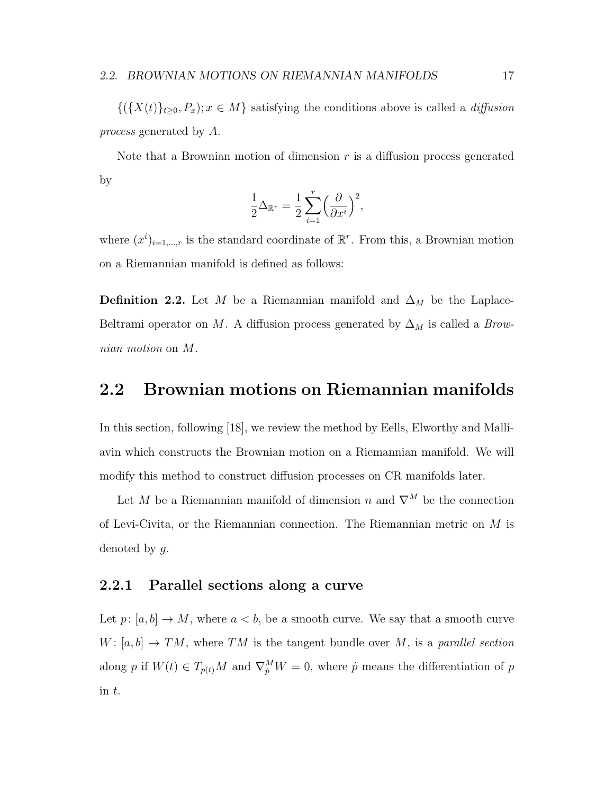$\{(X(t)\}_{t\geq0}, P_x); x \in M\}$  satisfying the conditions above is called a *diffusion process* generated by *A*.

Note that a Brownian motion of dimension *r* is a diffusion process generated by

$$
\frac{1}{2}\Delta_{\mathbb{R}^r} = \frac{1}{2}\sum_{i=1}^r \Bigl(\frac{\partial}{\partial x^i}\Bigr)^2,
$$

where  $(x^i)_{i=1,\dots,r}$  is the standard coordinate of  $\mathbb{R}^r$ . From this, a Brownian motion on a Riemannian manifold is defined as follows:

**Definition 2.2.** Let *M* be a Riemannian manifold and  $\Delta_M$  be the Laplace-Beltrami operator on *M*. A diffusion process generated by  $\Delta_M$  is called a *Brownian motion* on *M*.

### **2.2 Brownian motions on Riemannian manifolds**

In this section, following [18], we review the method by Eells, Elworthy and Malliavin which constructs the Brownian motion on a Riemannian manifold. We will modify this method to construct diffusion processes on CR manifolds later.

Let *M* be a Riemannian manifold of dimension *n* and  $\nabla^M$  be the connection of Levi-Civita, or the Riemannian connection. The Riemannian metric on *M* is denoted by *g*.

#### **2.2.1 Parallel sections along a curve**

Let  $p: [a, b] \to M$ , where  $a < b$ , be a smooth curve. We say that a smooth curve  $W: [a, b] \to TM$ , where *TM* is the tangent bundle over *M*, is a *parallel section* along *p* if  $W(t) \in T_{p(t)}M$  and  $\nabla_p^M W = 0$ , where *p* means the differentiation of *p* in *t*.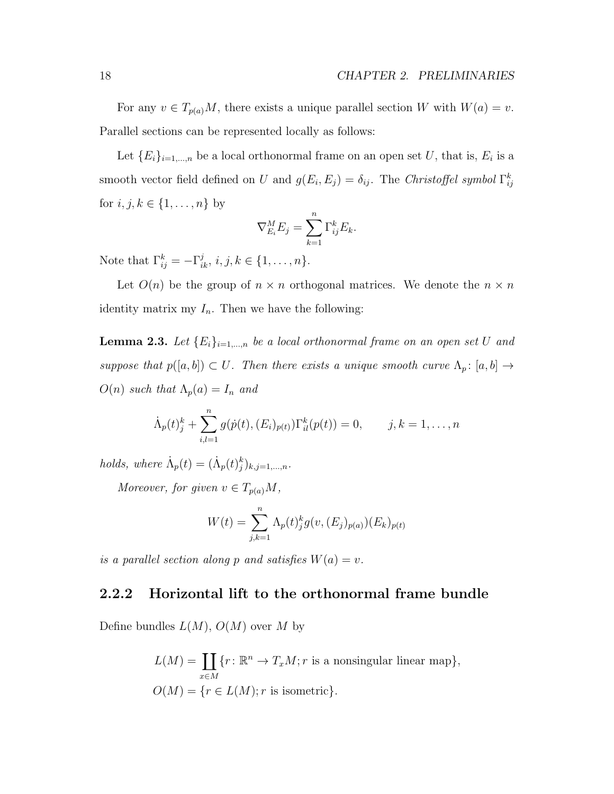For any  $v \in T_{p(a)}M$ , there exists a unique parallel section *W* with  $W(a) = v$ . Parallel sections can be represented locally as follows:

Let  ${E_i}_{i=1,\dots,n}$  be a local orthonormal frame on an open set *U*, that is,  $E_i$  is a smooth vector field defined on *U* and  $g(E_i, E_j) = \delta_{ij}$ . The *Christoffel symbol*  $\Gamma_{ij}^k$ for  $i, j, k \in \{1, ..., n\}$  by

$$
\nabla_{E_i}^M E_j = \sum_{k=1}^n \Gamma_{ij}^k E_k.
$$

Note that  $\Gamma_{ij}^k = -\Gamma_{ik}^j, i, j, k \in \{1, ..., n\}.$ 

Let  $O(n)$  be the group of  $n \times n$  orthogonal matrices. We denote the  $n \times n$ identity matrix my  $I_n$ . Then we have the following:

**Lemma 2.3.** Let  ${E_i}_{i=1,\ldots,n}$  be a local orthonormal frame on an open set U and *suppose that*  $p([a, b]) \subset U$ *. Then there exists a unique smooth curve*  $\Lambda_p$ :  $[a, b] \to$  $O(n)$  *such that*  $\Lambda_p(a) = I_n$  *and* 

$$
\dot{\Lambda}_p(t)_j^k + \sum_{i,l=1}^n g(p(t), (E_i)_{p(t)}) \Gamma_{il}^k(p(t)) = 0, \qquad j, k = 1, \dots, n
$$

*holds, where*  $\dot{\Lambda}_p(t) = (\dot{\Lambda}_p(t)^k_j)_{k,j=1,\dots,n}$ .

*Moreover, for given*  $v \in T_{p(a)}M$ *,* 

$$
W(t) = \sum_{j,k=1}^{n} \Lambda_p(t)^k_j g(v,(E_j)_{p(a)})(E_k)_{p(t)}
$$

*is a parallel section along p and satisfies*  $W(a) = v$ *.* 

#### **2.2.2 Horizontal lift to the orthonormal frame bundle**

Define bundles *L*(*M*), *O*(*M*) over *M* by

$$
L(M) = \coprod_{x \in M} \{r : \mathbb{R}^n \to T_x M; r \text{ is a nonsingular linear map}\},
$$
  

$$
O(M) = \{r \in L(M); r \text{ is isometric}\}.
$$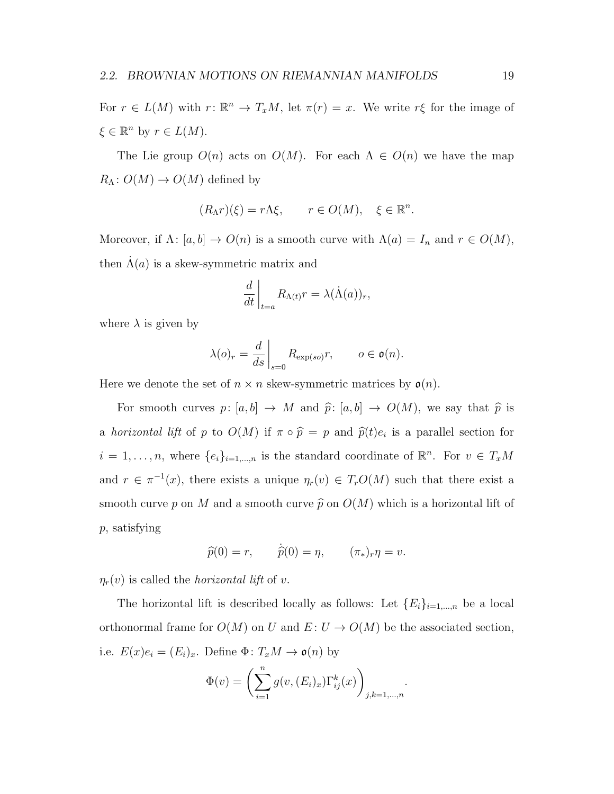For  $r \in L(M)$  with  $r: \mathbb{R}^n \to T_xM$ , let  $\pi(r) = x$ . We write  $r\xi$  for the image of  $\xi \in \mathbb{R}^n$  by  $r \in L(M)$ .

The Lie group  $O(n)$  acts on  $O(M)$ . For each  $\Lambda \in O(n)$  we have the map  $R_{\Lambda}: O(M) \to O(M)$  defined by

$$
(R_{\Lambda}r)(\xi) = r\Lambda \xi, \qquad r \in O(M), \quad \xi \in \mathbb{R}^n.
$$

Moreover, if  $\Lambda$ :  $[a, b] \to O(n)$  is a smooth curve with  $\Lambda(a) = I_n$  and  $r \in O(M)$ , then  $\Lambda(a)$  is a skew-symmetric matrix and

$$
\frac{d}{dt}\bigg|_{t=a} R_{\Lambda(t)} r = \lambda(\dot{\Lambda}(a))_r,
$$

where  $\lambda$  is given by

$$
\lambda(o)_r = \frac{d}{ds}\bigg|_{s=0} R_{\exp(so)} r, \qquad o \in \mathfrak{o}(n).
$$

Here we denote the set of  $n \times n$  skew-symmetric matrices by  $\mathfrak{o}(n)$ .

For smooth curves  $p: [a, b] \to M$  and  $\hat{p}: [a, b] \to O(M)$ , we say that  $\hat{p}$  is a *horizontal lift* of *p* to  $O(M)$  if  $\pi \circ \hat{p} = p$  and  $\hat{p}(t)e_i$  is a parallel section for  $i = 1, \ldots, n$ , where  $\{e_i\}_{i=1,\ldots,n}$  is the standard coordinate of  $\mathbb{R}^n$ . For  $v \in T_xM$ and  $r \in \pi^{-1}(x)$ , there exists a unique  $\eta_r(v) \in T_rO(M)$  such that there exist a smooth curve p on M and a smooth curve  $\hat{p}$  on  $O(M)$  which is a horizontal lift of *p*, satisfying

$$
\widehat{p}(0) = r, \qquad \dot{\widehat{p}}(0) = \eta, \qquad (\pi_*)_r \eta = v.
$$

 $\eta_r(v)$  is called the *horizontal lift* of *v*.

The horizontal lift is described locally as follows: Let  ${E_i}_{i=1,\dots,n}$  be a local orthonormal frame for  $O(M)$  on *U* and  $E: U \to O(M)$  be the associated section, i.e.  $E(x)e_i = (E_i)_x$ . Define  $\Phi: T_xM \to \mathfrak{o}(n)$  by

$$
\Phi(v) = \left(\sum_{i=1}^{n} g(v, (E_i)_x) \Gamma_{ij}^k(x)\right)_{j,k=1,\dots,n}.
$$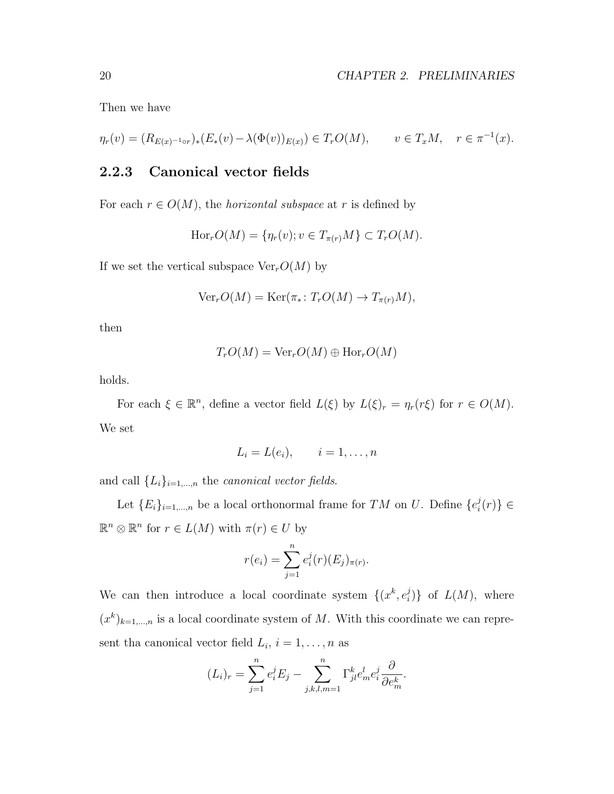Then we have

$$
\eta_r(v) = (R_{E(x)^{-1}\circ r})_*(E_*(v) - \lambda(\Phi(v))_{E(x)}) \in T_rO(M), \qquad v \in T_xM, \quad r \in \pi^{-1}(x).
$$

#### **2.2.3 Canonical vector fields**

For each  $r \in O(M)$ , the *horizontal subspace* at *r* is defined by

$$
Hor_rO(M) = \{ \eta_r(v); v \in T_{\pi(r)}M \} \subset T_rO(M).
$$

If we set the vertical subspace  $\text{Ver}_rO(M)$  by

$$
\text{Ver}_r O(M) = \text{Ker}(\pi_*\colon T_r O(M) \to T_{\pi(r)}M),
$$

then

$$
T_rO(M) = \text{Ver}_rO(M) \oplus \text{Hor}_rO(M)
$$

holds.

For each  $\xi \in \mathbb{R}^n$ , define a vector field  $L(\xi)$  by  $L(\xi)_r = \eta_r(r\xi)$  for  $r \in O(M)$ . We set

$$
L_i = L(e_i), \qquad i = 1, \ldots, n
$$

and call  $\{L_i\}_{i=1,\dots,n}$  the *canonical vector fields*.

Let  ${E_i}_{i=1,\dots,n}$  be a local orthonormal frame for  $TM$  on  $U$ . Define  ${e_i^j}$ *i* (*r*)*} ∈*  $\mathbb{R}^n \otimes \mathbb{R}^n$  for  $r \in L(M)$  with  $\pi(r) \in U$  by

$$
r(e_i) = \sum_{j=1}^{n} e_i^j(r) (E_j)_{\pi(r)}.
$$

We can then introduce a local coordinate system  $\{(x^k, e_i^j)\}$  $\{L(M), \text{ where } L(M)$  $(x^{k})_{k=1,\dots,n}$  is a local coordinate system of *M*. With this coordinate we can represent tha canonical vector field  $L_i$ ,  $i = 1, \ldots, n$  as

$$
(L_i)_r = \sum_{j=1}^n e_i^j E_j - \sum_{j,k,l,m=1}^n \Gamma_{jl}^k e_m^l e_i^j \frac{\partial}{\partial e_m^k}.
$$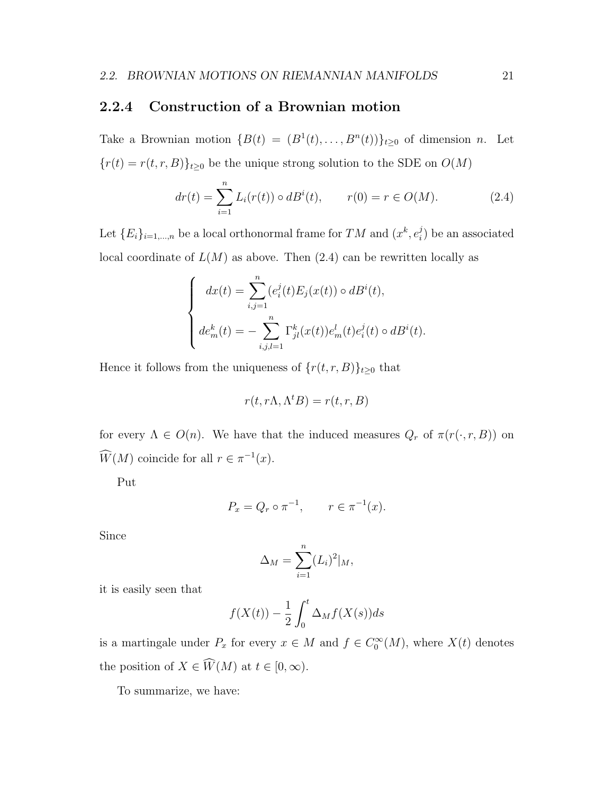#### **2.2.4 Construction of a Brownian motion**

Take a Brownian motion  ${B(t) = (B<sup>1</sup>(t), ..., B<sup>n</sup>(t))}_{t \ge 0}$  of dimension *n*. Let  ${r(t) = r(t, r, B)}$ <sub>*t*</sub><sup>2</sup>0 be the unique strong solution to the SDE on *O*(*M*)

$$
dr(t) = \sum_{i=1}^{n} L_i(r(t)) \circ dB^i(t), \qquad r(0) = r \in O(M). \tag{2.4}
$$

Let  ${E_i}_{i=1,\dots,n}$  be a local orthonormal frame for  $TM$  and  $(x^k, e_i^j)$ *i* ) be an associated local coordinate of  $L(M)$  as above. Then  $(2.4)$  can be rewritten locally as

$$
\begin{cases}\n dx(t) = \sum_{i,j=1}^{n} (e_i^j(t) E_j(x(t)) \circ dB^i(t), \\
de_m^k(t) = - \sum_{i,j,l=1}^{n} \Gamma_{jl}^k(x(t)) e_m^l(t) e_i^j(t) \circ dB^i(t).\n\end{cases}
$$

Hence it follows from the uniqueness of  $\{r(t, r, B)\}_{t \geq 0}$  that

$$
r(t, r\Lambda, \Lambda^t B) = r(t, r, B)
$$

for every  $\Lambda \in O(n)$ . We have that the induced measures  $Q_r$  of  $\pi(r(\cdot, r, B))$  on  $\widehat{W}(M)$  coincide for all  $r \in \pi^{-1}(x)$ .

Put

$$
P_x = Q_r \circ \pi^{-1}, \qquad r \in \pi^{-1}(x).
$$

Since

$$
\Delta_M = \sum_{i=1}^n (L_i)^2 |_M,
$$

it is easily seen that

$$
f(X(t)) - \frac{1}{2} \int_0^t \Delta_M f(X(s)) ds
$$

is a martingale under  $P_x$  for every  $x \in M$  and  $f \in C_0^{\infty}(M)$ , where  $X(t)$  denotes the position of  $X \in \widehat{W}(M)$  at  $t \in [0, \infty)$ .

To summarize, we have: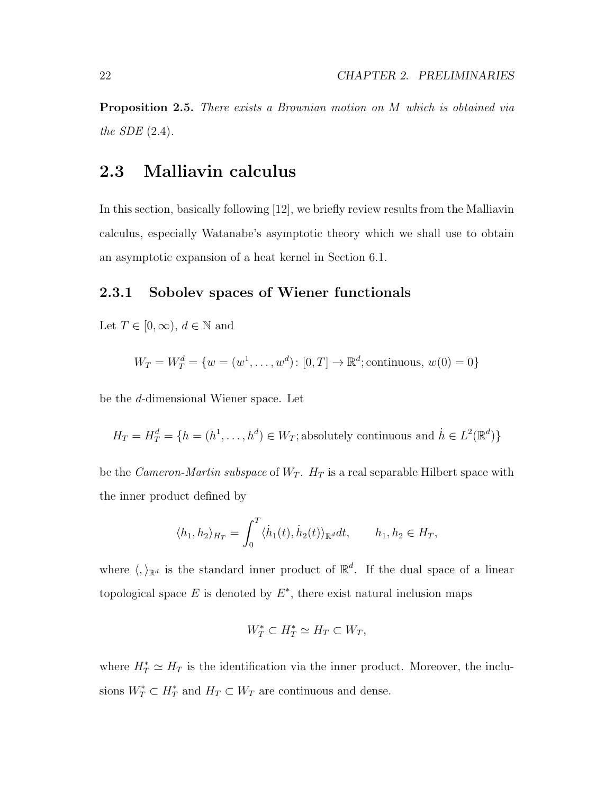**Proposition 2.5.** *There exists a Brownian motion on M which is obtained via the SDE* (2.4)*.*

## **2.3 Malliavin calculus**

In this section, basically following [12], we briefly review results from the Malliavin calculus, especially Watanabe's asymptotic theory which we shall use to obtain an asymptotic expansion of a heat kernel in Section 6.1.

#### **2.3.1 Sobolev spaces of Wiener functionals**

Let  $T \in [0, \infty)$ ,  $d \in \mathbb{N}$  and

$$
W_T = W_T^d = \{w = (w^1, \dots, w^d) \colon [0, T] \to \mathbb{R}^d; \text{continuous}, w(0) = 0\}
$$

be the *d*-dimensional Wiener space. Let

$$
H_T = H_T^d = \{ h = (h^1, \dots, h^d) \in W_T; \text{absolutely continuous and } h \in L^2(\mathbb{R}^d) \}
$$

be the *Cameron-Martin subspace* of  $W_T$ .  $H_T$  is a real separable Hilbert space with the inner product defined by

$$
\langle h_1, h_2 \rangle_{H_T} = \int_0^T \langle \dot{h}_1(t), \dot{h}_2(t) \rangle_{\mathbb{R}^d} dt, \qquad h_1, h_2 \in H_T,
$$

where  $\langle , \rangle_{\mathbb{R}^d}$  is the standard inner product of  $\mathbb{R}^d$ . If the dual space of a linear topological space  $E$  is denoted by  $E^*$ , there exist natural inclusion maps

$$
W_T^* \subset H_T^* \simeq H_T \subset W_T,
$$

where  $H_T^* \simeq H_T$  is the identification via the inner product. Moreover, the inclusions  $W_T^* \subset H_T^*$  and  $H_T \subset W_T$  are continuous and dense.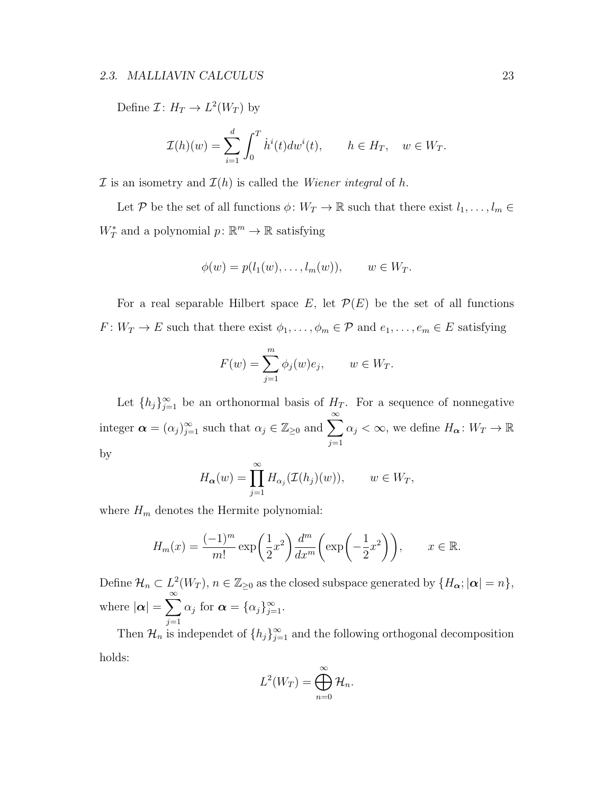#### *2.3. MALLIAVIN CALCULUS* 23

Define  $\mathcal{I}: H_T \to L^2(W_T)$  by

$$
\mathcal{I}(h)(w) = \sum_{i=1}^d \int_0^T \dot{h}^i(t) dw^i(t), \qquad h \in H_T, \quad w \in W_T.
$$

 $\mathcal I$  is an isometry and  $\mathcal I(h)$  is called the *Wiener integral* of  $h$ .

Let *P* be the set of all functions  $\phi: W_T \to \mathbb{R}$  such that there exist  $l_1, \ldots, l_m \in$  $W_T^*$  and a polynomial  $p: \mathbb{R}^m \to \mathbb{R}$  satisfying

$$
\phi(w) = p(l_1(w), \dots, l_m(w)), \qquad w \in W_T.
$$

For a real separable Hilbert space  $E$ , let  $\mathcal{P}(E)$  be the set of all functions *F* :  $W_T \to E$  such that there exist  $\phi_1, \ldots, \phi_m \in \mathcal{P}$  and  $e_1, \ldots, e_m \in E$  satisfying

$$
F(w) = \sum_{j=1}^{m} \phi_j(w)e_j, \qquad w \in W_T.
$$

Let  $\{h_j\}_{j=1}^{\infty}$  be an orthonormal basis of  $H_T$ . For a sequence of nonnegative integer  $\boldsymbol{\alpha} = (\alpha_j)_{j=1}^{\infty}$  such that  $\alpha_j \in \mathbb{Z}_{\geq 0}$  and  $\sum_{j=1}^{\infty}$ *j*=1  $\alpha_j < \infty$ , we define  $H_{\alpha}: W_T \to \mathbb{R}$ by

$$
H_{\alpha}(w) = \prod_{j=1}^{\infty} H_{\alpha_j}(\mathcal{I}(h_j)(w)), \qquad w \in W_T,
$$

where  $H_m$  denotes the Hermite polynomial:

$$
H_m(x) = \frac{(-1)^m}{m!} \exp\left(\frac{1}{2}x^2\right) \frac{d^m}{dx^m} \left(\exp\left(-\frac{1}{2}x^2\right)\right), \qquad x \in \mathbb{R}.
$$

Define  $\mathcal{H}_n \subset L^2(W_T)$ ,  $n \in \mathbb{Z}_{\geq 0}$  as the closed subspace generated by  $\{H_{\alpha}; |\alpha| = n\}$ , where  $|\alpha| = \sum_{n=1}^{\infty}$ *j*=1  $\alpha_j$  for  $\boldsymbol{\alpha} = {\alpha_j}_{j=1}^{\infty}$ .

Then  $\mathcal{H}_n$  is independet of  $\{h_j\}_{j=1}^{\infty}$  and the following orthogonal decomposition holds:

$$
L^2(W_T) = \bigoplus_{n=0}^{\infty} \mathcal{H}_n.
$$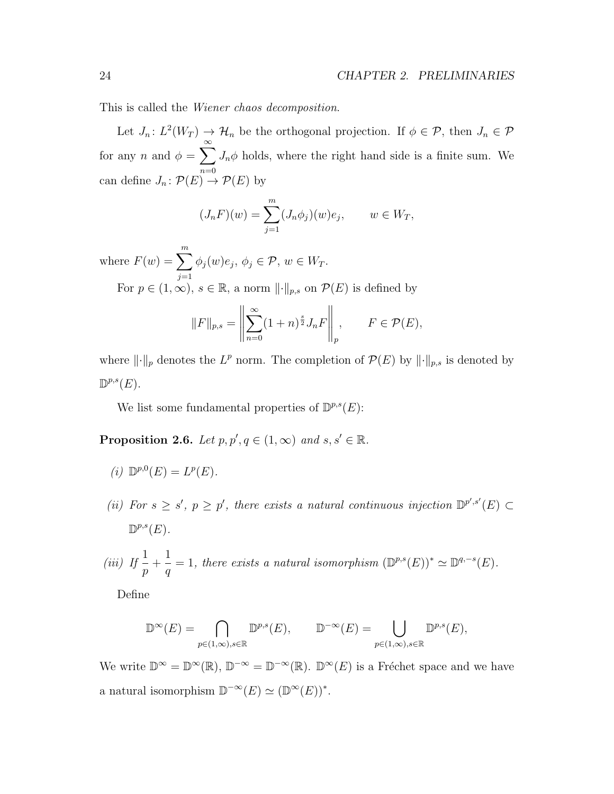This is called the *Wiener chaos decomposition*.

Let  $J_n: L^2(W_T) \to \mathcal{H}_n$  be the orthogonal projection. If  $\phi \in \mathcal{P}$ , then  $J_n \in \mathcal{P}$ for any *n* and  $\phi = \sum_{n=0}^{\infty}$ *n*=0  $J_n \phi$  holds, where the right hand side is a finite sum. We can define  $J_n: \mathcal{P}(E) \to \mathcal{P}(E)$  by

$$
(J_n F)(w) = \sum_{j=1}^{m} (J_n \phi_j)(w) e_j, \qquad w \in W_T,
$$

where  $F(w) = \sum_{m=1}^{m}$ *j*=1  $\phi_j(w)e_j, \phi_j \in \mathcal{P}, w \in W_T$ . For  $p \in (1, \infty)$ ,  $s \in \mathbb{R}$ , a norm  $|| \cdot ||_{p,s}$  on  $\mathcal{P}(E)$  is defined by

$$
||F||_{p,s} = \left\| \sum_{n=0}^{\infty} (1+n)^{\frac{s}{2}} J_n F \right\|_p, \quad F \in \mathcal{P}(E),
$$

where  $\|\cdot\|_p$  denotes the  $L^p$  norm. The completion of  $\mathcal{P}(E)$  by  $\|\cdot\|_{p,s}$  is denoted by  $\mathbb{D}^{p,s}(E).$ 

We list some fundamental properties of  $\mathbb{D}^{p,s}(E)$ :

**Proposition 2.6.** *Let*  $p, p', q \in (1, \infty)$  *and*  $s, s' \in \mathbb{R}$ *.* 

- *(i)*  $\mathbb{D}^{p,0}(E) = L^p(E)$ .
- *(ii)* For  $s \geq s'$ ,  $p \geq p'$ , there exists a natural continuous injection  $\mathbb{D}^{p',s'}(E) \subset$  $\mathbb{D}^{p,s}(E)$ .
- *(iii)* If  $\frac{1}{ }$ *p*  $+$ 1  $\frac{1}{q} = 1$ , there exists a natural isomorphism  $(\mathbb{D}^{p,s}(E))^* \simeq \mathbb{D}^{q,-s}(E)$ .

Define

$$
\mathbb{D}^\infty(E)=\bigcap_{p\in(1,\infty),s\in\mathbb{R}}\mathbb{D}^{p,s}(E),\qquad \mathbb{D}^{-\infty}(E)=\bigcup_{p\in(1,\infty),s\in\mathbb{R}}\mathbb{D}^{p,s}(E),
$$

We write  $\mathbb{D}^{\infty} = \mathbb{D}^{\infty}(\mathbb{R})$ ,  $\mathbb{D}^{-\infty} = \mathbb{D}^{-\infty}(\mathbb{R})$ .  $\mathbb{D}^{\infty}(E)$  is a Fréchet space and we have a natural isomorphism  $\mathbb{D}^{-\infty}(E) \simeq (\mathbb{D}^{\infty}(E))^*$ .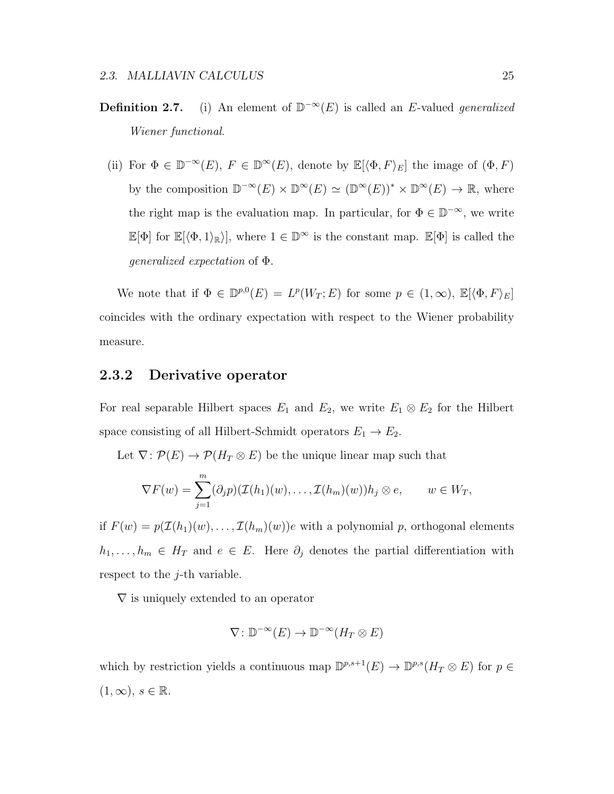- **Definition 2.7.** (i) An element of  $D^{-\infty}(E)$  is called an *E*-valued *generalized Wiener functional*.
- (ii) For  $\Phi \in \mathbb{D}^{-\infty}(E)$ ,  $F \in \mathbb{D}^{\infty}(E)$ , denote by  $\mathbb{E}[\langle \Phi, F \rangle_E]$  the image of  $(\Phi, F)$ by the composition  $\mathbb{D}^{-\infty}(E) \times \mathbb{D}^{\infty}(E) \simeq (\mathbb{D}^{\infty}(E))^* \times \mathbb{D}^{\infty}(E) \to \mathbb{R}$ , where the right map is the evaluation map. In particular, for  $\Phi \in \mathbb{D}^{-\infty}$ , we write  $\mathbb{E}[\Phi]$  for  $\mathbb{E}[\langle \Phi, 1 \rangle_{\mathbb{R}}]$ , where  $1 \in \mathbb{D}^{\infty}$  is the constant map.  $\mathbb{E}[\Phi]$  is called the *generalized expectation* of Φ.

We note that if  $\Phi \in \mathbb{D}^{p,0}(E) = L^p(W_T; E)$  for some  $p \in (1,\infty)$ ,  $\mathbb{E}[\langle \Phi, F \rangle_E]$ coincides with the ordinary expectation with respect to the Wiener probability measure.

#### **2.3.2 Derivative operator**

For real separable Hilbert spaces  $E_1$  and  $E_2$ , we write  $E_1 \otimes E_2$  for the Hilbert space consisting of all Hilbert-Schmidt operators  $E_1 \rightarrow E_2$ .

Let  $\nabla$ :  $\mathcal{P}(E) \to \mathcal{P}(H_T \otimes E)$  be the unique linear map such that

$$
\nabla F(w) = \sum_{j=1}^m (\partial_j p)(\mathcal{I}(h_1)(w), \dots, \mathcal{I}(h_m)(w))h_j \otimes e, \qquad w \in W_T,
$$

if  $F(w) = p(\mathcal{I}(h_1)(w), \ldots, \mathcal{I}(h_m)(w))e$  with a polynomial *p*, orthogonal elements  $h_1, \ldots, h_m \in H_T$  and  $e \in E$ . Here  $\partial_j$  denotes the partial differentiation with respect to the *j*-th variable.

*∇* is uniquely extended to an operator

$$
\nabla: \mathbb{D}^{-\infty}(E) \to \mathbb{D}^{-\infty}(H_T \otimes E)
$$

which by restriction yields a continuous map  $\mathbb{D}^{p,s+1}(E) \to \mathbb{D}^{p,s}(H_T \otimes E)$  for  $p \in$  $(1, \infty)$ ,  $s \in \mathbb{R}$ .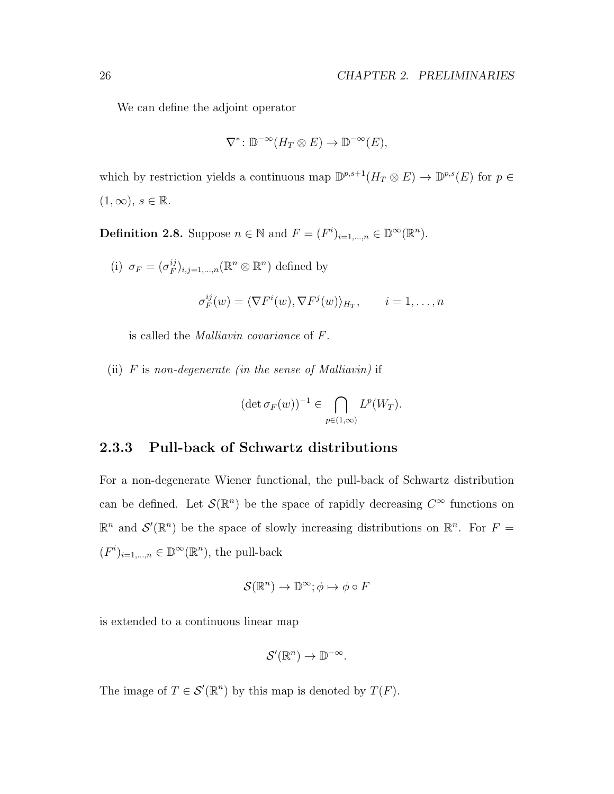We can define the adjoint operator

$$
\nabla^* \colon \mathbb{D}^{-\infty}(H_T \otimes E) \to \mathbb{D}^{-\infty}(E),
$$

which by restriction yields a continuous map  $\mathbb{D}^{p,s+1}(H_T \otimes E) \to \mathbb{D}^{p,s}(E)$  for  $p \in$  $(1, \infty)$ ,  $s \in \mathbb{R}$ .

**Definition 2.8.** Suppose  $n \in \mathbb{N}$  and  $F = (F^i)_{i=1,\dots,n} \in \mathbb{D}^\infty(\mathbb{R}^n)$ .

(i)  $\sigma_F = (\sigma_F^{ij})$  $(F^{ij})_{i,j=1,\ldots,n}(\mathbb{R}^n \otimes \mathbb{R}^n)$  defined by

$$
\sigma_F^{ij}(w) = \langle \nabla F^i(w), \nabla F^j(w) \rangle_{H_T}, \qquad i = 1, \dots, n
$$

is called the *Malliavin covariance* of *F*.

(ii) *F* is *non-degenerate (in the sense of Malliavin)* if

$$
(\det \sigma_F(w))^{-1} \in \bigcap_{p \in (1,\infty)} L^p(W_T).
$$

### **2.3.3 Pull-back of Schwartz distributions**

For a non-degenerate Wiener functional, the pull-back of Schwartz distribution can be defined. Let  $\mathcal{S}(\mathbb{R}^n)$  be the space of rapidly decreasing  $C^{\infty}$  functions on  $\mathbb{R}^n$  and  $\mathcal{S}'(\mathbb{R}^n)$  be the space of slowly increasing distributions on  $\mathbb{R}^n$ . For  $F =$  $(F^{i})_{i=1,\dots,n} \in \mathbb{D}^{\infty}(\mathbb{R}^{n})$ , the pull-back

$$
\mathcal{S}(\mathbb{R}^n) \to \mathbb{D}^\infty; \phi \mapsto \phi \circ F
$$

is extended to a continuous linear map

$$
\mathcal{S}'(\mathbb{R}^n) \to \mathbb{D}^{-\infty}.
$$

The image of  $T \in \mathcal{S}'(\mathbb{R}^n)$  by this map is denoted by  $T(F)$ .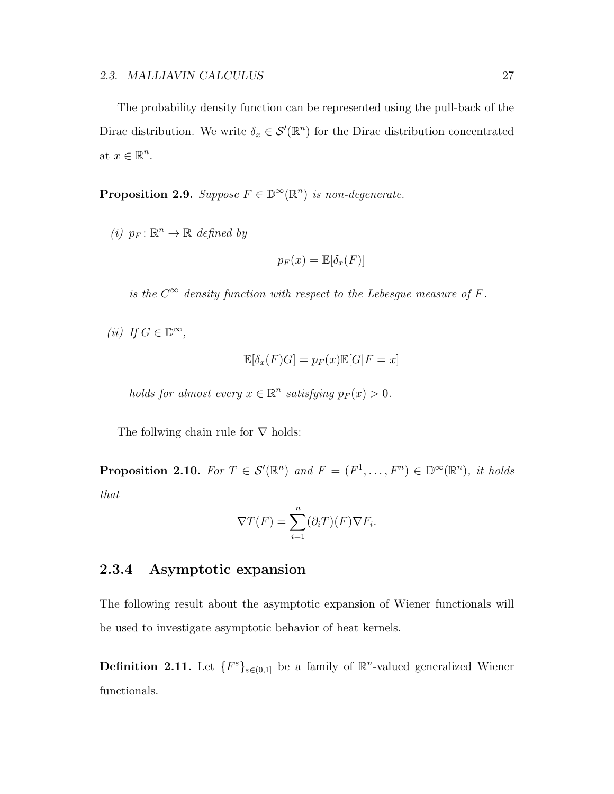The probability density function can be represented using the pull-back of the Dirac distribution. We write  $\delta_x \in \mathcal{S}'(\mathbb{R}^n)$  for the Dirac distribution concentrated at  $x \in \mathbb{R}^n$ .

**Proposition 2.9.** *Suppose*  $F \in \mathbb{D}^{\infty}(\mathbb{R}^n)$  *is non-degenerate.* 

*(i)*  $p_F$  : ℝ<sup>n</sup> → ℝ *defined by* 

$$
p_F(x) = \mathbb{E}[\delta_x(F)]
$$

*is the*  $C^{\infty}$  *density function with respect to the Lebesgue measure of*  $F$ *.* 

*(ii) If G* ∈  $\mathbb{D}^{\infty}$ *,* 

$$
\mathbb{E}[\delta_x(F)G] = p_F(x)\mathbb{E}[G|F=x]
$$

*holds for almost every*  $x \in \mathbb{R}^n$  *satisfying*  $p_F(x) > 0$ *.* 

The follwing chain rule for *∇* holds:

**Proposition 2.10.** For  $T \in \mathcal{S}'(\mathbb{R}^n)$  and  $F = (F^1, \ldots, F^n) \in \mathbb{D}^{\infty}(\mathbb{R}^n)$ , it holds *that*

$$
\nabla T(F) = \sum_{i=1}^{n} (\partial_i T)(F) \nabla F_i.
$$

#### **2.3.4 Asymptotic expansion**

The following result about the asymptotic expansion of Wiener functionals will be used to investigate asymptotic behavior of heat kernels.

**Definition 2.11.** Let  ${F^{\varepsilon}}_{\varepsilon(0,1]}$  be a family of  $\mathbb{R}^n$ -valued generalized Wiener functionals.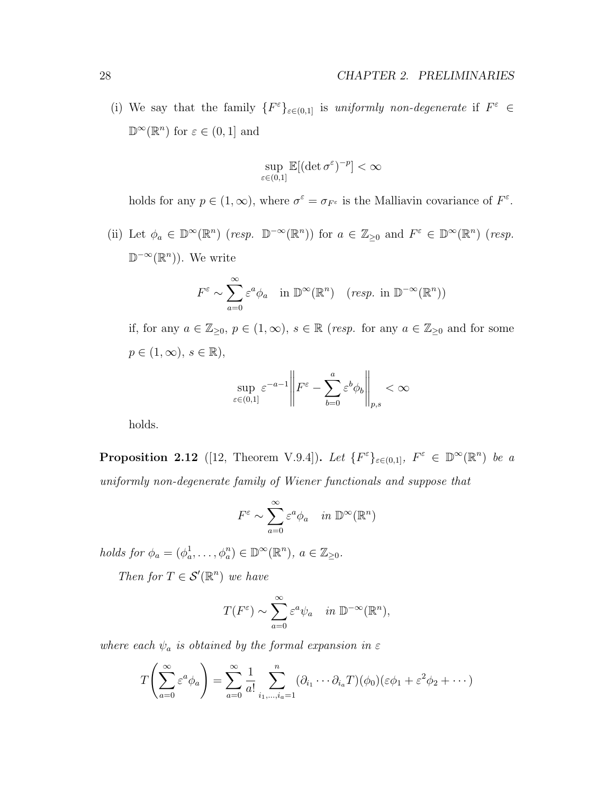(i) We say that the family  ${F^{\varepsilon}}_{\varepsilon(0,1]}$  is *uniformly non-degenerate* if  $F^{\varepsilon} \in$  $\mathbb{D}^{\infty}(\mathbb{R}^{n})$  for  $\varepsilon \in (0,1]$  and

$$
\sup_{\varepsilon \in (0,1]} \mathbb{E}[(\det \sigma^{\varepsilon})^{-p}] < \infty
$$

holds for any  $p \in (1, \infty)$ , where  $\sigma^{\varepsilon} = \sigma_{F^{\varepsilon}}$  is the Malliavin covariance of  $F^{\varepsilon}$ .

(ii) Let  $\phi_a \in \mathbb{D}^{\infty}(\mathbb{R}^n)$  (*resp.*  $\mathbb{D}^{-\infty}(\mathbb{R}^n)$ ) for  $a \in \mathbb{Z}_{\geq 0}$  and  $F^{\varepsilon} \in \mathbb{D}^{\infty}(\mathbb{R}^n)$  (*resp.* D *−∞*(R *n* )). We write

$$
F^{\varepsilon} \sim \sum_{a=0}^{\infty} \varepsilon^{a} \phi_{a} \quad \text{in } \mathbb{D}^{\infty}(\mathbb{R}^{n}) \quad (resp. \text{ in } \mathbb{D}^{-\infty}(\mathbb{R}^{n}))
$$

if, for any  $a \in \mathbb{Z}_{\geq 0}$ ,  $p \in (1, \infty)$ ,  $s \in \mathbb{R}$  (*resp.* for any  $a \in \mathbb{Z}_{\geq 0}$  and for some  $p \in (1, \infty), s \in \mathbb{R}$ ,

$$
\sup_{\varepsilon \in (0,1]} \varepsilon^{-a-1} \Bigg\| F^{\varepsilon} - \sum_{b=0}^a \varepsilon^b \phi_b \Bigg\|_{p,s} < \infty
$$

holds.

**Proposition 2.12** ([12, Theorem V.9.4]). Let  $\{F^{\varepsilon}\}_{\varepsilon\in(0,1]}, F^{\varepsilon} \in \mathbb{D}^{\infty}(\mathbb{R}^{n})$  be a *uniformly non-degenerate family of Wiener functionals and suppose that*

$$
F^{\varepsilon} \sim \sum_{a=0}^{\infty} \varepsilon^{a} \phi_{a} \quad in \ \mathbb{D}^{\infty}(\mathbb{R}^{n})
$$

*holds for*  $\phi_a = (\phi_a^1, \ldots, \phi_a^n) \in \mathbb{D}^\infty(\mathbb{R}^n)$ ,  $a \in \mathbb{Z}_{\geq 0}$ .

*Then for*  $T \in \mathcal{S}'(\mathbb{R}^n)$  *we have* 

$$
T(F^{\varepsilon}) \sim \sum_{a=0}^{\infty} \varepsilon^{a} \psi_{a} \quad in \ \mathbb{D}^{-\infty}(\mathbb{R}^{n}),
$$

*where each*  $\psi_a$  *is obtained by the formal expansion in*  $\varepsilon$ 

$$
T\left(\sum_{a=0}^{\infty} \varepsilon^a \phi_a\right) = \sum_{a=0}^{\infty} \frac{1}{a!} \sum_{i_1,\dots,i_a=1}^n (\partial_{i_1} \cdots \partial_{i_a} T)(\phi_0)(\varepsilon \phi_1 + \varepsilon^2 \phi_2 + \cdots)
$$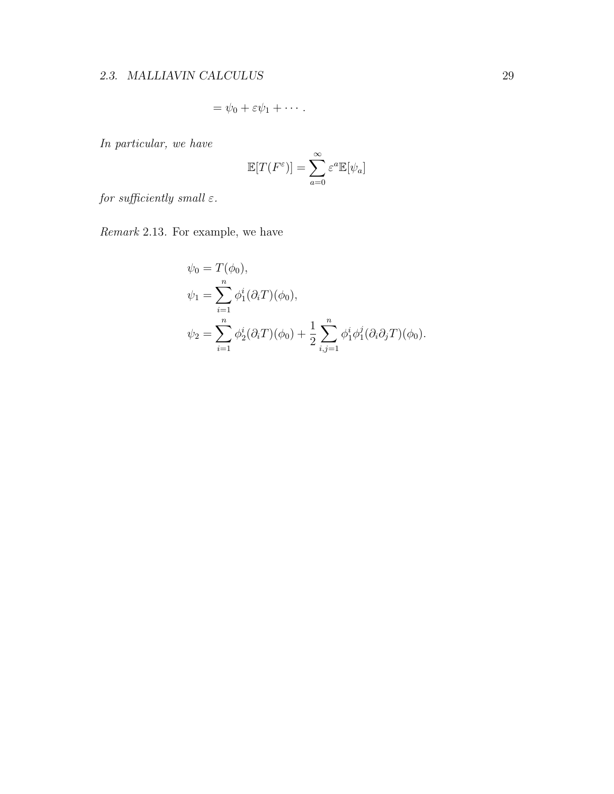#### *2.3. MALLIAVIN CALCULUS* 29

$$
= \psi_0 + \varepsilon \psi_1 + \cdots.
$$

*In particular, we have*

$$
\mathbb{E}[T(F^{\varepsilon})] = \sum_{a=0}^{\infty} \varepsilon^{a} \mathbb{E}[\psi_{a}]
$$

*for sufficiently small ε.*

*Remark* 2.13*.* For example, we have

$$
\psi_0 = T(\phi_0), \n\psi_1 = \sum_{i=1}^n \phi_1^i(\partial_i T)(\phi_0), \n\psi_2 = \sum_{i=1}^n \phi_2^i(\partial_i T)(\phi_0) + \frac{1}{2} \sum_{i,j=1}^n \phi_1^i \phi_1^j(\partial_i \partial_j T)(\phi_0).
$$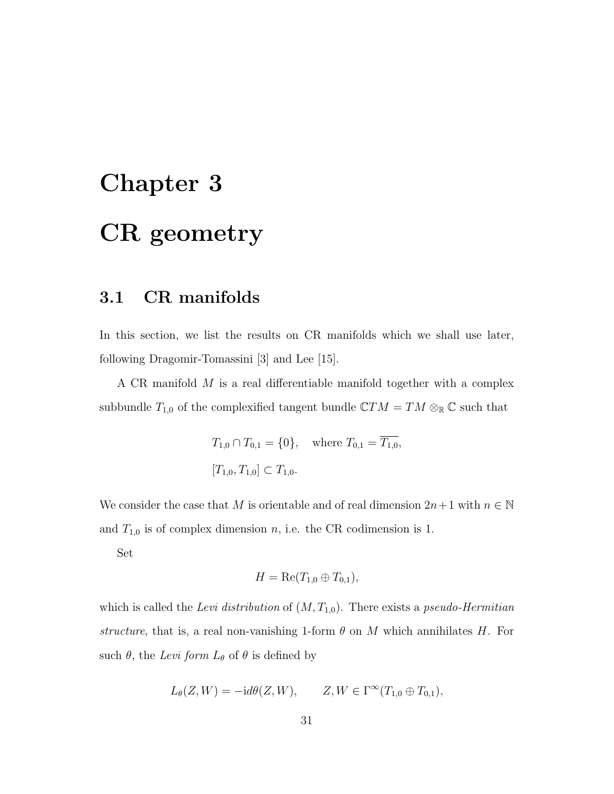# **Chapter 3 CR geometry**

## **3.1 CR manifolds**

In this section, we list the results on CR manifolds which we shall use later, following Dragomir-Tomassini [3] and Lee [15].

A CR manifold *M* is a real differentiable manifold together with a complex subbundle  $T_{1,0}$  of the complexified tangent bundle  $\mathbb{C}TM = TM \otimes_{\mathbb{R}} \mathbb{C}$  such that

$$
T_{1,0} \cap T_{0,1} = \{0\}, \text{ where } T_{0,1} = \overline{T_{1,0}},
$$
  
 $[T_{1,0}, T_{1,0}] \subset T_{1,0}.$ 

We consider the case that *M* is orientable and of real dimension  $2n+1$  with  $n \in \mathbb{N}$ and  $T_{1,0}$  is of complex dimension *n*, i.e. the CR codimension is 1.

Set

$$
H = \text{Re}(T_{1,0} \oplus T_{0,1}),
$$

which is called the *Levi distribution* of (*M, T*1*,*0). There exists a *pseudo-Hermitian structure*, that is, a real non-vanishing 1-form  $\theta$  on  $M$  which annihilates  $H$ . For such  $\theta$ , the *Levi form*  $L_{\theta}$  of  $\theta$  is defined by

$$
L_{\theta}(Z,W) = -id\theta(Z,W), \qquad Z, W \in \Gamma^{\infty}(T_{1,0} \oplus T_{0,1}),
$$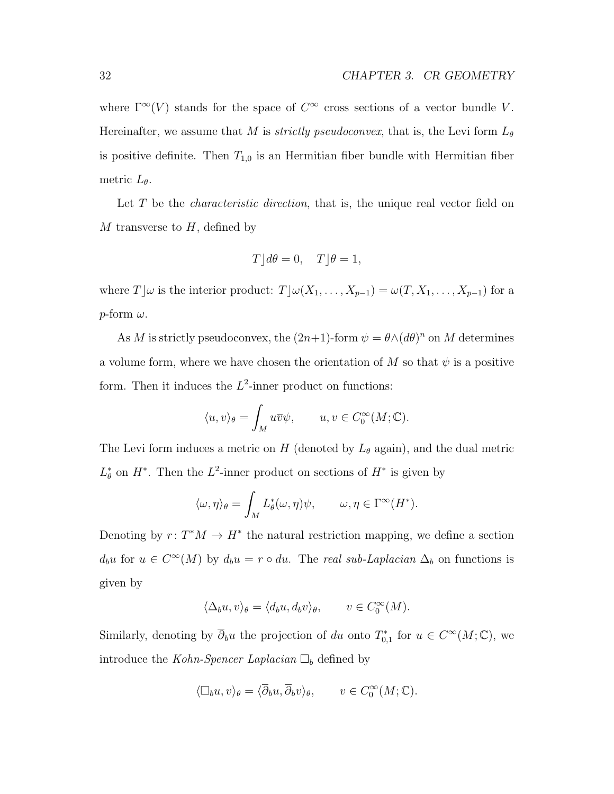where  $\Gamma^{\infty}(V)$  stands for the space of  $C^{\infty}$  cross sections of a vector bundle *V*. Hereinafter, we assume that *M* is *strictly pseudoconvex*, that is, the Levi form  $L_{\theta}$ is positive definite. Then  $T_{1,0}$  is an Hermitian fiber bundle with Hermitian fiber metric *Lθ*.

Let *T* be the *characteristic direction*, that is, the unique real vector field on *M* transverse to *H*, defined by

$$
T \rfloor d\theta = 0, \quad T \rfloor \theta = 1,
$$

where  $T\rfloor\omega$  is the interior product:  $T\rfloor\omega(X_1,\ldots,X_{p-1}) = \omega(T, X_1,\ldots,X_{p-1})$  for a *p*-form *ω*.

As *M* is strictly pseudoconvex, the  $(2n+1)$ -form  $\psi = \theta \wedge (d\theta)^n$  on *M* determines a volume form, where we have chosen the orientation of  $M$  so that  $\psi$  is a positive form. Then it induces the  $L^2$ -inner product on functions:

$$
\langle u, v \rangle_{\theta} = \int_M u \overline{v} \psi, \qquad u, v \in C_0^{\infty}(M; \mathbb{C}).
$$

The Levi form induces a metric on  $H$  (denoted by  $L_{\theta}$  again), and the dual metric  $L^*_{\theta}$  on *H*<sup>\*</sup>. Then the *L*<sup>2</sup>-inner product on sections of *H*<sup>\*</sup> is given by

$$
\langle \omega, \eta \rangle_{\theta} = \int_M L_{\theta}^*(\omega, \eta) \psi, \qquad \omega, \eta \in \Gamma^{\infty}(H^*).
$$

Denoting by  $r: T^*M \to H^*$  the natural restriction mapping, we define a section  $d_b u$  for  $u \in C^\infty(M)$  by  $d_b u = r \circ du$ . The *real sub-Laplacian*  $\Delta_b$  on functions is given by

$$
\langle \Delta_b u, v \rangle_{\theta} = \langle d_b u, d_b v \rangle_{\theta}, \qquad v \in C_0^{\infty}(M).
$$

Similarly, denoting by  $\overline{\partial}_b u$  the projection of *du* onto  $T^*_{0,1}$  for  $u \in C^{\infty}(M; \mathbb{C})$ , we introduce the *Kohn-Spencer Laplacian*  $\square_b$  defined by

$$
\langle \Box_b u, v \rangle_{\theta} = \langle \overline{\partial}_b u, \overline{\partial}_b v \rangle_{\theta}, \qquad v \in C_0^{\infty}(M; \mathbb{C}).
$$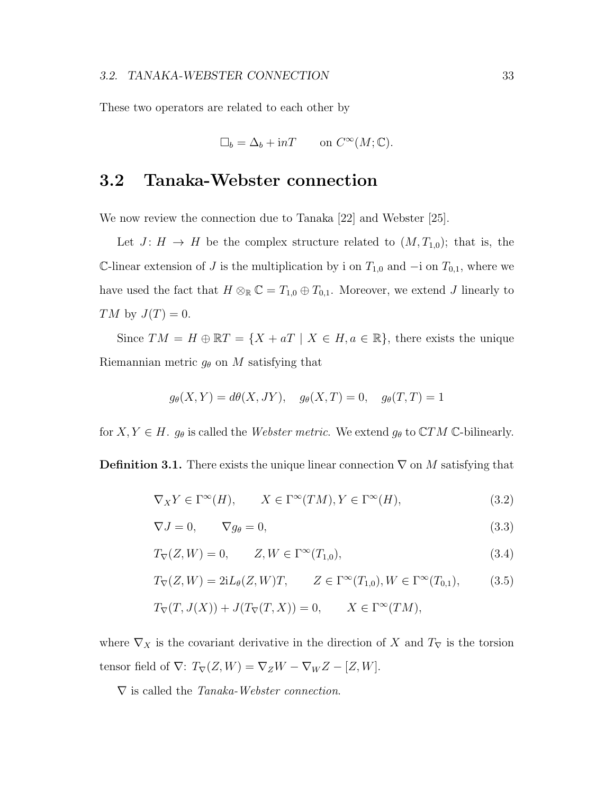These two operators are related to each other by

$$
\Box_b = \Delta_b + \mathrm{i} n T \qquad \text{on } C^\infty(M; \mathbb{C}).
$$

# **3.2 Tanaka-Webster connection**

We now review the connection due to Tanaka [22] and Webster [25].

Let  $J: H \to H$  be the complex structure related to  $(M, T_{1,0})$ ; that is, the C-linear extension of *J* is the multiplication by i on  $T_{1,0}$  and  $−i$  on  $T_{0,1}$ , where we have used the fact that  $H \otimes_{\mathbb{R}} \mathbb{C} = T_{1,0} \oplus T_{0,1}$ . Moreover, we extend *J* linearly to *TM* by  $J(T) = 0$ .

Since  $TM = H \oplus \mathbb{R}T = \{X + aT \mid X \in H, a \in \mathbb{R}\}$ , there exists the unique Riemannian metric  $g_{\theta}$  on *M* satisfying that

$$
g_{\theta}(X,Y) = d\theta(X,JY), \quad g_{\theta}(X,T) = 0, \quad g_{\theta}(T,T) = 1
$$

for *X*,  $Y \in H$ . *g*<sup> $\theta$ </sup> is called the *Webster metric*. We extend *g*<sup> $\theta$ </sup> to  $\mathbb{C}TM$  C-bilinearly.

**Definition 3.1.** There exists the unique linear connection *∇* on *M* satisfying that

$$
\nabla_X Y \in \Gamma^\infty(H), \qquad X \in \Gamma^\infty(TM), Y \in \Gamma^\infty(H), \tag{3.2}
$$

$$
\nabla J = 0, \qquad \nabla g_{\theta} = 0,
$$
\n(3.3)

$$
T_{\nabla}(Z,W) = 0, \qquad Z, W \in \Gamma^{\infty}(T_{1,0}), \tag{3.4}
$$

$$
T_{\nabla}(Z,W) = 2iL_{\theta}(Z,W)T, \qquad Z \in \Gamma^{\infty}(T_{1,0}), W \in \Gamma^{\infty}(T_{0,1}), \tag{3.5}
$$

$$
T_{\nabla}(T, J(X)) + J(T_{\nabla}(T, X)) = 0, \qquad X \in \Gamma^{\infty}(TM),
$$

where  $\nabla_X$  is the covariant derivative in the direction of *X* and  $T_\nabla$  is the torsion tensor field of  $\nabla$ :  $T_{\nabla}(Z, W) = \nabla_Z W - \nabla_W Z - [Z, W].$ 

*∇* is called the *Tanaka-Webster connection*.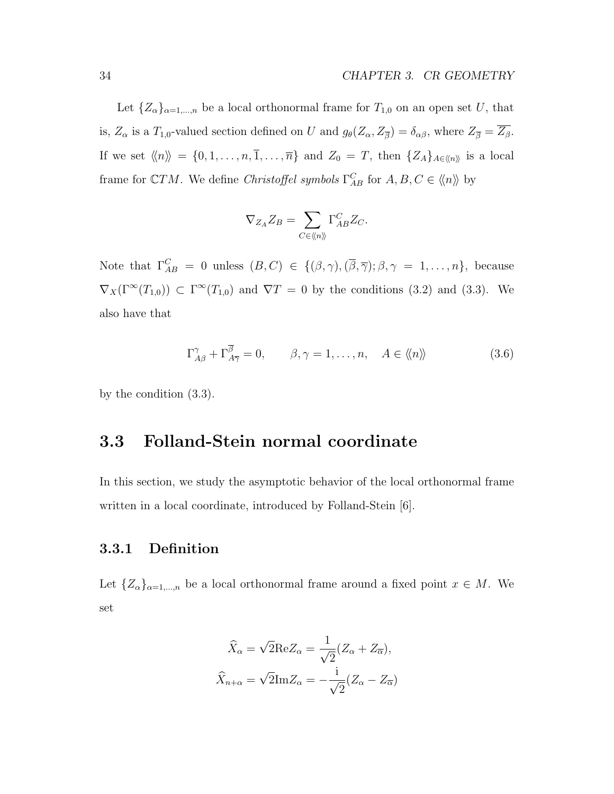Let  ${Z_\alpha}_{\alpha=1,\dots,n}$  be a local orthonormal frame for  $T_{1,0}$  on an open set *U*, that is,  $Z_{\alpha}$  is a  $T_{1,0}$ -valued section defined on *U* and  $g_{\theta}(Z_{\alpha}, Z_{\overline{\beta}}) = \delta_{\alpha\beta}$ , where  $Z_{\overline{\beta}} = Z_{\beta}$ . If we set  $\langle\langle n \rangle\rangle = \{0, 1, \ldots, n, \overline{1}, \ldots, \overline{n}\}$  and  $Z_0 = T$ , then  $\{Z_A\}_{A \in \langle\langle n \rangle\rangle}$  is a local frame for  $\mathbb{C}TM$ . We define *Christoffel symbols*  $\Gamma_{AB}^C$  for  $A, B, C \in \langle \langle n \rangle \rangle$  by

$$
\nabla_{Z_A} Z_B = \sum_{C \in \langle \langle n \rangle \rangle} \Gamma_{AB}^C Z_C.
$$

Note that  $\Gamma_{AB}^C = 0$  unless  $(B, C) \in \{(\beta, \gamma), (\overline{\beta}, \overline{\gamma}); \beta, \gamma = 1, \ldots, n\}$ , because  $\nabla_X(\Gamma^\infty(T_{1,0})) \subset \Gamma^\infty(T_{1,0})$  and  $\nabla T = 0$  by the conditions (3.2) and (3.3). We also have that

$$
\Gamma_{A\beta}^{\gamma} + \Gamma_{A\overline{\gamma}}^{\beta} = 0, \qquad \beta, \gamma = 1, \dots, n, \quad A \in \langle\!\langle n \rangle\!\rangle
$$
 (3.6)

by the condition (3.3).

# **3.3 Folland-Stein normal coordinate**

In this section, we study the asymptotic behavior of the local orthonormal frame written in a local coordinate, introduced by Folland-Stein [6].

#### **3.3.1 Definition**

Let  ${Z_\alpha}_{\alpha=1,\dots,n}$  be a local orthonormal frame around a fixed point  $x \in M$ . We set

$$
\widehat{X}_{\alpha} = \sqrt{2} \text{Re} Z_{\alpha} = \frac{1}{\sqrt{2}} (Z_{\alpha} + Z_{\overline{\alpha}}),
$$

$$
\widehat{X}_{n+\alpha} = \sqrt{2} \text{Im} Z_{\alpha} = -\frac{i}{\sqrt{2}} (Z_{\alpha} - Z_{\overline{\alpha}})
$$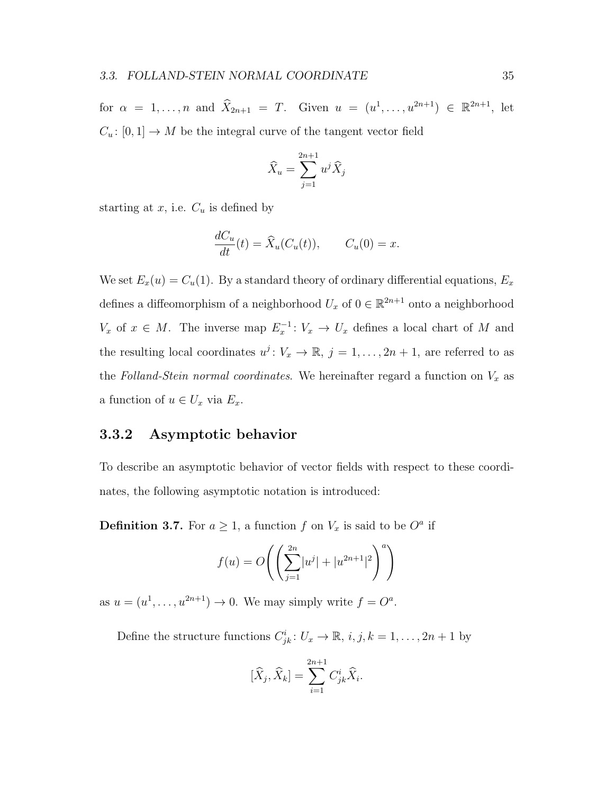for  $\alpha = 1, \ldots, n$  and  $\widehat{X}_{2n+1} = T$ . Given  $u = (u^1, \ldots, u^{2n+1}) \in \mathbb{R}^{2n+1}$ , let  $C_u: [0,1] \to M$  be the integral curve of the tangent vector field

$$
\widehat{X}_u = \sum_{j=1}^{2n+1} u^j \widehat{X}_j
$$

starting at  $x$ , i.e.  $C_u$  is defined by

$$
\frac{dC_u}{dt}(t) = \widehat{X}_u(C_u(t)), \qquad C_u(0) = x.
$$

We set  $E_x(u) = C_u(1)$ . By a standard theory of ordinary differential equations,  $E_x$ defines a diffeomorphism of a neighborhood  $U_x$  of  $0 \in \mathbb{R}^{2n+1}$  onto a neighborhood *V*<sup>*x*</sup> of *x* ∈ *M*. The inverse map  $E_x^{-1}: V_x → U_x$  defines a local chart of *M* and the resulting local coordinates  $u^j: V_x \to \mathbb{R}, j = 1, \ldots, 2n + 1$ , are referred to as the *Folland-Stein normal coordinates*. We hereinafter regard a function on  $V_x$  as a function of  $u \in U_x$  via  $E_x$ .

#### **3.3.2 Asymptotic behavior**

To describe an asymptotic behavior of vector fields with respect to these coordinates, the following asymptotic notation is introduced:

**Definition 3.7.** For  $a \geq 1$ , a function  $f$  on  $V_x$  is said to be  $O^a$  if

$$
f(u) = O\left(\left(\sum_{j=1}^{2n} |u^j| + |u^{2n+1}|^2\right)^a\right)
$$

as  $u = (u^1, \ldots, u^{2n+1}) \to 0$ . We may simply write  $f = O^a$ .

Define the structure functions  $C_{jk}^i: U_x \to \mathbb{R}, i, j, k = 1, \ldots, 2n + 1$  by

$$
[\widehat{X}_j, \widehat{X}_k] = \sum_{i=1}^{2n+1} C^i_{jk} \widehat{X}_i.
$$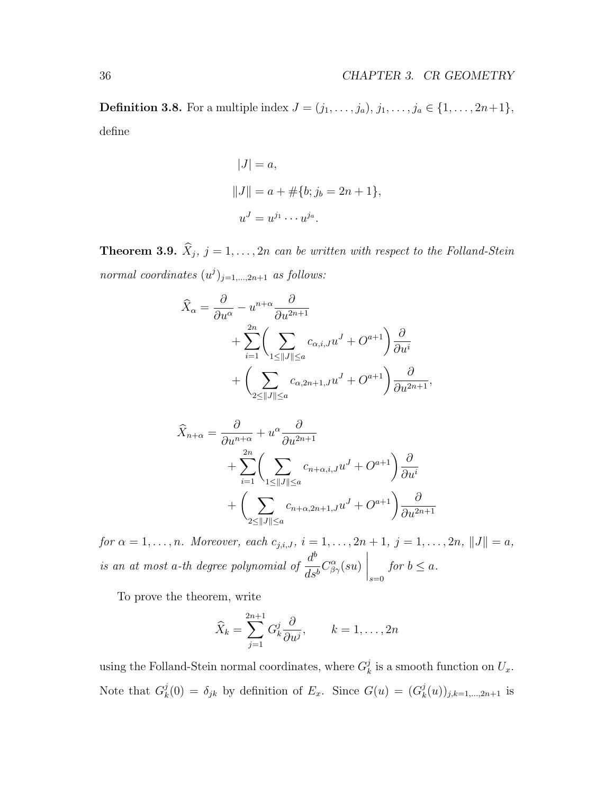**Definition 3.8.** For a multiple index  $J = (j_1, \ldots, j_a), j_1, \ldots, j_a \in \{1, \ldots, 2n+1\},\$ define

$$
|J| = a,
$$
  
\n $||J|| = a + #{b; jb = 2n + 1},$   
\n $uJ = uj1 \cdots uja.$ 

**Theorem 3.9.**  $X_j$ ,  $j = 1, \ldots, 2n$  *can be written with respect to the Folland-Stein normal coordinates*  $(u^j)_{j=1,\dots,2n+1}$  *as follows:* 

$$
\widehat{X}_{\alpha} = \frac{\partial}{\partial u^{\alpha}} - u^{n+\alpha} \frac{\partial}{\partial u^{2n+1}} \n+ \sum_{i=1}^{2n} \left( \sum_{1 \leq ||J|| \leq a} c_{\alpha,i,J} u^{J} + O^{a+1} \right) \frac{\partial}{\partial u^{i}} \n+ \left( \sum_{2 \leq ||J|| \leq a} c_{\alpha,2n+1,J} u^{J} + O^{a+1} \right) \frac{\partial}{\partial u^{2n+1}},
$$

$$
\widehat{X}_{n+\alpha} = \frac{\partial}{\partial u^{n+\alpha}} + u^{\alpha} \frac{\partial}{\partial u^{2n+1}} \n+ \sum_{i=1}^{2n} \left( \sum_{1 \leq ||J|| \leq a} c_{n+\alpha,i,J} u^J + O^{a+1} \right) \frac{\partial}{\partial u^i} \n+ \left( \sum_{2 \leq ||J|| \leq a} c_{n+\alpha,2n+1,J} u^J + O^{a+1} \right) \frac{\partial}{\partial u^{2n+1}}
$$

for  $\alpha = 1, ..., n$ . Moreover, each  $c_{j,i,J}$ ,  $i = 1, ..., 2n + 1$ ,  $j = 1, ..., 2n$ ,  $||J|| = a$ , *is an at most a-th degree polynomial of*  $\frac{d^b}{d^b}$  $\frac{a}{ds^b}C^\alpha_{\beta\gamma}(su)$  $\Big|$ <sub>s=0</sub> *for*  $b \leq a$ *.* 

To prove the theorem, write

$$
\widehat{X}_k = \sum_{j=1}^{2n+1} G_k^j \frac{\partial}{\partial u^j}, \qquad k = 1, \dots, 2n
$$

using the Folland-Stein normal coordinates, where  $G_k^j$  $\frac{J}{k}$  is a smooth function on  $U_x$ . Note that  $G_k^j$  $b_k^j(0) = \delta_{jk}$  by definition of  $E_x$ . Since  $G(u) = (G_k^j)$  $\binom{J}{k}(u)_{j,k=1,...,2n+1}$  is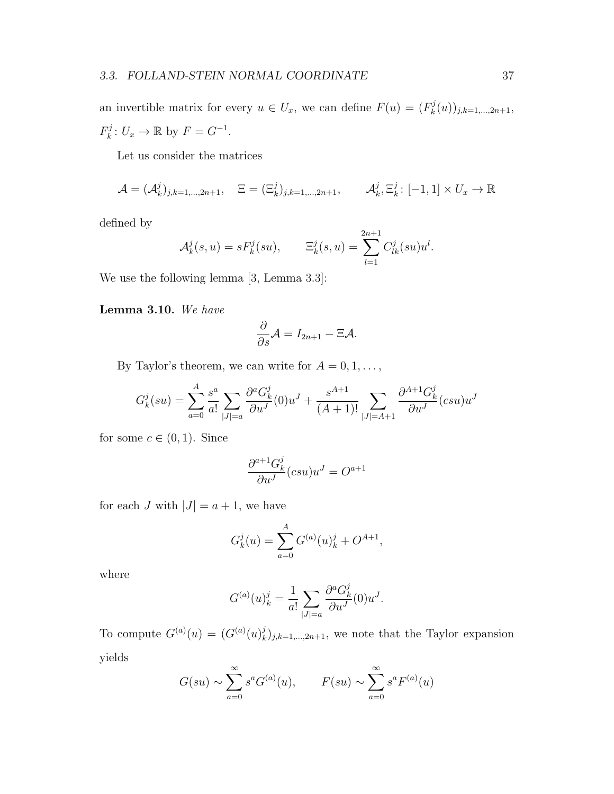an invertible matrix for every  $u \in U_x$ , we can define  $F(u) = (F_k^j)$  $h_k^{\jmath}(u))_{j,k=1,\dots,2n+1},$  $F_k^j$  $E_k^j: U_x \to \mathbb{R}$  by  $F = G^{-1}$ .

Let us consider the matrices

$$
\mathcal{A} = (\mathcal{A}_k^j)_{j,k=1,\dots,2n+1}, \quad \Xi = (\Xi_k^j)_{j,k=1,\dots,2n+1}, \qquad \mathcal{A}_k^j, \Xi_k^j: [-1,1] \times U_x \to \mathbb{R}
$$

defined by

$$
\mathcal{A}_{k}^{j}(s, u) = sF_{k}^{j}(su), \qquad \Xi_{k}^{j}(s, u) = \sum_{l=1}^{2n+1} C_{lk}^{j}(su)u^{l}.
$$

We use the following lemma [3, Lemma 3.3]:

**Lemma 3.10.** *We have*

$$
\frac{\partial}{\partial s} \mathcal{A} = I_{2n+1} - \Xi \mathcal{A}.
$$

By Taylor's theorem, we can write for  $A = 0, 1, \ldots$ ,

$$
G_k^j(su) = \sum_{a=0}^A \frac{s^a}{a!} \sum_{|J|=a} \frac{\partial^a G_k^j}{\partial u^J}(0) u^J + \frac{s^{A+1}}{(A+1)!} \sum_{|J|=A+1} \frac{\partial^{A+1} G_k^j}{\partial u^J}(c s u) u^J
$$

for some  $c \in (0, 1)$ . Since

$$
\frac{\partial^{a+1} G_k^j}{\partial u^J}(c s u) u^J=O^{a+1}
$$

for each *J* with  $|J| = a + 1$ , we have

$$
G_k^j(u) = \sum_{a=0}^A G^{(a)}(u)_k^j + O^{A+1},
$$

where

$$
G^{(a)}(u)_k^j = \frac{1}{a!} \sum_{|J|=a} \frac{\partial^a G_k^j}{\partial u^J}(0) u^J.
$$

To compute  $G^{(a)}(u) = (G^{(a)}(u))$  $\binom{J}{k}$ <sub>*j*,*k*=1,...,2*n*+1, we note that the Taylor expansion</sub> yields

$$
G(su) \sim \sum_{a=0}^{\infty} s^a G^{(a)}(u), \qquad F(su) \sim \sum_{a=0}^{\infty} s^a F^{(a)}(u)
$$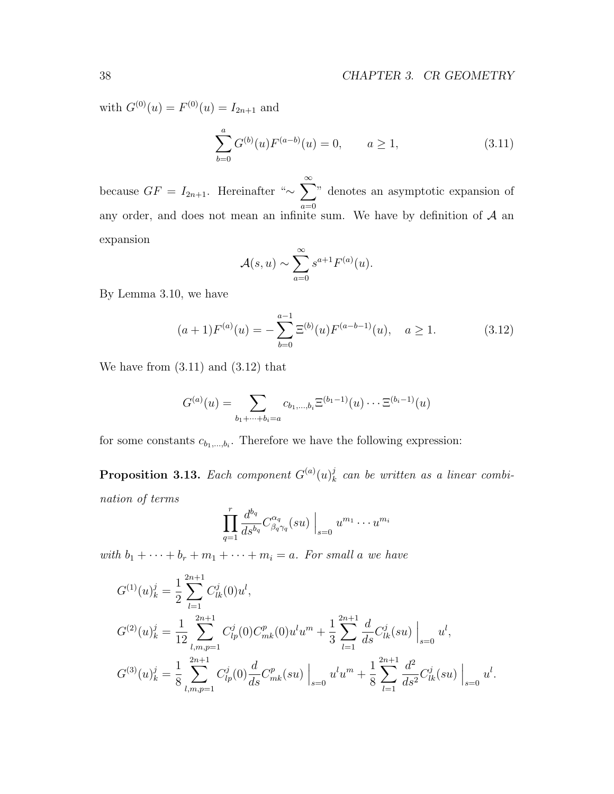with  $G^{(0)}(u) = F^{(0)}(u) = I_{2n+1}$  and

$$
\sum_{b=0}^{a} G^{(b)}(u) F^{(a-b)}(u) = 0, \qquad a \ge 1,
$$
\n(3.11)

because  $GF = I_{2n+1}$ . Hereinafter " $\sim \sum_{n=1}^{\infty}$ *a*=0 " denotes an asymptotic expansion of any order, and does not mean an infinite sum. We have by definition of *A* an expansion

$$
\mathcal{A}(s, u) \sim \sum_{a=0}^{\infty} s^{a+1} F^{(a)}(u).
$$

By Lemma 3.10, we have

$$
(a+1)F^{(a)}(u) = -\sum_{b=0}^{a-1} \Xi^{(b)}(u)F^{(a-b-1)}(u), \quad a \ge 1.
$$
 (3.12)

We have from  $(3.11)$  and  $(3.12)$  that

$$
G^{(a)}(u) = \sum_{b_1 + \dots + b_i = a} c_{b_1, \dots, b_i} \Xi^{(b_1 - 1)}(u) \cdots \Xi^{(b_i - 1)}(u)
$$

for some constants  $c_{b_1,\ldots,b_i}$ . Therefore we have the following expression:

**Proposition 3.13.** *Each component*  $G^{(a)}(u)$ <sup>*j*</sup><sup>*k*</sup> *k can be written as a linear combination of terms*

$$
\prod_{q=1}^r \frac{d^{b_q}}{ds^{b_q}} C^{\alpha_q}_{\beta_q \gamma_q}(su) \Big|_{s=0} u^{m_1} \cdots u^{m_i}
$$

*with*  $b_1 + \cdots + b_r + m_1 + \cdots + m_i = a$ *. For small a we have* 

$$
G^{(1)}(u)_k^j = \frac{1}{2} \sum_{l=1}^{2n+1} C_{lk}^j(0) u^l,
$$
  
\n
$$
G^{(2)}(u)_k^j = \frac{1}{12} \sum_{l,m,p=1}^{2n+1} C_{lp}^j(0) C_{mk}^p(0) u^l u^m + \frac{1}{3} \sum_{l=1}^{2n+1} \frac{d}{ds} C_{lk}^j(su) \Big|_{s=0} u^l,
$$
  
\n
$$
G^{(3)}(u)_k^j = \frac{1}{8} \sum_{l,m,p=1}^{2n+1} C_{lp}^j(0) \frac{d}{ds} C_{mk}^p(su) \Big|_{s=0} u^l u^m + \frac{1}{8} \sum_{l=1}^{2n+1} \frac{d^2}{ds^2} C_{lk}^j(su) \Big|_{s=0} u^l.
$$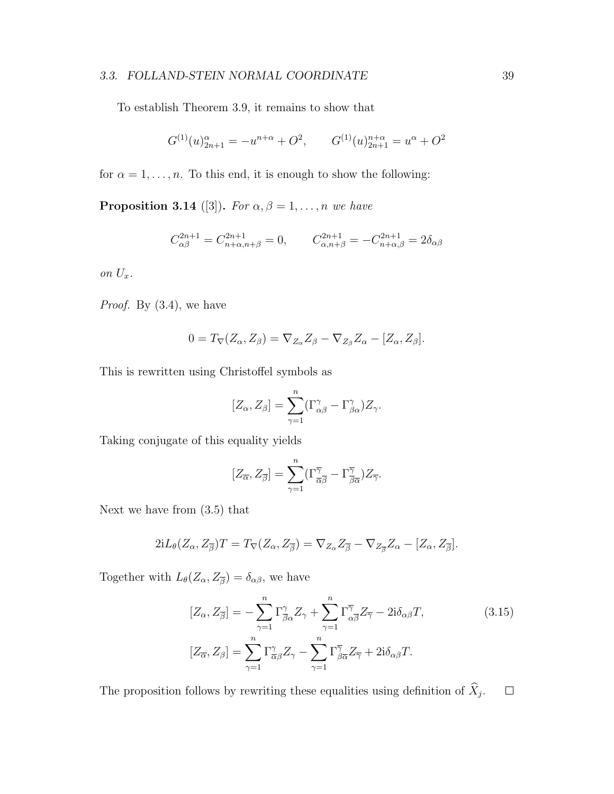#### *3.3. FOLLAND-STEIN NORMAL COORDINATE* 39

To establish Theorem 3.9, it remains to show that

$$
G^{(1)}(u)_{2n+1}^{\alpha} = -u^{n+\alpha} + O^2, \qquad G^{(1)}(u)_{2n+1}^{n+\alpha} = u^{\alpha} + O^2
$$

for  $\alpha = 1, \ldots, n$ . To this end, it is enough to show the following:

**Proposition 3.14** ([3]). *For*  $\alpha, \beta = 1, \ldots, n$  *we have* 

$$
C_{\alpha\beta}^{2n+1} = C_{n+\alpha,n+\beta}^{2n+1} = 0, \qquad C_{\alpha,n+\beta}^{2n+1} = -C_{n+\alpha,\beta}^{2n+1} = 2\delta_{\alpha\beta}
$$

 $\emph{on}$   $U_x.$ 

*Proof.* By (3.4), we have

$$
0=T_{\nabla}(Z_{\alpha},Z_{\beta})=\nabla_{Z_{\alpha}}Z_{\beta}-\nabla_{Z_{\beta}}Z_{\alpha}-[Z_{\alpha},Z_{\beta}].
$$

This is rewritten using Christoffel symbols as

$$
[Z_{\alpha}, Z_{\beta}] = \sum_{\gamma=1}^{n} (\Gamma^{\gamma}_{\alpha\beta} - \Gamma^{\gamma}_{\beta\alpha}) Z_{\gamma}.
$$

Taking conjugate of this equality yields

$$
[Z_{\overline{\alpha}}, Z_{\overline{\beta}}] = \sum_{\gamma=1}^{n} (\Gamma_{\overline{\alpha}\overline{\beta}}^{\overline{\gamma}} - \Gamma_{\overline{\beta}\overline{\alpha}}^{\overline{\gamma}}) Z_{\overline{\gamma}}.
$$

Next we have from (3.5) that

$$
2iL_{\theta}(Z_{\alpha}, Z_{\overline{\beta}})T = T_{\nabla}(Z_{\alpha}, Z_{\overline{\beta}}) = \nabla_{Z_{\alpha}}Z_{\overline{\beta}} - \nabla_{Z_{\overline{\beta}}}Z_{\alpha} - [Z_{\alpha}, Z_{\overline{\beta}}].
$$

Together with  $L_{\theta}(Z_{\alpha}, Z_{\overline{\beta}}) = \delta_{\alpha\beta}$ , we have

$$
[Z_{\alpha}, Z_{\overline{\beta}}] = -\sum_{\gamma=1}^{n} \Gamma^{\gamma}_{\overline{\beta}\alpha} Z_{\gamma} + \sum_{\gamma=1}^{n} \Gamma^{\overline{\gamma}}_{\alpha\overline{\beta}} Z_{\overline{\gamma}} - 2i\delta_{\alpha\beta}T,
$$
\n
$$
[Z_{\overline{\alpha}}, Z_{\beta}] = \sum_{\gamma=1}^{n} \Gamma^{\gamma}_{\overline{\alpha}\beta} Z_{\gamma} - \sum_{\gamma=1}^{n} \Gamma^{\overline{\gamma}}_{\beta\overline{\alpha}} Z_{\overline{\gamma}} + 2i\delta_{\alpha\beta}T.
$$
\n(3.15)

The proposition follows by rewriting these equalities using definition of  $X_j$ .  $\Box$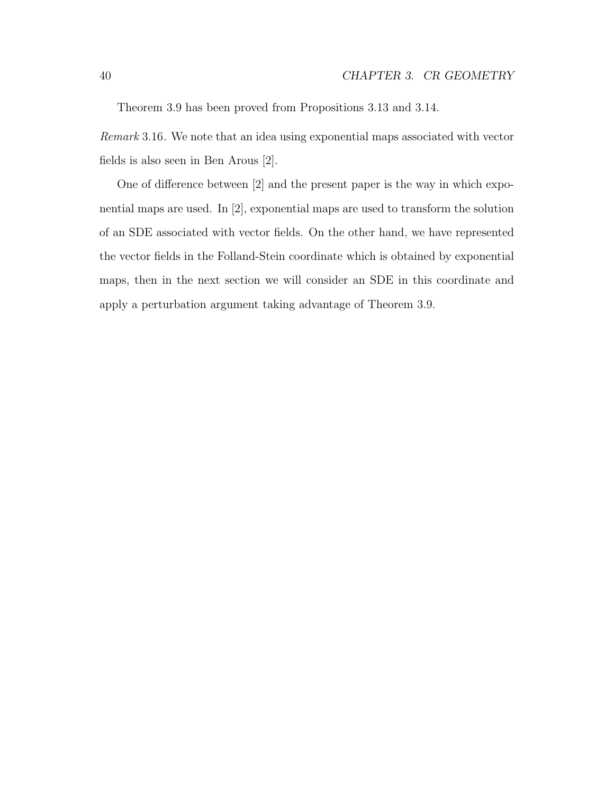Theorem 3.9 has been proved from Propositions 3.13 and 3.14.

*Remark* 3.16*.* We note that an idea using exponential maps associated with vector fields is also seen in Ben Arous [2].

One of difference between [2] and the present paper is the way in which exponential maps are used. In [2], exponential maps are used to transform the solution of an SDE associated with vector fields. On the other hand, we have represented the vector fields in the Folland-Stein coordinate which is obtained by exponential maps, then in the next section we will consider an SDE in this coordinate and apply a perturbation argument taking advantage of Theorem 3.9.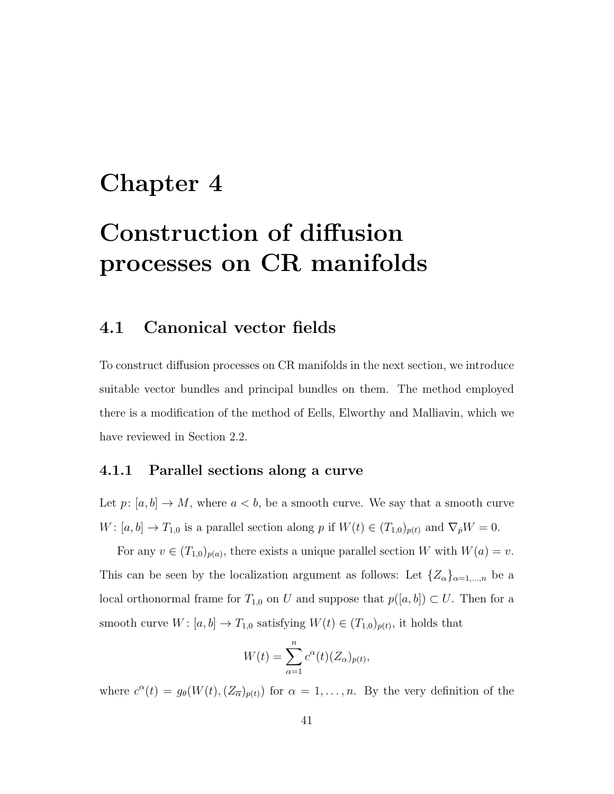# **Chapter 4**

# **Construction of diffusion processes on CR manifolds**

## **4.1 Canonical vector fields**

To construct diffusion processes on CR manifolds in the next section, we introduce suitable vector bundles and principal bundles on them. The method employed there is a modification of the method of Eells, Elworthy and Malliavin, which we have reviewed in Section 2.2.

#### **4.1.1 Parallel sections along a curve**

Let  $p: [a, b] \to M$ , where  $a < b$ , be a smooth curve. We say that a smooth curve *W* :  $[a, b] \to T_{1,0}$  is a parallel section along *p* if  $W(t) \in (T_{1,0})_{p(t)}$  and  $\nabla_p W = 0$ .

For any  $v \in (T_{1,0})_{p(a)}$ , there exists a unique parallel section *W* with  $W(a) = v$ . This can be seen by the localization argument as follows: Let  $\{Z_{\alpha}\}_{\alpha=1,\dots,n}$  be a local orthonormal frame for  $T_{1,0}$  on  $U$  and suppose that  $p([a, b]) \subset U$ . Then for a smooth curve  $W: [a, b] \to T_{1,0}$  satisfying  $W(t) \in (T_{1,0})_{p(t)}$ , it holds that

$$
W(t) = \sum_{\alpha=1}^{n} c^{\alpha}(t) (Z_{\alpha})_{p(t)},
$$

where  $c^{\alpha}(t) = g_{\theta}(W(t), (Z_{\overline{\alpha}})_{p(t)})$  for  $\alpha = 1, \ldots, n$ . By the very definition of the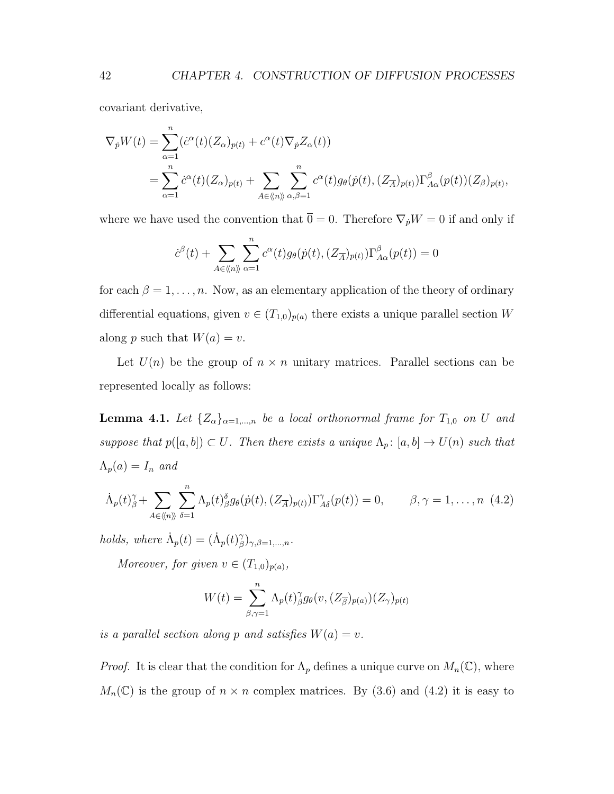covariant derivative,

$$
\nabla_{\dot{p}} W(t) = \sum_{\alpha=1}^{n} (\dot{c}^{\alpha}(t)(Z_{\alpha})_{p(t)} + c^{\alpha}(t)\nabla_{\dot{p}} Z_{\alpha}(t))
$$
  
= 
$$
\sum_{\alpha=1}^{n} \dot{c}^{\alpha}(t)(Z_{\alpha})_{p(t)} + \sum_{A \in \langle \langle n \rangle \rangle} \sum_{\alpha,\beta=1}^{n} c^{\alpha}(t) g_{\theta}(\dot{p}(t), (Z_{\overline{A}})_{p(t)}) \Gamma^{\beta}_{A\alpha}(p(t)) (Z_{\beta})_{p(t)},
$$

where we have used the convention that  $\overline{0} = 0$ . Therefore  $\nabla_p W = 0$  if and only if

$$
\dot{c}^{\beta}(t) + \sum_{A \in \langle \langle n \rangle \rangle} \sum_{\alpha=1}^{n} c^{\alpha}(t) g_{\theta}(\dot{p}(t), (Z_{\overline{A}})_{p(t)}) \Gamma_{A\alpha}^{\beta}(p(t)) = 0
$$

for each  $\beta = 1, \ldots, n$ . Now, as an elementary application of the theory of ordinary differential equations, given  $v \in (T_{1,0})_{p(a)}$  there exists a unique parallel section *W* along *p* such that  $W(a) = v$ .

Let  $U(n)$  be the group of  $n \times n$  unitary matrices. Parallel sections can be represented locally as follows:

**Lemma 4.1.** Let  $\{Z_{\alpha}\}_{{\alpha}=1,...,n}$  be a local orthonormal frame for  $T_{1,0}$  on U and *suppose that*  $p([a, b]) \subset U$ *. Then there exists a unique*  $\Lambda_p : [a, b] \to U(n)$  *such that*  $\Lambda_p(a) = I_n$  *and* 

$$
\dot{\Lambda}_p(t)_\beta^\gamma + \sum_{A \in \langle \langle n \rangle \rangle} \sum_{\delta=1}^n \Lambda_p(t)_\beta^\delta g_\theta(p(t), (Z_{\overline{A}})_{p(t)}) \Gamma_{A\delta}^\gamma(p(t)) = 0, \qquad \beta, \gamma = 1, \dots, n \tag{4.2}
$$

*holds, where*  $\dot{\Lambda}_p(t) = (\dot{\Lambda}_p(t))^{\gamma}_{\beta}$ *β* )*γ,β*=1*,...,n.*

*Moreover, for given*  $v \in (T_{1,0})_{p(a)}$ ,

$$
W(t) = \sum_{\beta,\gamma=1}^{n} \Lambda_p(t)_{\beta}^{\gamma} g_{\theta}(v, (Z_{\overline{\beta}})_{p(a)})(Z_{\gamma})_{p(t)}
$$

*is a parallel section along p and satisfies*  $W(a) = v$ *.* 

*Proof.* It is clear that the condition for  $\Lambda_p$  defines a unique curve on  $M_n(\mathbb{C})$ , where  $M_n(\mathbb{C})$  is the group of  $n \times n$  complex matrices. By (3.6) and (4.2) it is easy to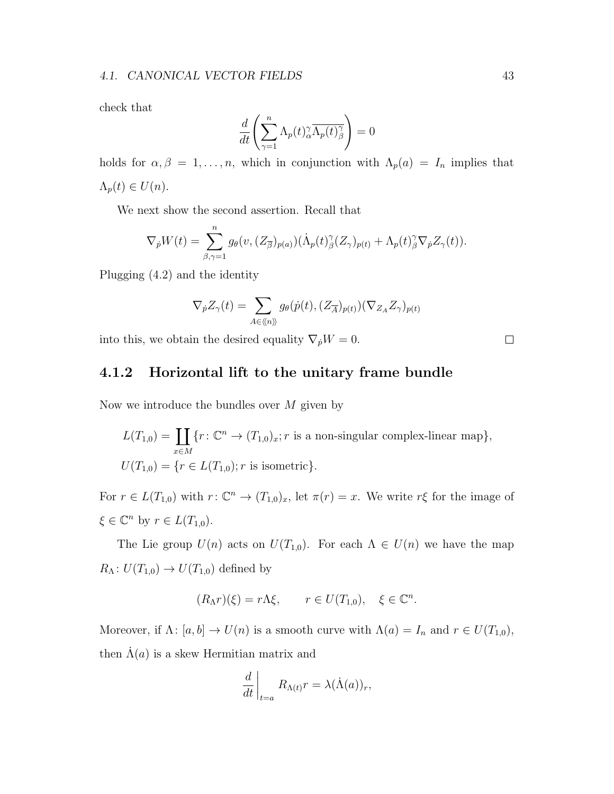check that

$$
\frac{d}{dt}\left(\sum_{\gamma=1}^n \Lambda_p(t)^\gamma_\alpha \overline{\Lambda_p(t)^{\gamma}_\beta}\right)=0
$$

holds for  $\alpha, \beta = 1, \ldots, n$ , which in conjunction with  $\Lambda_p(a) = I_n$  implies that  $\Lambda_p(t) \in U(n).$ 

We next show the second assertion. Recall that

$$
\nabla_{\dot{p}} W(t) = \sum_{\beta,\gamma=1}^{n} g_{\theta}(v,(Z_{\overline{\beta}})_{p(a)})(\dot{\Lambda}_{p}(t)_{\beta}^{\gamma}(Z_{\gamma})_{p(t)} + \Lambda_{p}(t)_{\beta}^{\gamma}\nabla_{\dot{p}}Z_{\gamma}(t)).
$$

Plugging (4.2) and the identity

$$
\nabla_{\dot{p}} Z_{\gamma}(t) = \sum_{A \in \langle \langle n \rangle \rangle} g_{\theta}(\dot{p}(t), (Z_{\overline{A}})_{p(t)}) (\nabla_{Z_A} Z_{\gamma})_{p(t)}
$$

into this, we obtain the desired equality  $\nabla_p W = 0$ .

#### **4.1.2 Horizontal lift to the unitary frame bundle**

Now we introduce the bundles over *M* given by

$$
L(T_{1,0}) = \coprod_{x \in M} \{r \colon \mathbb{C}^n \to (T_{1,0})_x; r \text{ is a non-singular complex-linear map}\},
$$
  

$$
U(T_{1,0}) = \{r \in L(T_{1,0}); r \text{ is isometric}\}.
$$

For  $r \in L(T_{1,0})$  with  $r: \mathbb{C}^n \to (T_{1,0})_x$ , let  $\pi(r) = x$ . We write  $r\xi$  for the image of  $\xi \in \mathbb{C}^n$  by  $r \in L(T_{1,0}).$ 

The Lie group  $U(n)$  acts on  $U(T_{1,0})$ . For each  $\Lambda \in U(n)$  we have the map  $R_\Lambda\colon U(T_{1,0})\to U(T_{1,0})$  defined by

$$
(R_{\Lambda}r)(\xi) = r\Lambda\xi, \qquad r \in U(T_{1,0}), \quad \xi \in \mathbb{C}^n.
$$

Moreover, if  $\Lambda$ :  $[a, b] \to U(n)$  is a smooth curve with  $\Lambda(a) = I_n$  and  $r \in U(T_{1,0}),$ then  $\Lambda(a)$  is a skew Hermitian matrix and

$$
\frac{d}{dt}\bigg|_{t=a} R_{\Lambda(t)} r = \lambda(\dot{\Lambda}(a))_r,
$$

 $\Box$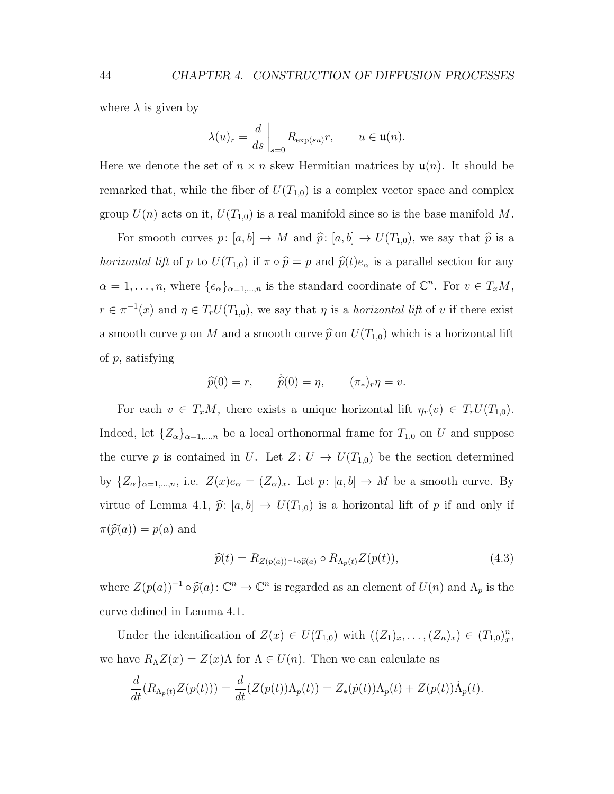where  $\lambda$  is given by

$$
\lambda(u)_r = \frac{d}{ds}\bigg|_{s=0} R_{\exp(su)} r, \qquad u \in \mathfrak{u}(n).
$$

Here we denote the set of  $n \times n$  skew Hermitian matrices by  $\mathfrak{u}(n)$ . It should be remarked that, while the fiber of  $U(T_{1,0})$  is a complex vector space and complex group  $U(n)$  acts on it,  $U(T_{1,0})$  is a real manifold since so is the base manifold M.

For smooth curves  $p: [a, b] \to M$  and  $\hat{p}: [a, b] \to U(T_{1,0})$ , we say that  $\hat{p}$  is a *horizontal lift* of *p* to  $U(T_{1,0})$  if  $\pi \circ \hat{p} = p$  and  $\hat{p}(t)e_{\alpha}$  is a parallel section for any  $\alpha = 1, \ldots, n$ , where  $\{e_{\alpha}\}_{{\alpha}=1,\ldots,n}$  is the standard coordinate of  $\mathbb{C}^n$ . For  $v \in T_xM$ ,  $r \in \pi^{-1}(x)$  and  $\eta \in T_r U(T_{1,0})$ , we say that  $\eta$  is a *horizontal lift* of *v* if there exist a smooth curve p on M and a smooth curve  $\hat{p}$  on  $U(T_{1,0})$  which is a horizontal lift of *p*, satisfying

$$
\widehat{p}(0) = r, \qquad \dot{\widehat{p}}(0) = \eta, \qquad (\pi_*)_r \eta = v.
$$

For each  $v \in T_xM$ , there exists a unique horizontal lift  $\eta_r(v) \in T_rU(T_{1,0})$ . Indeed, let  $\{Z_{\alpha}\}_{{\alpha}=1,\dots,n}$  be a local orthonormal frame for  $T_{1,0}$  on *U* and suppose the curve *p* is contained in *U*. Let  $Z: U \to U(T_{1,0})$  be the section determined by  $\{Z_{\alpha}\}_{{\alpha}=1,\dots,n}$ , i.e.  $Z(x)e_{\alpha} = (Z_{\alpha})_x$ . Let  $p: [a, b] \to M$  be a smooth curve. By virtue of Lemma 4.1,  $\hat{p}: [a, b] \rightarrow U(T_{1,0})$  is a horizontal lift of *p* if and only if  $\pi(\widehat{p}(a)) = p(a)$  and

$$
\widehat{p}(t) = R_{Z(p(a))^{-1} \circ \widehat{p}(a)} \circ R_{\Lambda_p(t)} Z(p(t)), \qquad (4.3)
$$

where  $Z(p(a))^{-1} \circ \widehat{p}(a)$ :  $\mathbb{C}^n \to \mathbb{C}^n$  is regarded as an element of  $U(n)$  and  $\Lambda_p$  is the curve defined in Lemma 4.1.

Under the identification of  $Z(x) \in U(T_{1,0})$  with  $((Z_1)_x, \ldots, (Z_n)_x) \in (T_{1,0})^n_x$ , we have  $R_{\Lambda}Z(x) = Z(x)\Lambda$  for  $\Lambda \in U(n)$ . Then we can calculate as

$$
\frac{d}{dt}(R_{\Lambda_p(t)}Z(p(t))) = \frac{d}{dt}(Z(p(t))\Lambda_p(t)) = Z_*(\dot{p}(t))\Lambda_p(t) + Z(p(t))\dot{\Lambda}_p(t).
$$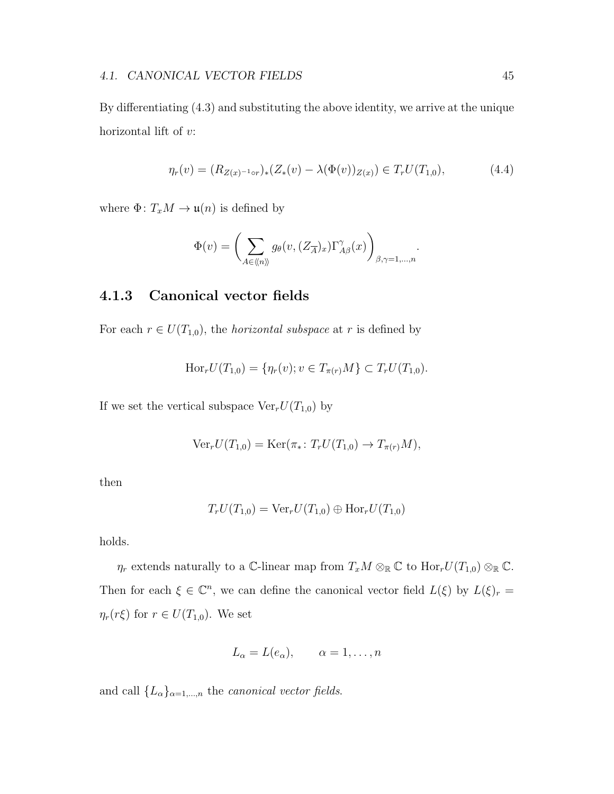By differentiating (4.3) and substituting the above identity, we arrive at the unique horizontal lift of *v*:

$$
\eta_r(v) = (R_{Z(x)^{-1}\circ r})_*(Z_*(v) - \lambda(\Phi(v))_{Z(x)}) \in T_rU(T_{1,0}),\tag{4.4}
$$

where  $\Phi: T_xM \to \mathfrak{u}(n)$  is defined by

$$
\Phi(v) = \left(\sum_{A \in \langle\!\langle n \rangle\!\rangle} g_\theta(v, (Z_{\overline{A}})_x) \Gamma_{A\beta}^{\gamma}(x)\right)_{\beta, \gamma = 1, ..., n}.
$$

## **4.1.3 Canonical vector fields**

For each  $r \in U(T_{1,0})$ , the *horizontal subspace* at  $r$  is defined by

$$
Hor_rU(T_{1,0}) = \{ \eta_r(v); v \in T_{\pi(r)}M \} \subset T_rU(T_{1,0}).
$$

If we set the vertical subspace  $Ver_rU(T_{1,0})$  by

$$
\text{Ver}_r U(T_{1,0}) = \text{Ker}(\pi_*\colon T_r U(T_{1,0}) \to T_{\pi(r)} M),
$$

then

$$
T_r U(T_{1,0}) = \text{Ver}_r U(T_{1,0}) \oplus \text{Hor}_r U(T_{1,0})
$$

holds.

*η*<sup>*r*</sup> extends naturally to a C-linear map from  $T_xM \otimes_R \mathbb{C}$  to  $\text{Hor}_rU(T_{1,0}) \otimes_R \mathbb{C}$ . Then for each  $\xi \in \mathbb{C}^n$ , we can define the canonical vector field  $L(\xi)$  by  $L(\xi)_r =$ *n*<sub>*r*</sub>( $r\xi$ ) for  $r \in U(T_{1,0})$ . We set

$$
L_{\alpha} = L(e_{\alpha}), \qquad \alpha = 1, \ldots, n
$$

and call  ${L_\alpha}_{\alpha=1,\dots,n}$  the *canonical vector fields*.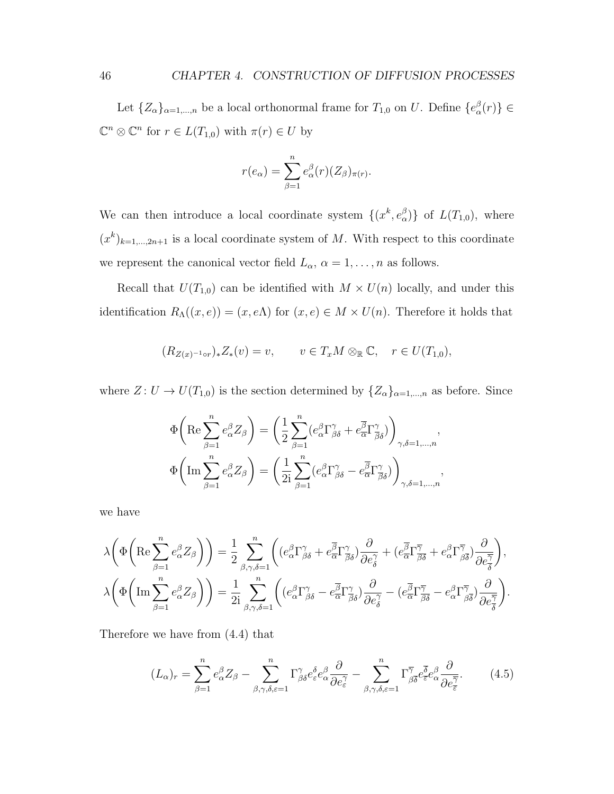Let  $\{Z_{\alpha}\}_{{\alpha}=1,\dots,n}$  be a local orthonormal frame for  $T_{1,0}$  on *U*. Define  $\{e_{\alpha}^{\beta}(r)\}\in$  $\mathbb{C}^n \otimes \mathbb{C}^n$  for  $r \in L(T_{1,0})$  with  $\pi(r) \in U$  by

$$
r(e_{\alpha}) = \sum_{\beta=1}^{n} e_{\alpha}^{\beta}(r)(Z_{\beta})_{\pi(r)}.
$$

We can then introduce a local coordinate system  $\{(x^k, e^{\beta}_\alpha)\}\$  of  $L(T_{1,0})$ , where  $(x^{k})_{k=1,\dots,2n+1}$  is a local coordinate system of *M*. With respect to this coordinate we represent the canonical vector field  $L_{\alpha}$ ,  $\alpha = 1, \ldots, n$  as follows.

Recall that  $U(T_{1,0})$  can be identified with  $M \times U(n)$  locally, and under this identification  $R_{\Lambda}((x, e)) = (x, e\Lambda)$  for  $(x, e) \in M \times U(n)$ . Therefore it holds that

$$
(R_{Z(x)^{-1}\circ r})_*Z_*(v)=v,\qquad v\in T_xM\otimes_{\mathbb{R}}\mathbb{C},\quad r\in U(T_{1,0}),
$$

where  $Z: U \to U(T_{1,0})$  is the section determined by  $\{Z_{\alpha}\}_{\alpha=1,\dots,n}$  as before. Since

$$
\Phi\left(\text{Re}\sum_{\beta=1}^{n}e_{\alpha}^{\beta}Z_{\beta}\right) = \left(\frac{1}{2}\sum_{\beta=1}^{n}(e_{\alpha}^{\beta}\Gamma_{\beta\delta}^{\gamma} + e_{\overline{\alpha}}^{\overline{\beta}}\Gamma_{\overline{\beta}\delta}^{\gamma})\right)_{\gamma,\delta=1,\dots,n},
$$
  

$$
\Phi\left(\text{Im}\sum_{\beta=1}^{n}e_{\alpha}^{\beta}Z_{\beta}\right) = \left(\frac{1}{2i}\sum_{\beta=1}^{n}(e_{\alpha}^{\beta}\Gamma_{\beta\delta}^{\gamma} - e_{\overline{\alpha}}^{\overline{\beta}}\Gamma_{\overline{\beta}\delta}^{\gamma})\right)_{\gamma,\delta=1,\dots,n},
$$

we have

$$
\lambda \bigg( \Phi \bigg( \text{Re} \sum_{\beta=1}^{n} e_{\alpha}^{\beta} Z_{\beta} \bigg) \bigg) = \frac{1}{2} \sum_{\beta, \gamma, \delta=1}^{n} \bigg( (e_{\alpha}^{\beta} \Gamma_{\beta\delta}^{\gamma} + e_{\overline{\alpha}}^{\overline{\beta}} \Gamma_{\overline{\beta}\delta}^{\gamma}) \frac{\partial}{\partial e_{\delta}^{\gamma}} + (e_{\overline{\alpha}}^{\overline{\beta}} \Gamma_{\overline{\beta}\delta}^{\overline{\gamma}} + e_{\alpha}^{\beta} \Gamma_{\overline{\beta}\delta}^{\overline{\gamma}}) \frac{\partial}{\partial e_{\delta}^{\overline{\gamma}}} \bigg),
$$
  

$$
\lambda \bigg( \Phi \bigg( \text{Im} \sum_{\beta=1}^{n} e_{\alpha}^{\beta} Z_{\beta} \bigg) \bigg) = \frac{1}{2i} \sum_{\beta, \gamma, \delta=1}^{n} \bigg( (e_{\alpha}^{\beta} \Gamma_{\beta\delta}^{\gamma} - e_{\overline{\alpha}}^{\overline{\beta}} \Gamma_{\overline{\beta}\delta}^{\gamma}) \frac{\partial}{\partial e_{\delta}^{\gamma}} - (e_{\overline{\alpha}}^{\overline{\beta}} \Gamma_{\overline{\beta}\delta}^{\overline{\gamma}} - e_{\alpha}^{\beta} \Gamma_{\beta\overline{\delta}}^{\overline{\gamma}}) \frac{\partial}{\partial e_{\overline{\delta}}^{\overline{\gamma}}} \bigg).
$$

Therefore we have from (4.4) that

$$
(L_{\alpha})_r = \sum_{\beta=1}^n e_{\alpha}^{\beta} Z_{\beta} - \sum_{\beta,\gamma,\delta,\varepsilon=1}^n \Gamma_{\beta\delta}^{\gamma} e_{\varepsilon}^{\delta} e_{\alpha}^{\beta} \frac{\partial}{\partial e_{\varepsilon}^{\gamma}} - \sum_{\beta,\gamma,\delta,\varepsilon=1}^n \Gamma_{\beta\overline{\delta}}^{\overline{\gamma}} e_{\varepsilon}^{\overline{\delta}} e_{\alpha}^{\beta} \frac{\partial}{\partial e_{\overline{\varepsilon}}^{\overline{\gamma}}}.
$$
(4.5)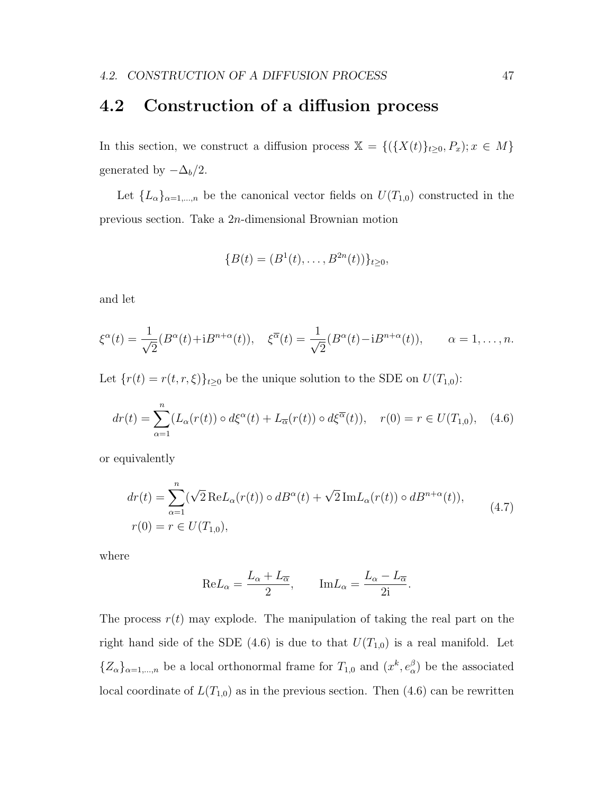## **4.2 Construction of a diffusion process**

In this section, we construct a diffusion process  $\mathbb{X} = \{(\{X(t)\}_{t\geq0}, P_x); x \in M\}$ generated by  $-\Delta_b/2$ .

Let  ${L_\alpha}_{\alpha=1,\dots,n}$  be the canonical vector fields on  $U(T_{1,0})$  constructed in the previous section. Take a 2*n*-dimensional Brownian motion

$$
\{B(t)=(B^1(t),\ldots,B^{2n}(t))\}_{t\geq 0},
$$

and let

$$
\xi^{\alpha}(t) = \frac{1}{\sqrt{2}}(B^{\alpha}(t) + iB^{n+\alpha}(t)), \quad \xi^{\overline{\alpha}}(t) = \frac{1}{\sqrt{2}}(B^{\alpha}(t) - iB^{n+\alpha}(t)), \qquad \alpha = 1, \dots, n.
$$

Let  $\{r(t) = r(t, r, \xi)\}_{t \geq 0}$  be the unique solution to the SDE on  $U(T_{1,0})$ :

$$
dr(t) = \sum_{\alpha=1}^{n} (L_{\alpha}(r(t)) \circ d\xi^{\alpha}(t) + L_{\overline{\alpha}}(r(t)) \circ d\xi^{\overline{\alpha}}(t)), \quad r(0) = r \in U(T_{1,0}), \quad (4.6)
$$

or equivalently

$$
dr(t) = \sum_{\alpha=1}^{n} (\sqrt{2} \operatorname{Re} L_{\alpha}(r(t)) \circ dB^{\alpha}(t) + \sqrt{2} \operatorname{Im} L_{\alpha}(r(t)) \circ dB^{n+\alpha}(t)),
$$
  
\n
$$
r(0) = r \in U(T_{1,0}),
$$
\n(4.7)

where

$$
\text{Re}L_{\alpha} = \frac{L_{\alpha} + L_{\overline{\alpha}}}{2}, \qquad \text{Im}L_{\alpha} = \frac{L_{\alpha} - L_{\overline{\alpha}}}{2i}.
$$

The process  $r(t)$  may explode. The manipulation of taking the real part on the right hand side of the SDE (4.6) is due to that  $U(T_{1,0})$  is a real manifold. Let  ${Z_\alpha}_{\alpha=1,\dots,n}$  be a local orthonormal frame for  $T_{1,0}$  and  $(x^k, e_\alpha^\beta)$  be the associated local coordinate of  $L(T_{1,0})$  as in the previous section. Then (4.6) can be rewritten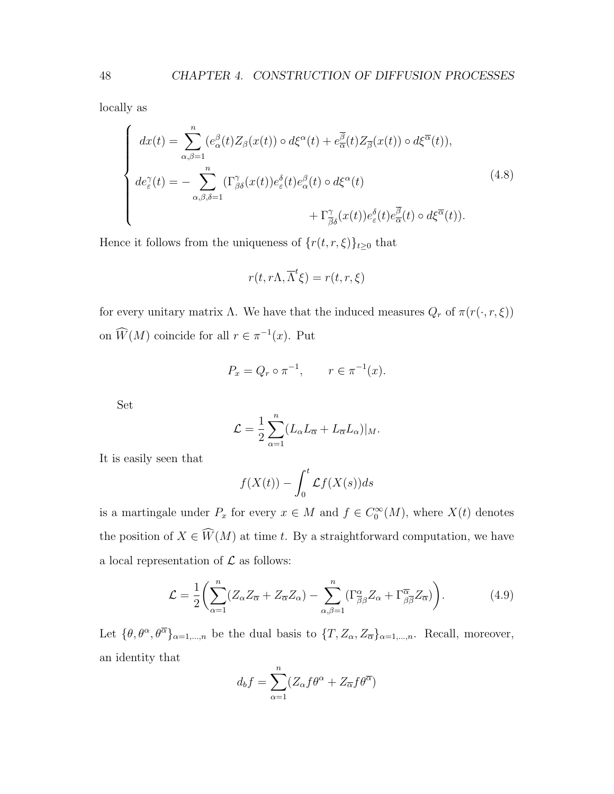locally as

$$
\begin{cases}\n dx(t) = \sum_{\alpha,\beta=1}^{n} (e_{\alpha}^{\beta}(t)Z_{\beta}(x(t)) \circ d\xi^{\alpha}(t) + e_{\overline{\alpha}}^{\overline{\beta}}(t)Z_{\overline{\beta}}(x(t)) \circ d\xi^{\overline{\alpha}}(t)), \\
 de_{\varepsilon}^{\gamma}(t) = -\sum_{\alpha,\beta,\delta=1}^{n} (\Gamma^{\gamma}_{\beta\delta}(x(t))e_{\varepsilon}^{\delta}(t)e_{\alpha}^{\beta}(t) \circ d\xi^{\alpha}(t) \\
 & + \Gamma^{\gamma}_{\overline{\beta}\delta}(x(t))e_{\varepsilon}^{\delta}(t)e_{\overline{\alpha}}^{\overline{\beta}}(t) \circ d\xi^{\overline{\alpha}}(t)).\n\end{cases} (4.8)
$$

Hence it follows from the uniqueness of  $\{r(t, r, \xi)\}_{t \geq 0}$  that

$$
r(t, r\Lambda, \overline{\Lambda}^t \xi) = r(t, r, \xi)
$$

for every unitary matrix  $\Lambda$ . We have that the induced measures  $Q_r$  of  $\pi(r(\cdot, r, \xi))$ on  $\widehat{W}(M)$  coincide for all  $r \in \pi^{-1}(x)$ . Put

$$
P_x = Q_r \circ \pi^{-1}, \qquad r \in \pi^{-1}(x).
$$

Set

$$
\mathcal{L} = \frac{1}{2} \sum_{\alpha=1}^{n} (L_{\alpha} L_{\overline{\alpha}} + L_{\overline{\alpha}} L_{\alpha})|_{M}.
$$

It is easily seen that

$$
f(X(t)) - \int_0^t \mathcal{L}f(X(s))ds
$$

is a martingale under  $P_x$  for every  $x \in M$  and  $f \in C_0^{\infty}(M)$ , where  $X(t)$  denotes the position of  $X \in \widehat{W}(M)$  at time *t*. By a straightforward computation, we have a local representation of *L* as follows:

$$
\mathcal{L} = \frac{1}{2} \left( \sum_{\alpha=1}^{n} (Z_{\alpha} Z_{\overline{\alpha}} + Z_{\overline{\alpha}} Z_{\alpha}) - \sum_{\alpha,\beta=1}^{n} (\Gamma^{\alpha}_{\overline{\beta}\beta} Z_{\alpha} + \Gamma^{\overline{\alpha}}_{\beta\overline{\beta}} Z_{\overline{\alpha}}) \right).
$$
(4.9)

Let  $\{\theta, \theta^{\alpha}, \theta^{\overline{\alpha}}\}_{\alpha=1,\dots,n}$  be the dual basis to  $\{T, Z_{\alpha}, Z_{\overline{\alpha}}\}_{\alpha=1,\dots,n}$ . Recall, moreover, an identity that

$$
d_b f = \sum_{\alpha=1}^n (Z_{\alpha} f \theta^{\alpha} + Z_{\overline{\alpha}} f \theta^{\overline{\alpha}})
$$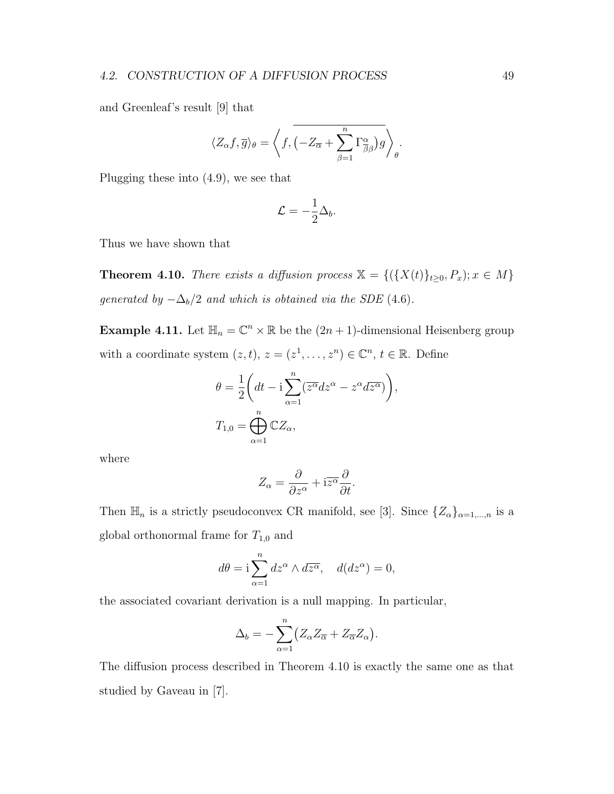#### *4.2. CONSTRUCTION OF A DIFFUSION PROCESS* 49

and Greenleaf's result [9] that

$$
\langle Z_{\alpha}f, \overline{g} \rangle_{\theta} = \left\langle f, \overline{\left(-Z_{\overline{\alpha}} + \sum_{\beta=1}^{n} \Gamma_{\overline{\beta}\beta}^{\alpha}\right)g} \right\rangle_{\theta}.
$$

Plugging these into (4.9), we see that

$$
\mathcal{L} = -\frac{1}{2}\Delta_b.
$$

Thus we have shown that

**Theorem 4.10.** *There exists a diffusion process*  $\mathbb{X} = \{(\{X(t)\}_{t\geq0}, P_x); x \in M\}$ *generated by*  $-\Delta_b/2$  *and which is obtained via the SDE* (4.6)*.* 

**Example 4.11.** Let  $\mathbb{H}_n = \mathbb{C}^n \times \mathbb{R}$  be the  $(2n+1)$ -dimensional Heisenberg group with a coordinate system  $(z, t)$ ,  $z = (z^1, \ldots, z^n) \in \mathbb{C}^n$ ,  $t \in \mathbb{R}$ . Define

$$
\theta = \frac{1}{2} \left( dt - i \sum_{\alpha=1}^{n} (\overline{z^{\alpha}} dz^{\alpha} - z^{\alpha} d\overline{z^{\alpha}}) \right),
$$
  

$$
T_{1,0} = \bigoplus_{\alpha=1}^{n} \mathbb{C} Z_{\alpha},
$$

where

$$
Z_{\alpha} = \frac{\partial}{\partial z^{\alpha}} + i\overline{z^{\alpha}} \frac{\partial}{\partial t}.
$$

Then  $\mathbb{H}_n$  is a strictly pseudoconvex CR manifold, see [3]. Since  $\{Z_\alpha\}_{\alpha=1,\dots,n}$  is a global orthonormal frame for *T*1*,*<sup>0</sup> and

$$
d\theta = \mathbf{i} \sum_{\alpha=1}^{n} dz^{\alpha} \wedge d\overline{z^{\alpha}}, \quad d(dz^{\alpha}) = 0,
$$

the associated covariant derivation is a null mapping. In particular,

$$
\Delta_b = -\sum_{\alpha=1}^n (Z_\alpha Z_{\overline{\alpha}} + Z_{\overline{\alpha}} Z_\alpha).
$$

The diffusion process described in Theorem 4.10 is exactly the same one as that studied by Gaveau in [7].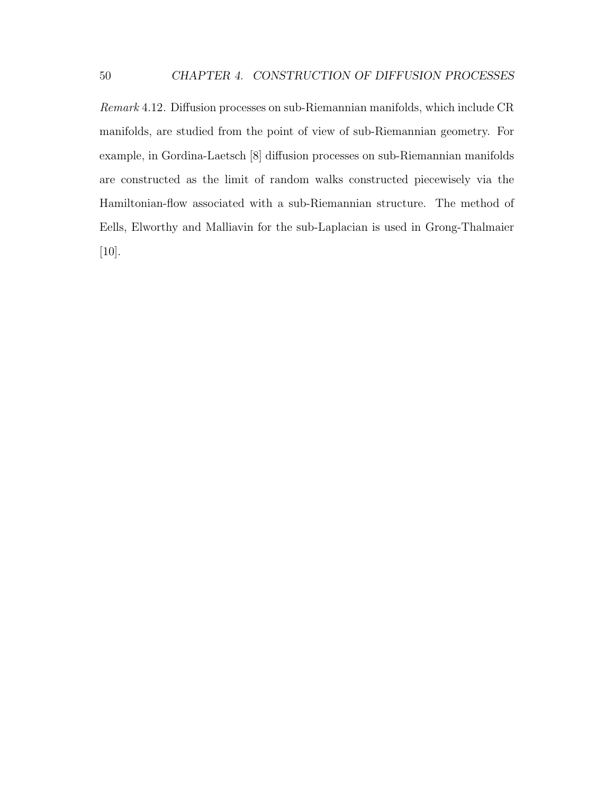*Remark* 4.12*.* Diffusion processes on sub-Riemannian manifolds, which include CR manifolds, are studied from the point of view of sub-Riemannian geometry. For example, in Gordina-Laetsch [8] diffusion processes on sub-Riemannian manifolds are constructed as the limit of random walks constructed piecewisely via the Hamiltonian-flow associated with a sub-Riemannian structure. The method of Eells, Elworthy and Malliavin for the sub-Laplacian is used in Grong-Thalmaier [10].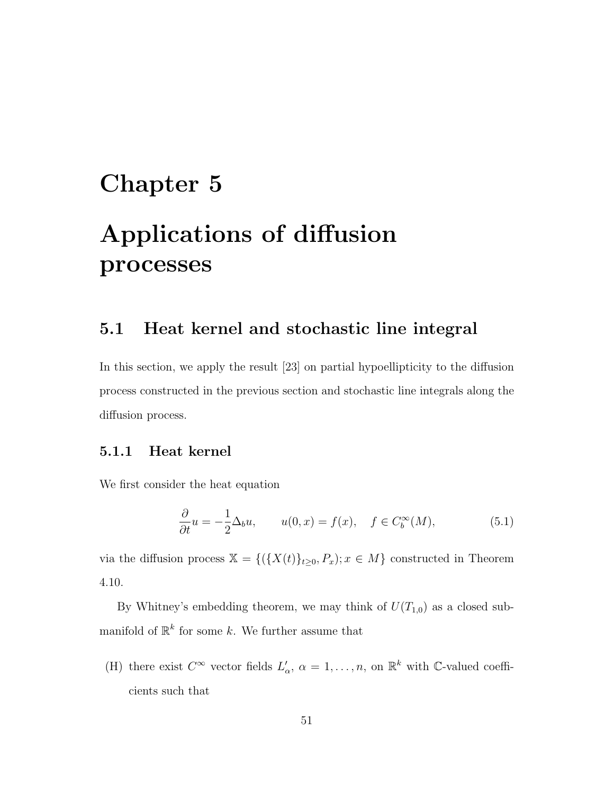# **Chapter 5**

# **Applications of diffusion processes**

# **5.1 Heat kernel and stochastic line integral**

In this section, we apply the result [23] on partial hypoellipticity to the diffusion process constructed in the previous section and stochastic line integrals along the diffusion process.

#### **5.1.1 Heat kernel**

We first consider the heat equation

$$
\frac{\partial}{\partial t}u = -\frac{1}{2}\Delta_b u, \qquad u(0, x) = f(x), \quad f \in C_b^{\infty}(M), \tag{5.1}
$$

via the diffusion process  $\mathbb{X} = \{ (\{X(t)\}_{t \geq 0}, P_x); x \in M \}$  constructed in Theorem 4.10.

By Whitney's embedding theorem, we may think of  $U(T_{1,0})$  as a closed submanifold of  $\mathbb{R}^k$  for some *k*. We further assume that

(H) there exist  $C^{\infty}$  vector fields  $L'_{\alpha}$ ,  $\alpha = 1, \ldots, n$ , on  $\mathbb{R}^k$  with C-valued coefficients such that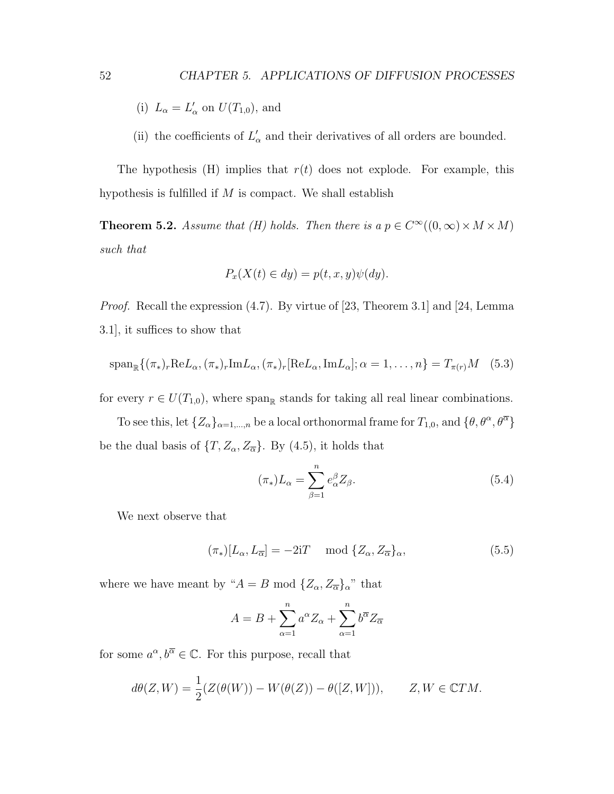- (i)  $L_{\alpha} = L'_{\alpha}$  on  $U(T_{1,0})$ , and
- (ii) the coefficients of  $L'_{\alpha}$  and their derivatives of all orders are bounded.

The hypothesis  $(H)$  implies that  $r(t)$  does not explode. For example, this hypothesis is fulfilled if *M* is compact. We shall establish

**Theorem 5.2.** *Assume that (H) holds. Then there is a*  $p \in C^{\infty}((0, \infty) \times M \times M)$ *such that*

$$
P_x(X(t) \in dy) = p(t, x, y)\psi(dy).
$$

*Proof.* Recall the expression (4.7). By virtue of [23, Theorem 3.1] and [24, Lemma 3.1], it suffices to show that

$$
\operatorname{span}_{\mathbb{R}}\{(\pi_*)_r \operatorname{Re} L_{\alpha}, (\pi_*)_r \operatorname{Im} L_{\alpha}, (\pi_*)_r [\operatorname{Re} L_{\alpha}, \operatorname{Im} L_{\alpha}]; \alpha = 1, \dots, n\} = T_{\pi(r)}M \quad (5.3)
$$

for every  $r \in U(T_{1,0})$ , where span<sub>R</sub> stands for taking all real linear combinations.

To see this, let  $\{Z_{\alpha}\}_{{\alpha}=1,\dots,n}$  be a local orthonormal frame for  $T_{1,0}$ , and  $\{\theta, \theta^{\alpha}, \theta^{\overline{\alpha}}\}$ be the dual basis of  $\{T, Z_\alpha, Z_{\overline{\alpha}}\}$ . By (4.5), it holds that

$$
(\pi_*)L_\alpha = \sum_{\beta=1}^n e_\alpha^\beta Z_\beta.
$$
 (5.4)

We next observe that

$$
(\pi_*)[L_\alpha, L_{\overline{\alpha}}] = -2iT \mod \{Z_\alpha, Z_{\overline{\alpha}}\}_\alpha,
$$
\n(5.5)

where we have meant by " $A = B \text{ mod } \{Z_\alpha, Z_{\overline{\alpha}}\}_\alpha$ " that

$$
A = B + \sum_{\alpha=1}^{n} a^{\alpha} Z_{\alpha} + \sum_{\alpha=1}^{n} b^{\overline{\alpha}} Z_{\overline{\alpha}}
$$

for some  $a^{\alpha}, b^{\overline{\alpha}} \in \mathbb{C}$ . For this purpose, recall that

$$
d\theta(Z,W) = \frac{1}{2}(Z(\theta(W)) - W(\theta(Z)) - \theta([Z,W])), \qquad Z, W \in \mathbb{C}TM.
$$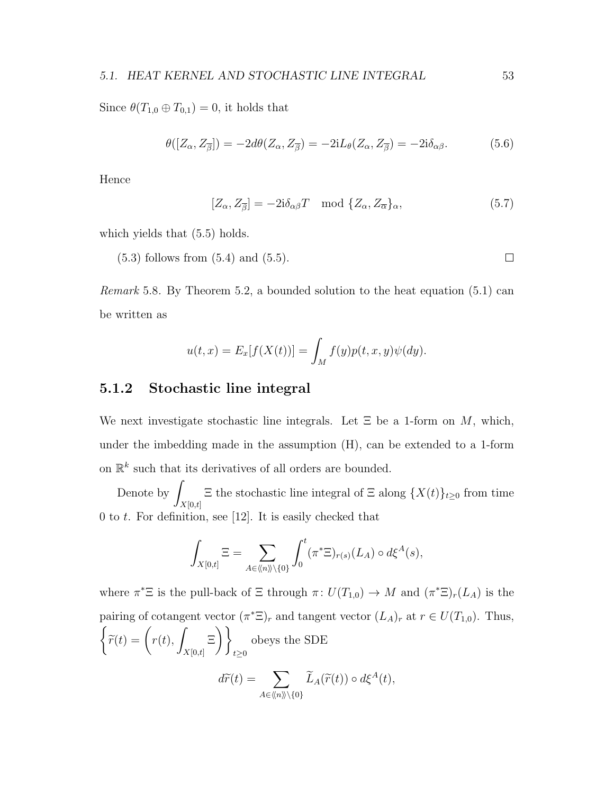Since  $\theta(T_{1,0} \oplus T_{0,1}) = 0$ , it holds that

$$
\theta([Z_{\alpha}, Z_{\overline{\beta}}]) = -2d\theta(Z_{\alpha}, Z_{\overline{\beta}}) = -2iL_{\theta}(Z_{\alpha}, Z_{\overline{\beta}}) = -2i\delta_{\alpha\beta}.
$$
 (5.6)

Hence

$$
[Z_{\alpha}, Z_{\overline{\beta}}] = -2i\delta_{\alpha\beta}T \mod \{Z_{\alpha}, Z_{\overline{\alpha}}\}_{\alpha},\tag{5.7}
$$

which yields that  $(5.5)$  holds.

 $(5.3)$  follows from  $(5.4)$  and  $(5.5)$ .  $\Box$ 

*Remark* 5.8*.* By Theorem 5.2, a bounded solution to the heat equation (5.1) can be written as

$$
u(t,x) = E_x[f(X(t))] = \int_M f(y)p(t,x,y)\psi(dy).
$$

#### **5.1.2 Stochastic line integral**

We next investigate stochastic line integrals. Let  $\Xi$  be a 1-form on *M*, which, under the imbedding made in the assumption (H), can be extended to a 1-form on  $\mathbb{R}^k$  such that its derivatives of all orders are bounded.

Denote by <sup>∫</sup> *X*[0*,t*]  $\Xi$  the stochastic line integral of  $\Xi$  along  $\{X(t)\}_{t\geq0}$  from time 0 to *t*. For definition, see [12]. It is easily checked that

$$
\int_{X[0,t]} \Xi = \sum_{A \in \langle \langle n \rangle \rangle \setminus \{0\}} \int_0^t (\pi^* \Xi)_{r(s)}(L_A) \circ d\xi^A(s),
$$

where  $\pi^* \Xi$  is the pull-back of  $\Xi$  through  $\pi: U(T_{1,0}) \to M$  and  $(\pi^* \Xi)_r(L_A)$  is the pairing of cotangent vector  $(\pi^* \Xi)_r$  and tangent vector  $(L_A)_r$  at  $r \in U(T_{1,0})$ . Thus,  $\left\{ \widetilde{r}(t) = \bigg(r(t),\right.$ *X*[0*,t*] Ξ  $\setminus$ *t≥*0 obeys the SDE  $d\widetilde{r}(t) = \sum_{A \in \langle \langle n \rangle \rangle \setminus \{0\}} \widetilde{L}_A(\widetilde{r}(t)) \circ d\xi^A(t),$ 

$$
f_{\rm{max}}
$$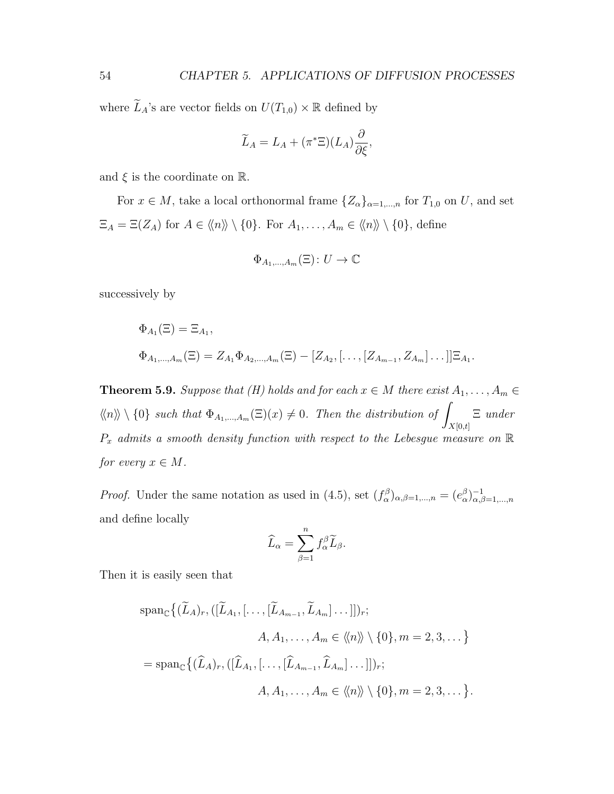where  $\widetilde{L}_A$ 's are vector fields on  $U(T_{1,0}) \times \mathbb{R}$  defined by

$$
\widetilde{L}_A = L_A + (\pi^* \Xi)(L_A) \frac{\partial}{\partial \xi},
$$

and  $\xi$  is the coordinate on  $\mathbb{R}$ .

For  $x \in M$ , take a local orthonormal frame  $\{Z_{\alpha}\}_{\alpha=1,\dots,n}$  for  $T_{1,0}$  on  $U$ , and set  $\Xi_A = \Xi(Z_A)$  for  $A \in \langle\!\langle n \rangle\!\rangle \setminus \{0\}$ . For  $A_1, \ldots, A_m \in \langle\!\langle n \rangle\!\rangle \setminus \{0\}$ , define

$$
\Phi_{A_1,\dots,A_m}(\Xi)\colon U\to\mathbb{C}
$$

successively by

$$
\Phi_{A_1}(\Xi) = \Xi_{A_1},
$$
  
\n
$$
\Phi_{A_1,\dots,A_m}(\Xi) = Z_{A_1} \Phi_{A_2,\dots,A_m}(\Xi) - [Z_{A_2},[\dots,[Z_{A_{m-1}},Z_{A_m}]\dots]]\Xi_{A_1}.
$$

**Theorem 5.9.** *Suppose that (H) holds and for each*  $x \in M$  *there exist*  $A_1, \ldots, A_m \in$  $\langle n \rangle \rangle \setminus \{0\}$  *such that*  $\Phi_{A_1,...,A_m}(\Xi)(x) \neq 0$ *. Then the distribution of X*[0*,t*] Ξ *under*  $P_x$  *admits a smooth density function with respect to the Lebesgue measure on*  $\mathbb R$ *for every*  $x \in M$ *.* 

*Proof.* Under the same notation as used in (4.5), set  $(f_{\alpha}^{\beta})_{\alpha,\beta=1,\dots,n} = (e_{\alpha}^{\beta})_{\alpha,\beta=1}^{-1}$ *α,β*=1*,...,n* and define locally

$$
\widehat{L}_{\alpha} = \sum_{\beta=1}^{n} f_{\alpha}^{\beta} \widetilde{L}_{\beta}.
$$

Then it is easily seen that

$$
\operatorname{span}_{\mathbb{C}}\{(\widetilde{L}_{A})_{r},([\widetilde{L}_{A_{1}},[\ldots,[\widetilde{L}_{A_{m-1}},\widetilde{L}_{A_{m}}]\ldots]])_{r};
$$

$$
A, A_{1},\ldots,A_{m} \in \langle\!\langle n \rangle\!\rangle \setminus \{0\}, m = 2,3,\ldots\}
$$

$$
= \operatorname{span}_{\mathbb{C}}\{(\widehat{L}_{A})_{r},([\widehat{L}_{A_{1}},[\ldots,[\widehat{L}_{A_{m-1}},\widehat{L}_{A_{m}}]\ldots]])_{r};
$$

$$
A, A_{1},\ldots,A_{m} \in \langle\!\langle n \rangle\!\rangle \setminus \{0\}, m = 2,3,\ldots\}.
$$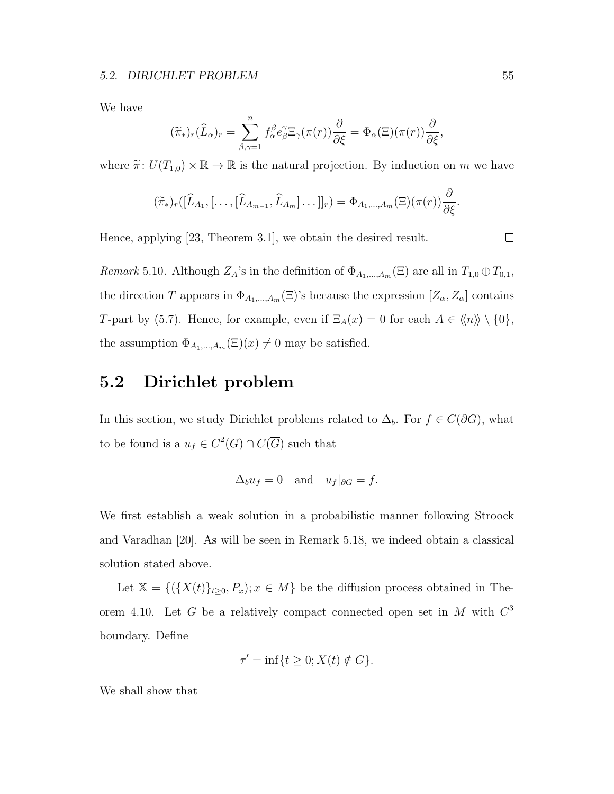We have

$$
(\widetilde{\pi}_*)_r(\widehat{L}_{\alpha})_r = \sum_{\beta,\gamma=1}^n f_{\alpha}^{\beta} e_{\beta}^{\gamma} \Xi_{\gamma}(\pi(r)) \frac{\partial}{\partial \xi} = \Phi_{\alpha}(\Xi)(\pi(r)) \frac{\partial}{\partial \xi},
$$

where  $\tilde{\pi}: U(T_{1,0}) \times \mathbb{R} \to \mathbb{R}$  is the natural projection. By induction on *m* we have

$$
(\widetilde{\pi}_*)_r([\widehat{L}_{A_1},[\ldots,[\widehat{L}_{A_{m-1}},\widehat{L}_{A_m}]\ldots]]_r)=\Phi_{A_1,\ldots,A_m}(\Xi)(\pi(r))\frac{\partial}{\partial\xi}.
$$

Hence, applying [23, Theorem 3.1], we obtain the desired result.

*Remark* 5.10*.* Although  $Z_A$ 's in the definition of  $\Phi_{A_1,\dots,A_m}(\Xi)$  are all in  $T_{1,0} \oplus T_{0,1}$ , the direction *T* appears in  $\Phi_{A_1,\dots,A_m}(\Xi)$ 's because the expression  $[Z_\alpha, Z_{\overline{\alpha}}]$  contains *T*-part by (5.7). Hence, for example, even if  $\Xi_A(x) = 0$  for each  $A \in \langle n \rangle \setminus \{0\}$ , the assumption  $\Phi_{A_1,\dots,A_m}(\Xi)(x) \neq 0$  may be satisfied.

# **5.2 Dirichlet problem**

In this section, we study Dirichlet problems related to  $\Delta_b$ . For  $f \in C(\partial G)$ , what to be found is a  $u_f \in C^2(G) \cap C(\overline{G})$  such that

$$
\Delta_b u_f = 0 \quad \text{and} \quad u_f|_{\partial G} = f.
$$

We first establish a weak solution in a probabilistic manner following Stroock and Varadhan [20]. As will be seen in Remark 5.18, we indeed obtain a classical solution stated above.

Let  $\mathbb{X} = \{ (\{X(t)\}_{t \geq 0}, P_x); x \in M \}$  be the diffusion process obtained in Theorem 4.10. Let *G* be a relatively compact connected open set in *M* with *C* 3 boundary. Define

$$
\tau' = \inf\{t \ge 0; X(t) \notin \overline{G}\}.
$$

We shall show that

 $\Box$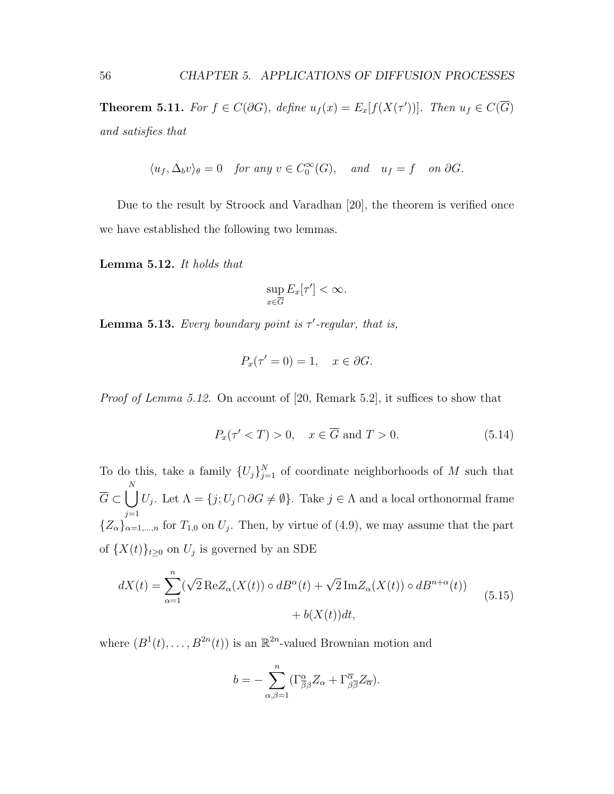**Theorem 5.11.** For  $f \in C(\partial G)$ , define  $u_f(x) = E_x[f(X(\tau'))]$ . Then  $u_f \in C(\overline{G})$ *and satisfies that*

$$
\langle u_f, \Delta_b v \rangle_{\theta} = 0
$$
 for any  $v \in C_0^{\infty}(G)$ , and  $u_f = f$  on  $\partial G$ .

Due to the result by Stroock and Varadhan [20], the theorem is verified once we have established the following two lemmas.

**Lemma 5.12.** *It holds that*

$$
\sup_{x\in\overline{G}}E_x[\tau']<\infty.
$$

**Lemma 5.13.** *Every boundary point is*  $\tau'$ -regular, that is,

$$
P_x(\tau'=0) = 1, \quad x \in \partial G.
$$

*Proof of Lemma 5.12.* On account of [20, Remark 5.2], it suffices to show that

$$
P_x(\tau' < T) > 0, \quad x \in \overline{G} \text{ and } T > 0. \tag{5.14}
$$

To do this, take a family  ${U_j}_{j=1}^N$  of coordinate neighborhoods of M such that  $\overline{G}$  ⊂  $\bigcup^N$ *j*=1 *U*<sub>*j*</sub>. Let  $\Lambda = \{j: U_j \cap \partial G \neq \emptyset\}$ . Take  $j \in \Lambda$  and a local orthonormal frame  ${Z_\alpha}_{\alpha=1,\dots,n}$  for  $T_{1,0}$  on  $U_j$ . Then, by virtue of (4.9), we may assume that the part of  $\{X(t)\}_{t\geq0}$  on  $U_j$  is governed by an SDE

$$
dX(t) = \sum_{\alpha=1}^{n} (\sqrt{2} \operatorname{Re} Z_{\alpha}(X(t)) \circ dB^{\alpha}(t) + \sqrt{2} \operatorname{Im} Z_{\alpha}(X(t)) \circ dB^{n+\alpha}(t)) + b(X(t))dt, \tag{5.15}
$$

where  $(B^1(t), \ldots, B^{2n}(t))$  is an  $\mathbb{R}^{2n}$ -valued Brownian motion and

$$
b = -\sum_{\alpha,\beta=1}^{n} (\Gamma^{\alpha}_{\overline{\beta}\beta} Z_{\alpha} + \Gamma^{\overline{\alpha}}_{\beta\overline{\beta}} Z_{\overline{\alpha}}).
$$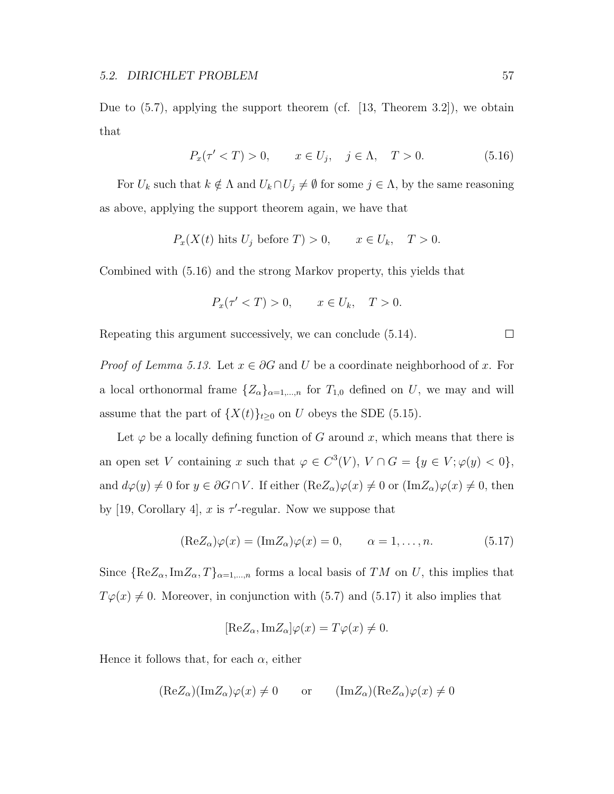Due to  $(5.7)$ , applying the support theorem  $(cf. [13, Theorem 3.2])$ , we obtain that

$$
P_x(\tau' < T) > 0, \qquad x \in U_j, \quad j \in \Lambda, \quad T > 0. \tag{5.16}
$$

For  $U_k$  such that  $k \notin \Lambda$  and  $U_k \cap U_j \neq \emptyset$  for some  $j \in \Lambda$ , by the same reasoning as above, applying the support theorem again, we have that

$$
P_x(X(t)
$$
 hits  $U_j$  before  $T) > 0$ ,  $x \in U_k$ ,  $T > 0$ .

Combined with (5.16) and the strong Markov property, this yields that

$$
P_x(\tau' < T) > 0, \qquad x \in U_k, \quad T > 0.
$$

Repeating this argument successively, we can conclude (5.14).

*Proof of Lemma 5.13.* Let  $x \in \partial G$  and  $U$  be a coordinate neighborhood of  $x$ . For a local orthonormal frame  ${Z_\alpha}_{\alpha=1,\dots,n}$  for  $T_{1,0}$  defined on *U*, we may and will assume that the part of  $\{X(t)\}_{t\geq 0}$  on *U* obeys the SDE (5.15).

Let  $\varphi$  be a locally defining function of *G* around *x*, which means that there is an open set *V* containing *x* such that  $\varphi \in C^3(V)$ ,  $V \cap G = \{y \in V; \varphi(y) < 0\}$ , and  $d\varphi(y) \neq 0$  for  $y \in \partial G \cap V$ . If either  $(Re Z_{\alpha})\varphi(x) \neq 0$  or  $(Im Z_{\alpha})\varphi(x) \neq 0$ , then by [19, Corollary 4],  $x$  is  $\tau'$ -regular. Now we suppose that

$$
(\text{Re}Z_{\alpha})\varphi(x) = (\text{Im}Z_{\alpha})\varphi(x) = 0, \qquad \alpha = 1, \dots, n. \tag{5.17}
$$

Since  ${ReZ_{\alpha}, ImZ_{\alpha}, T}_{\alpha=1,\dots,n}$  forms a local basis of *TM* on *U*, this implies that  $T\varphi(x) \neq 0$ . Moreover, in conjunction with (5.7) and (5.17) it also implies that

$$
[\text{Re}Z_{\alpha}, \text{Im}Z_{\alpha}]\varphi(x) = T\varphi(x) \neq 0.
$$

Hence it follows that, for each  $\alpha$ , either

$$
(\text{Re}Z_{\alpha})(\text{Im}Z_{\alpha})\varphi(x) \neq 0 \qquad \text{or} \qquad (\text{Im}Z_{\alpha})(\text{Re}Z_{\alpha})\varphi(x) \neq 0
$$

 $\Box$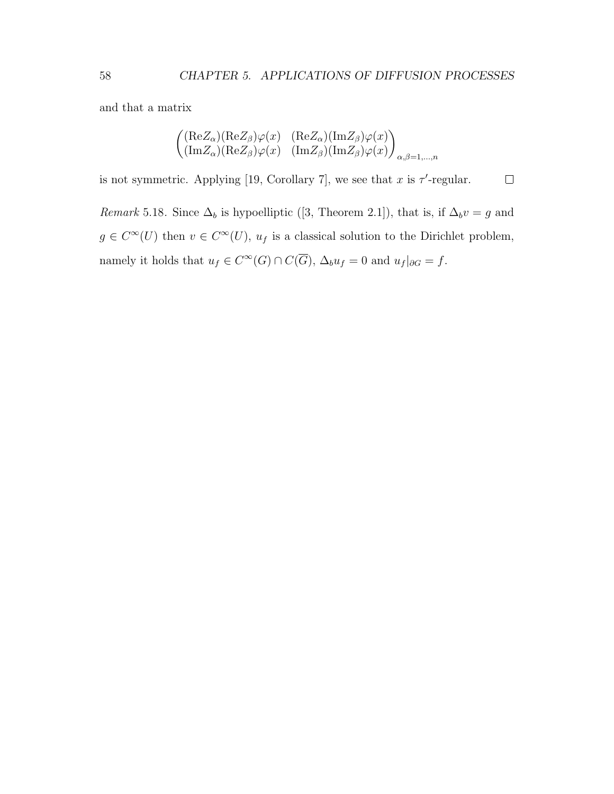and that a matrix

$$
\begin{pmatrix}\n(\text{Re}Z_{\alpha})(\text{Re}Z_{\beta})\varphi(x) & (\text{Re}Z_{\alpha})(\text{Im}Z_{\beta})\varphi(x) \\
(\text{Im}Z_{\alpha})(\text{Re}Z_{\beta})\varphi(x) & (\text{Im}Z_{\beta})(\text{Im}Z_{\beta})\varphi(x)\n\end{pmatrix}_{\alpha,\beta=1,\dots,n}
$$

is not symmetric. Applying [19, Corollary 7], we see that *x* is  $\tau'$ -regular.  $\Box$ 

*Remark* 5.18*.* Since  $\Delta_b$  is hypoelliptic ([3, Theorem 2.1]), that is, if  $\Delta_b v = g$  and  $g \in C^{\infty}(U)$  then  $v \in C^{\infty}(U)$ ,  $u_f$  is a classical solution to the Dirichlet problem, namely it holds that  $u_f \in C^{\infty}(G) \cap C(\overline{G}), \Delta_b u_f = 0$  and  $u_f|_{\partial G} = f$ .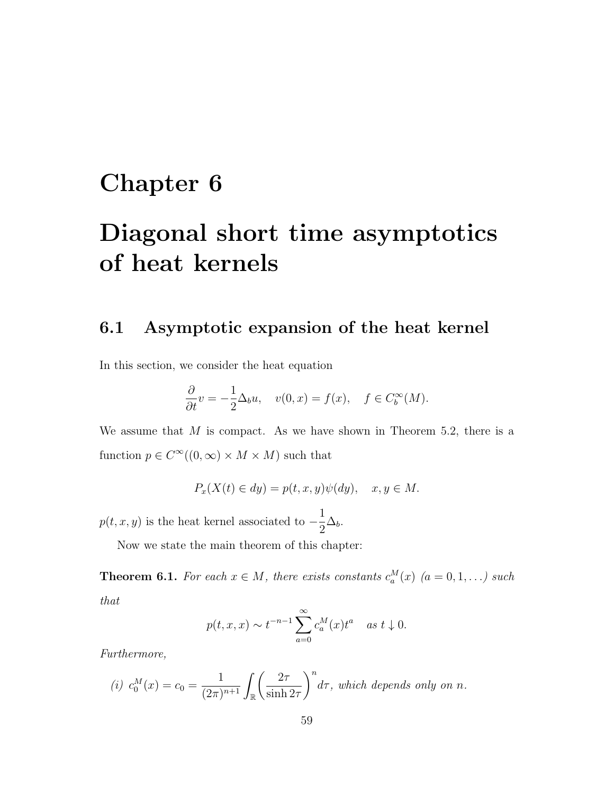# **Chapter 6**

# **Diagonal short time asymptotics of heat kernels**

# **6.1 Asymptotic expansion of the heat kernel**

In this section, we consider the heat equation

$$
\frac{\partial}{\partial t}v = -\frac{1}{2}\Delta_b u, \quad v(0, x) = f(x), \quad f \in C_b^{\infty}(M).
$$

We assume that *M* is compact. As we have shown in Theorem 5.2, there is a function  $p \in C^{\infty}((0, \infty) \times M \times M)$  such that

$$
P_x(X(t) \in dy) = p(t, x, y)\psi(dy), \quad x, y \in M.
$$

*p*(*t*, *x*, *y*) is the heat kernel associated to − 1  $\frac{1}{2}\Delta_b$ .

Now we state the main theorem of this chapter:

**Theorem 6.1.** For each  $x \in M$ , there exists constants  $c_a^M(x)$   $(a = 0, 1, \ldots)$  such *that*

$$
p(t, x, x) \sim t^{-n-1} \sum_{a=0}^{\infty} c_a^M(x) t^a \quad as \ t \downarrow 0.
$$

*Furthermore,*

(i) 
$$
c_0^M(x) = c_0 = \frac{1}{(2\pi)^{n+1}} \int_{\mathbb{R}} \left(\frac{2\tau}{\sinh 2\tau}\right)^n d\tau
$$
, which depends only on n.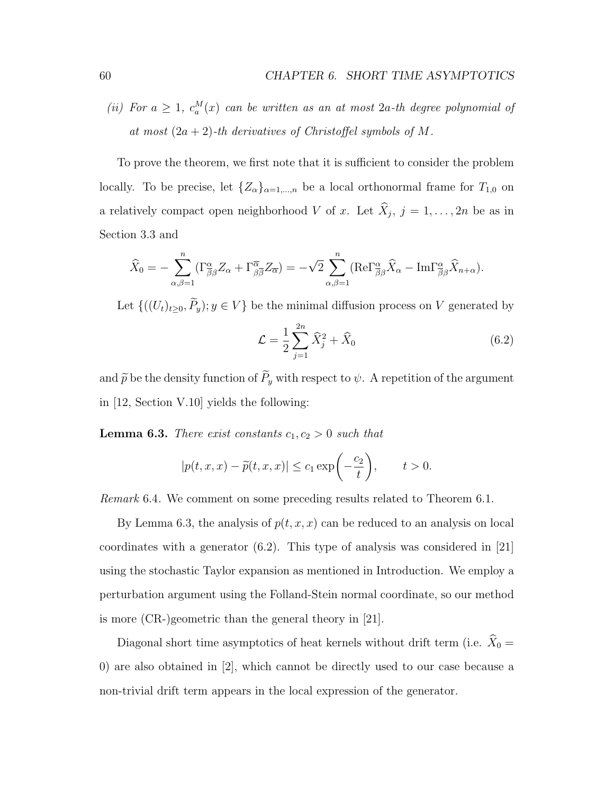*(ii)* For  $a \geq 1$ ,  $c_a^M(x)$  can be written as an at most 2*a*-th degree polynomial of at most  $(2a + 2)$ -th derivatives of Christoffel symbols of M.

To prove the theorem, we first note that it is sufficient to consider the problem locally. To be precise, let  $\{Z_{\alpha}\}_{\alpha=1,\dots,n}$  be a local orthonormal frame for  $T_{1,0}$  on a relatively compact open neighborhood *V* of *x*. Let  $X_j$ ,  $j = 1, ..., 2n$  be as in Section 3.3 and

$$
\widehat{X}_0 = -\sum_{\alpha,\beta=1}^n (\Gamma^{\alpha}_{\overline{\beta}\beta} Z_{\alpha} + \Gamma^{\overline{\alpha}}_{\beta\overline{\beta}} Z_{\overline{\alpha}}) = -\sqrt{2} \sum_{\alpha,\beta=1}^n (\text{Re}\Gamma^{\alpha}_{\overline{\beta}\beta} \widehat{X}_{\alpha} - \text{Im}\Gamma^{\alpha}_{\overline{\beta}\beta} \widehat{X}_{n+\alpha}).
$$

Let  $\{((U_t)_{t\geq0}, \widetilde{P}_y); y \in V\}$  be the minimal diffusion process on V generated by

$$
\mathcal{L} = \frac{1}{2} \sum_{j=1}^{2n} \hat{X}_j^2 + \hat{X}_0
$$
\n(6.2)

and  $\widetilde{p}$  be the density function of  $\widetilde{P}_y$  with respect to  $\psi$ . A repetition of the argument in [12, Section V.10] yields the following:

**Lemma 6.3.** *There exist constants*  $c_1, c_2 > 0$  *such that* 

$$
|p(t, x, x) - \widetilde{p}(t, x, x)| \le c_1 \exp\left(-\frac{c_2}{t}\right), \qquad t > 0.
$$

*Remark* 6.4*.* We comment on some preceding results related to Theorem 6.1.

By Lemma 6.3, the analysis of  $p(t, x, x)$  can be reduced to an analysis on local coordinates with a generator (6.2). This type of analysis was considered in [21] using the stochastic Taylor expansion as mentioned in Introduction. We employ a perturbation argument using the Folland-Stein normal coordinate, so our method is more (CR-)geometric than the general theory in [21].

Diagonal short time asymptotics of heat kernels without drift term (i.e.  $\widehat X_0 =$ 0) are also obtained in [2], which cannot be directly used to our case because a non-trivial drift term appears in the local expression of the generator.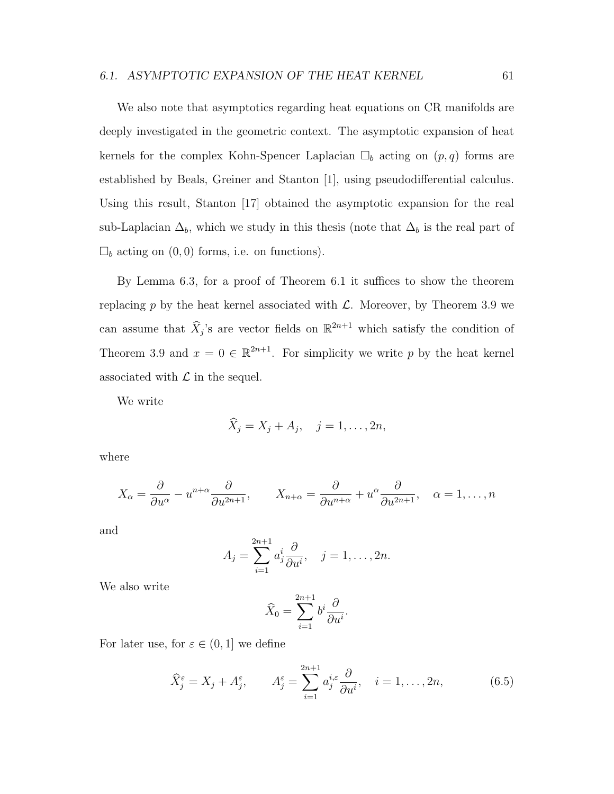We also note that asymptotics regarding heat equations on CR manifolds are deeply investigated in the geometric context. The asymptotic expansion of heat kernels for the complex Kohn-Spencer Laplacian  $\square_b$  acting on  $(p, q)$  forms are established by Beals, Greiner and Stanton [1], using pseudodifferential calculus. Using this result, Stanton [17] obtained the asymptotic expansion for the real sub-Laplacian  $\Delta_b$ , which we study in this thesis (note that  $\Delta_b$  is the real part of  $\square_b$  acting on  $(0,0)$  forms, i.e. on functions).

By Lemma 6.3, for a proof of Theorem 6.1 it suffices to show the theorem replacing  $p$  by the heat kernel associated with  $\mathcal{L}$ . Moreover, by Theorem 3.9 we can assume that  $\hat{X}_j$ 's are vector fields on  $\mathbb{R}^{2n+1}$  which satisfy the condition of Theorem 3.9 and  $x = 0 \in \mathbb{R}^{2n+1}$ . For simplicity we write p by the heat kernel associated with  $\mathcal L$  in the sequel.

We write

$$
\widehat{X}_j = X_j + A_j, \quad j = 1, \dots, 2n,
$$

where

$$
X_{\alpha} = \frac{\partial}{\partial u^{\alpha}} - u^{n+\alpha} \frac{\partial}{\partial u^{2n+1}}, \qquad X_{n+\alpha} = \frac{\partial}{\partial u^{n+\alpha}} + u^{\alpha} \frac{\partial}{\partial u^{2n+1}}, \quad \alpha = 1, \dots, n
$$

and

$$
A_j = \sum_{i=1}^{2n+1} a_j^i \frac{\partial}{\partial u^i}, \quad j = 1, \dots, 2n.
$$

We also write

$$
\widehat{X}_0 = \sum_{i=1}^{2n+1} b^i \frac{\partial}{\partial u^i}.
$$

For later use, for  $\varepsilon \in (0,1]$  we define

$$
\widehat{X}_j^{\varepsilon} = X_j + A_j^{\varepsilon}, \qquad A_j^{\varepsilon} = \sum_{i=1}^{2n+1} a_j^{i,\varepsilon} \frac{\partial}{\partial u^i}, \quad i = 1, \dots, 2n,
$$
\n(6.5)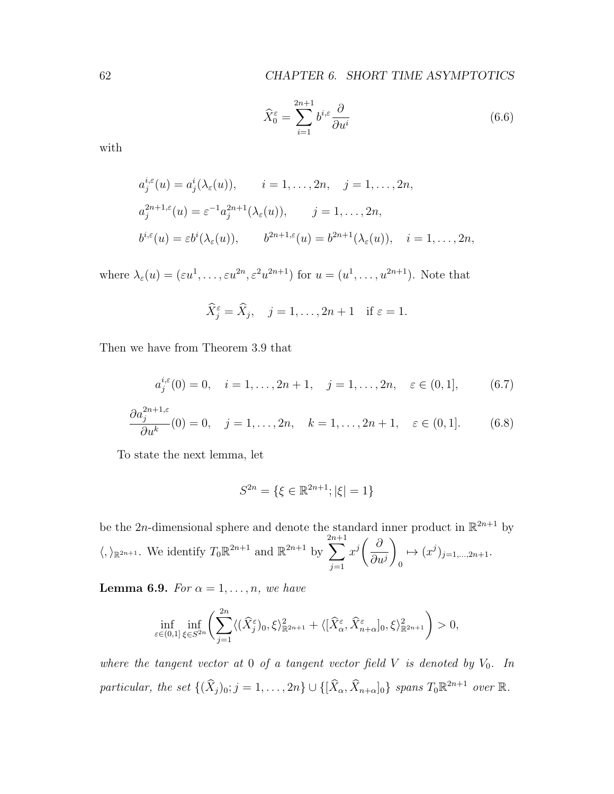$$
\widehat{X}_0^{\varepsilon} = \sum_{i=1}^{2n+1} b^{i,\varepsilon} \frac{\partial}{\partial u^i}
$$
\n(6.6)

with

$$
a_j^{i,\varepsilon}(u) = a_j^i(\lambda_{\varepsilon}(u)), \qquad i = 1, \dots, 2n, \quad j = 1, \dots, 2n,
$$
  

$$
a_j^{2n+1,\varepsilon}(u) = \varepsilon^{-1} a_j^{2n+1}(\lambda_{\varepsilon}(u)), \qquad j = 1, \dots, 2n,
$$
  

$$
b^{i,\varepsilon}(u) = \varepsilon b^i(\lambda_{\varepsilon}(u)), \qquad b^{2n+1,\varepsilon}(u) = b^{2n+1}(\lambda_{\varepsilon}(u)), \quad i = 1, \dots, 2n,
$$

where  $\lambda_{\varepsilon}(u) = (\varepsilon u^1, \ldots, \varepsilon u^{2n}, \varepsilon^2 u^{2n+1})$  for  $u = (u^1, \ldots, u^{2n+1})$ . Note that

$$
\widehat{X}_j^{\varepsilon} = \widehat{X}_j, \quad j = 1, \dots, 2n + 1 \quad \text{if } \varepsilon = 1.
$$

Then we have from Theorem 3.9 that

$$
a_j^{i,\varepsilon}(0) = 0, \quad i = 1, \dots, 2n + 1, \quad j = 1, \dots, 2n, \quad \varepsilon \in (0,1], \tag{6.7}
$$

$$
\frac{\partial a_j^{2n+1,\varepsilon}}{\partial u^k}(0) = 0, \quad j = 1, \dots, 2n, \quad k = 1, \dots, 2n+1, \quad \varepsilon \in (0,1]. \tag{6.8}
$$

To state the next lemma, let

$$
S^{2n} = \{ \xi \in \mathbb{R}^{2n+1}; |\xi| = 1 \}
$$

be the 2*n*-dimensional sphere and denote the standard inner product in  $\mathbb{R}^{2n+1}$  by  $\langle,\rangle_{\mathbb{R}^{2n+1}}$ . We identify  $T_0 \mathbb{R}^{2n+1}$  and  $\mathbb{R}^{2n+1}$  by 2 ∑*n*+1 *j*=1 *x*<sup>j</sup>  $\left(\frac{\partial}{\partial x}\right)$ *∂u<sup>j</sup>*  $\setminus$ 0  $\mapsto (x^j)_{j=1,...,2n+1}.$ 

**Lemma 6.9.** *For*  $\alpha = 1, \ldots, n$ *, we have* 

$$
\inf_{\varepsilon \in (0,1]} \inf_{\xi \in S^{2n}} \left( \sum_{j=1}^{2n} \langle (\widehat{X}_{j}^{\varepsilon})_0, \xi \rangle^2_{\mathbb{R}^{2n+1}} + \langle [\widehat{X}_{\alpha}^{\varepsilon}, \widehat{X}_{n+\alpha}^{\varepsilon}]_0, \xi \rangle^2_{\mathbb{R}^{2n+1}} \right) > 0,
$$

*where the tangent vector at*  $0$  *of a tangent vector field*  $V$  *is denoted by*  $V_0$ *. In* particular, the set  $\{(\widehat{X}_j)_0; j = 1, ..., 2n\} \cup \{[\widehat{X}_{\alpha}, \widehat{X}_{n+\alpha}]_0\}$  spans  $T_0 \mathbb{R}^{2n+1}$  over  $\mathbb{R}$ .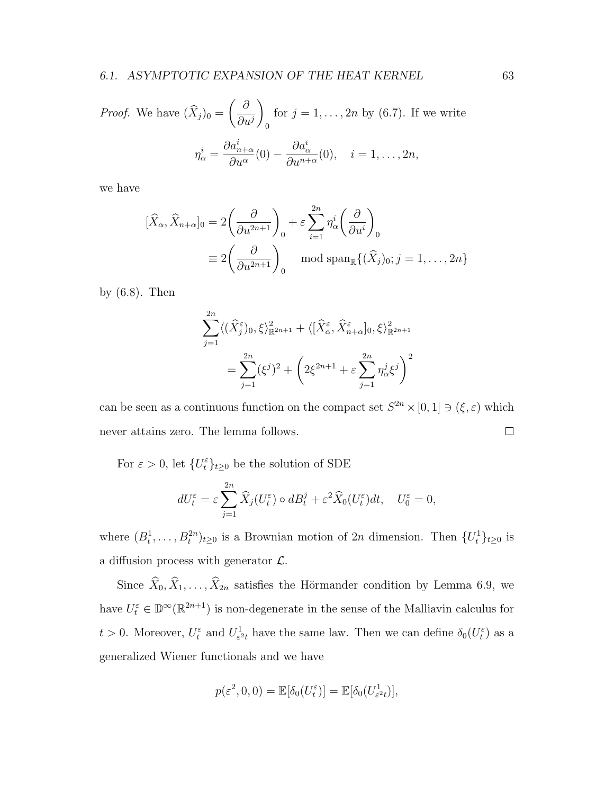*Proof.* We have 
$$
(\widehat{X}_j)_0 = \left(\frac{\partial}{\partial u^j}\right)_0
$$
 for  $j = 1, ..., 2n$  by (6.7). If we write  

$$
\eta_\alpha^i = \frac{\partial a_{n+\alpha}^i}{\partial u^\alpha}(0) - \frac{\partial a_\alpha^i}{\partial u^{n+\alpha}}(0), \quad i = 1, ..., 2n,
$$

we have

$$
[\widehat{X}_{\alpha}, \widehat{X}_{n+\alpha}]_0 = 2\left(\frac{\partial}{\partial u^{2n+1}}\right)_0 + \varepsilon \sum_{i=1}^{2n} \eta_{\alpha}^i \left(\frac{\partial}{\partial u^i}\right)_0
$$
  

$$
\equiv 2\left(\frac{\partial}{\partial u^{2n+1}}\right)_0 \mod \text{span}_{\mathbb{R}}\{(\widehat{X}_j)_0; j = 1, \dots, 2n\}
$$

by (6.8). Then

$$
\sum_{j=1}^{2n} \langle (\widehat{X}_j^{\varepsilon})_0, \xi \rangle_{\mathbb{R}^{2n+1}}^2 + \langle [\widehat{X}_\alpha^{\varepsilon}, \widehat{X}_{n+\alpha}^{\varepsilon}]_0, \xi \rangle_{\mathbb{R}^{2n+1}}^2
$$

$$
= \sum_{j=1}^{2n} (\xi^j)^2 + \left( 2\xi^{2n+1} + \varepsilon \sum_{j=1}^{2n} \eta_\alpha^j \xi^j \right)^2
$$

can be seen as a continuous function on the compact set  $S^{2n} \times [0,1] \ni (\xi, \varepsilon)$  which never attains zero. The lemma follows.  $\Box$ 

For  $\varepsilon > 0$ , let  $\{U_t^{\varepsilon}\}_{t \geq 0}$  be the solution of SDE

$$
dU_t^{\varepsilon} = \varepsilon \sum_{j=1}^{2n} \widehat{X}_j(U_t^{\varepsilon}) \circ dB_t^j + \varepsilon^2 \widehat{X}_0(U_t^{\varepsilon}) dt, \quad U_0^{\varepsilon} = 0,
$$

where  $(B_t^1, \ldots, B_t^{2n})_{t \geq 0}$  is a Brownian motion of 2*n* dimension. Then  $\{U_t^1\}_{t \geq 0}$  is a diffusion process with generator *L*.

Since  $\widehat{X}_0, \widehat{X}_1, \ldots, \widehat{X}_{2n}$  satisfies the Hörmander condition by Lemma 6.9, we have  $U_t^{\varepsilon} \in \mathbb{D}^{\infty}(\mathbb{R}^{2n+1})$  is non-degenerate in the sense of the Malliavin calculus for  $t > 0$ . Moreover,  $U_t^{\varepsilon}$  and  $U_{\varepsilon}^1$  $\epsilon^2 t$  have the same law. Then we can define  $\delta_0(U_t^{\varepsilon})$  as a generalized Wiener functionals and we have

$$
p(\varepsilon^2, 0, 0) = \mathbb{E}[\delta_0(U_t^{\varepsilon})] = \mathbb{E}[\delta_0(U_{\varepsilon^2 t}^1)],
$$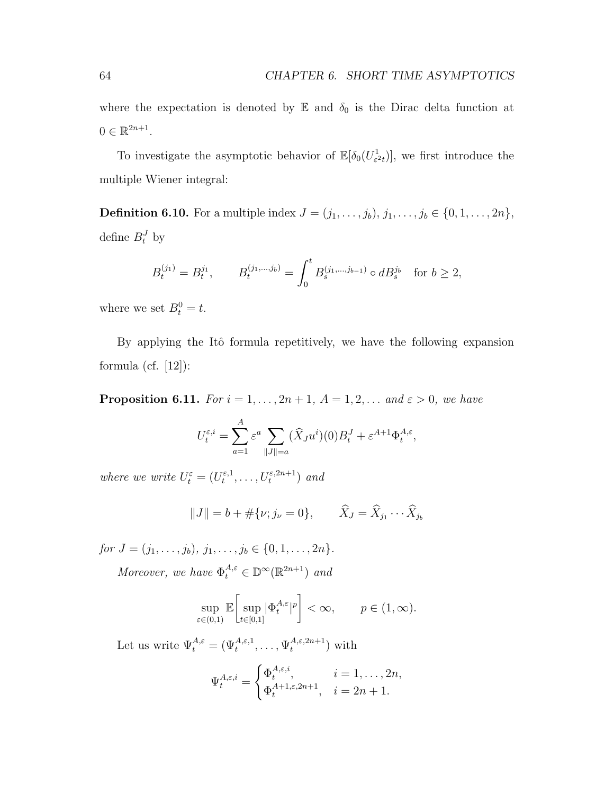where the expectation is denoted by  $E$  and  $\delta_0$  is the Dirac delta function at  $0 \in \mathbb{R}^{2n+1}$ .

To investigate the asymptotic behavior of  $\mathbb{E}[\delta_0(U_{\varepsilon}^1)]$  $\left[\epsilon^{\{1}{2}t}\right]$ , we first introduce the multiple Wiener integral:

**Definition 6.10.** For a multiple index  $J = (j_1, \ldots, j_b), j_1, \ldots, j_b \in \{0, 1, \ldots, 2n\}$ , define  $B_t^J$  by

$$
B_t^{(j_1)} = B_t^{j_1}, \qquad B_t^{(j_1, \ldots, j_b)} = \int_0^t B_s^{(j_1, \ldots, j_{b-1})} \circ dB_s^{j_b} \quad \text{for } b \ge 2,
$$

where we set  $B_t^0 = t$ .

By applying the Itô formula repetitively, we have the following expansion formula (cf.  $[12]$ ):

**Proposition 6.11.** *For*  $i = 1, ..., 2n + 1, A = 1, 2, ...$  *and*  $\varepsilon > 0$ *, we have* 

$$
U_t^{\varepsilon,i} = \sum_{a=1}^A \varepsilon^a \sum_{\|J\|=a} (\widehat{X}_J u^i)(0) B_t^J + \varepsilon^{A+1} \Phi_t^{A,\varepsilon},
$$

*where we write*  $U_t^{\varepsilon} = (U_t^{\varepsilon,1})$  $\{u_t^{\varepsilon,1}, \ldots, U_t^{\varepsilon,2n+1}\}$  *and* 

$$
||J|| = b + #\{\nu; j_{\nu} = 0\}, \qquad \widehat{X}_J = \widehat{X}_{j_1} \cdots \widehat{X}_{j_b}
$$

*for*  $J = (j_1, \ldots, j_b), j_1, \ldots, j_b \in \{0, 1, \ldots, 2n\}$ .

*Moreover, we have*  $\Phi_t^{A,\varepsilon} \in \mathbb{D}^\infty(\mathbb{R}^{2n+1})$  *and* 

$$
\sup_{\varepsilon \in (0,1)} \mathbb{E} \left[ \sup_{t \in [0,1]} |\Phi_t^{A,\varepsilon}|^p \right] < \infty, \qquad p \in (1,\infty).
$$

Let us write  $\Psi_t^{A,\varepsilon} = (\Psi_t^{A,\varepsilon,1}, \dots, \Psi_t^{A,\varepsilon,2n+1})$  $t^{A,\varepsilon,2n+1}$  with

$$
\Psi_t^{A,\varepsilon,i} = \begin{cases} \Phi_t^{A,\varepsilon,i}, & i = 1, \dots, 2n, \\ \Phi_t^{A+1,\varepsilon,2n+1}, & i = 2n+1. \end{cases}
$$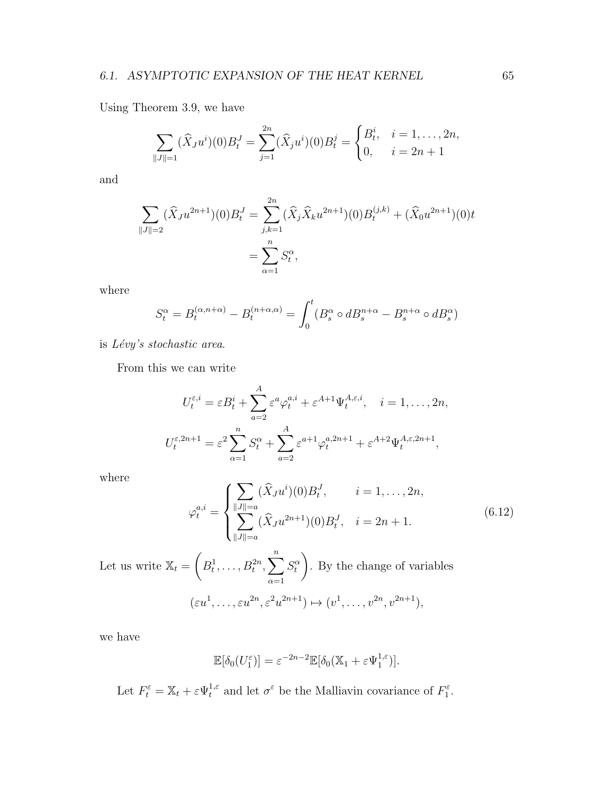Using Theorem 3.9, we have

$$
\sum_{\|J\|=1} (\widehat{X}_J u^i)(0) B_t^J = \sum_{j=1}^{2n} (\widehat{X}_j u^i)(0) B_t^j = \begin{cases} B_t^i, & i = 1, \dots, 2n, \\ 0, & i = 2n + 1 \end{cases}
$$

and

$$
\sum_{\|J\|=2} (\widehat{X}_J u^{2n+1})(0) B_t^J = \sum_{j,k=1}^{2n} (\widehat{X}_j \widehat{X}_k u^{2n+1})(0) B_t^{(j,k)} + (\widehat{X}_0 u^{2n+1})(0) t
$$

$$
= \sum_{\alpha=1}^n S_t^{\alpha},
$$

where

$$
S_t^{\alpha} = B_t^{(\alpha, n+\alpha)} - B_t^{(n+\alpha, \alpha)} = \int_0^t (B_s^{\alpha} \circ dB_s^{n+\alpha} - B_s^{n+\alpha} \circ dB_s^{\alpha})
$$

is *L´evy's stochastic area*.

From this we can write

$$
U_t^{\varepsilon,i} = \varepsilon B_t^i + \sum_{a=2}^A \varepsilon^a \varphi_t^{a,i} + \varepsilon^{A+1} \Psi_t^{A,\varepsilon,i}, \quad i = 1, \dots, 2n,
$$
  

$$
U_t^{\varepsilon,2n+1} = \varepsilon^2 \sum_{\alpha=1}^n S_t^{\alpha} + \sum_{a=2}^A \varepsilon^{a+1} \varphi_t^{a,2n+1} + \varepsilon^{A+2} \Psi_t^{A,\varepsilon,2n+1},
$$

where

$$
\varphi_t^{a,i} = \begin{cases} \sum_{\|J\|=a} (\widehat{X}_J u^i)(0) B_t^J, & i = 1, \dots, 2n, \\ \sum_{\|J\|=a} (\widehat{X}_J u^{2n+1})(0) B_t^J, & i = 2n + 1. \end{cases}
$$
(6.12)

Let us write  $\mathbb{X}_t =$  $\sqrt{ }$  $B_t^1, \ldots, B_t^{2n}, \sum_t^n$ *α*=1  $S_t^{\alpha}$  $\setminus$ . By the change of variables  $(zu^1, \ldots, \varepsilon u^{2n}, \varepsilon^2 u^{2n+1}) \mapsto (v^1, \ldots, v^{2n}, v^{2n+1}),$ 

we have

$$
\mathbb{E}[\delta_0(U_1^{\varepsilon})] = \varepsilon^{-2n-2} \mathbb{E}[\delta_0(\mathbb{X}_1 + \varepsilon \Psi_1^{1,\varepsilon})].
$$

Let  $F_t^{\varepsilon} = \mathbb{X}_t + \varepsilon \Psi_t^{1,\varepsilon}$  and let  $\sigma^{\varepsilon}$  be the Malliavin covariance of  $F_1^{\varepsilon}$ .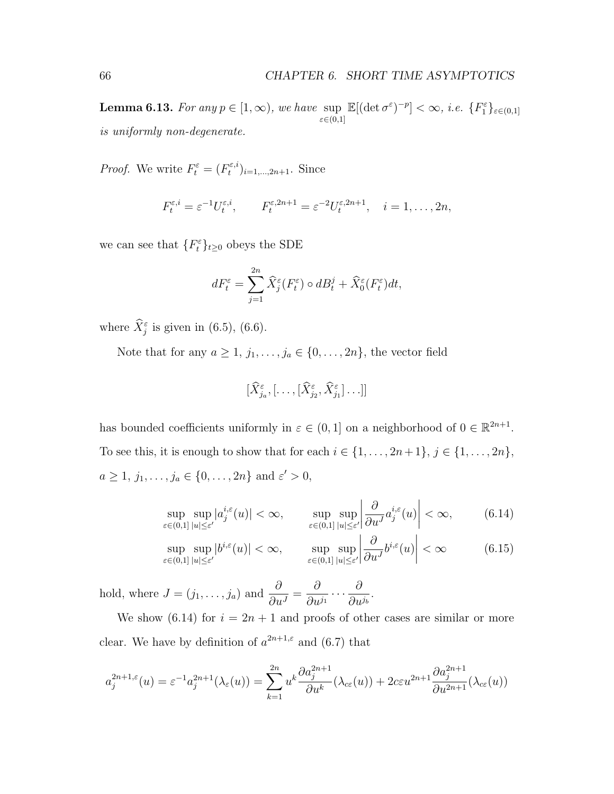**Lemma 6.13.** *For any*  $p \in [1, \infty)$ *, we have* sup *ε∈*(0*,*1]  $\mathbb{E}[(\det \sigma^{\varepsilon})^{-p}] < \infty$ , *i.e.*  $\{F_1^{\varepsilon}\}_{\varepsilon \in (0,1]}$ *is uniformly non-degenerate.*

*Proof.* We write  $F_t^{\varepsilon} = (F_t^{\varepsilon,i})$  $(t^{(\varepsilon,i)})_{i=1,\dots,2n+1}$ . Since

$$
F_t^{\varepsilon,i} = \varepsilon^{-1} U_t^{\varepsilon,i}, \qquad F_t^{\varepsilon,2n+1} = \varepsilon^{-2} U_t^{\varepsilon,2n+1}, \quad i = 1,\ldots,2n,
$$

we can see that  ${F_t^{\varepsilon}}_{t\geq0}$  obeys the SDE

$$
dF_t^{\varepsilon} = \sum_{j=1}^{2n} \widehat{X}_j^{\varepsilon}(F_t^{\varepsilon}) \circ dB_t^j + \widehat{X}_0^{\varepsilon}(F_t^{\varepsilon})dt,
$$

where  $\widehat{X}_{j}^{\varepsilon}$  is given in (6.5), (6.6).

Note that for any  $a \ge 1$ ,  $j_1, \ldots, j_a \in \{0, \ldots, 2n\}$ , the vector field

$$
[\widehat{X}_{j_a}^{\varepsilon},[\ldots,[\widehat{X}_{j_2}^{\varepsilon},\widehat{X}_{j_1}^{\varepsilon}]\ldots]]
$$

has bounded coefficients uniformly in  $\varepsilon \in (0,1]$  on a neighborhood of  $0 \in \mathbb{R}^{2n+1}$ . To see this, it is enough to show that for each  $i \in \{1, \ldots, 2n+1\}$ ,  $j \in \{1, \ldots, 2n\}$ ,  $a \ge 1, j_1, \ldots, j_a \in \{0, \ldots, 2n\}$  and  $\varepsilon' > 0$ ,

$$
\sup_{\varepsilon \in (0,1]} \sup_{|u| \le \varepsilon'} |a_j^{i,\varepsilon}(u)| < \infty, \qquad \sup_{\varepsilon \in (0,1]} \sup_{|u| \le \varepsilon'} \left| \frac{\partial}{\partial u^J} a_j^{i,\varepsilon}(u) \right| < \infty, \tag{6.14}
$$

$$
\sup_{\varepsilon \in (0,1]} \sup_{|u| \le \varepsilon'} |b^{i,\varepsilon}(u)| < \infty, \qquad \sup_{\varepsilon \in (0,1]} \sup_{|u| \le \varepsilon'} \left| \frac{\partial}{\partial u^J} b^{i,\varepsilon}(u) \right| < \infty \tag{6.15}
$$

hold, where  $J = (j_1, \ldots, j_a)$  and  $\frac{\partial}{\partial u^J} =$ *∂*  $\frac{6}{\partial u^{j_1}} \cdots$  *∂ ∂*  $\frac{6}{\partial u^{j_b}}$ .

We show (6.14) for  $i = 2n + 1$  and proofs of other cases are similar or more clear. We have by definition of  $a^{2n+1,\epsilon}$  and (6.7) that

$$
a_j^{2n+1,\varepsilon}(u) = \varepsilon^{-1} a_j^{2n+1}(\lambda_{\varepsilon}(u)) = \sum_{k=1}^{2n} u^k \frac{\partial a_j^{2n+1}}{\partial u^k}(\lambda_{c\varepsilon}(u)) + 2c\varepsilon u^{2n+1} \frac{\partial a_j^{2n+1}}{\partial u^{2n+1}}(\lambda_{c\varepsilon}(u))
$$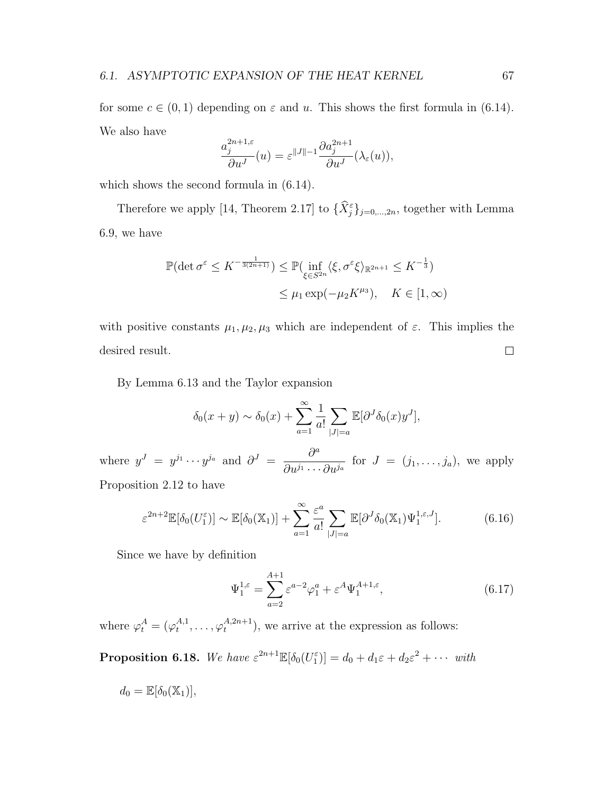for some  $c \in (0,1)$  depending on  $\varepsilon$  and  $u$ . This shows the first formula in (6.14). We also have

$$
\frac{a_j^{2n+1,\varepsilon}}{\partial u^J}(u) = \varepsilon^{\|J\|-1} \frac{\partial a_j^{2n+1}}{\partial u^J}(\lambda_{\varepsilon}(u)),
$$

which shows the second formula in (6.14).

Therefore we apply [14, Theorem 2.17] to  $\{\hat{X}_{j}^{\varepsilon}\}_{j=0,\dots,2n}$ , together with Lemma 6.9, we have

$$
\mathbb{P}(\det \sigma^{\varepsilon} \leq K^{-\frac{1}{3(2n+1)}}) \leq \mathbb{P}(\inf_{\xi \in S^{2n}} \langle \xi, \sigma^{\varepsilon} \xi \rangle_{\mathbb{R}^{2n+1}} \leq K^{-\frac{1}{3}})
$$
  

$$
\leq \mu_1 \exp(-\mu_2 K^{\mu_3}), \quad K \in [1, \infty)
$$

with positive constants  $\mu_1, \mu_2, \mu_3$  which are independent of  $\varepsilon$ . This implies the desired result.  $\Box$ 

By Lemma 6.13 and the Taylor expansion

$$
\delta_0(x+y) \sim \delta_0(x) + \sum_{a=1}^{\infty} \frac{1}{a!} \sum_{|J|=a} \mathbb{E}[\partial^J \delta_0(x) y^J],
$$

where  $y^J = y^{j_1} \cdots y^{j_a}$  and  $\partial^J = \frac{\partial^a}{\partial x^{j_1}}$  $\frac{\partial}{\partial u^{j_1} \cdots \partial u^{j_a}}$  for  $J = (j_1, \ldots, j_a)$ , we apply Proposition 2.12 to have

$$
\varepsilon^{2n+2} \mathbb{E}[\delta_0(U_1^{\varepsilon})] \sim \mathbb{E}[\delta_0(\mathbb{X}_1)] + \sum_{a=1}^{\infty} \frac{\varepsilon^a}{a!} \sum_{|J|=a} \mathbb{E}[\partial^J \delta_0(\mathbb{X}_1) \Psi_1^{1,\varepsilon,J}]. \tag{6.16}
$$

Since we have by definition

$$
\Psi_1^{1,\varepsilon} = \sum_{a=2}^{A+1} \varepsilon^{a-2} \varphi_1^a + \varepsilon^A \Psi_1^{A+1,\varepsilon}, \tag{6.17}
$$

where  $\varphi_t^A = (\varphi_t^{A,1})$  $\theta_t^{A,1}, \ldots, \varphi_t^{A,2n+1}$  $t^{A,2n+1}$ , we arrive at the expression as follows:

**Proposition 6.18.** We have  $\varepsilon^{2n+1}\mathbb{E}[\delta_0(U_1^{\varepsilon})] = d_0 + d_1\varepsilon + d_2\varepsilon^2 + \cdots$  with

$$
d_0 = \mathbb{E}[\delta_0(\mathbb{X}_1)],
$$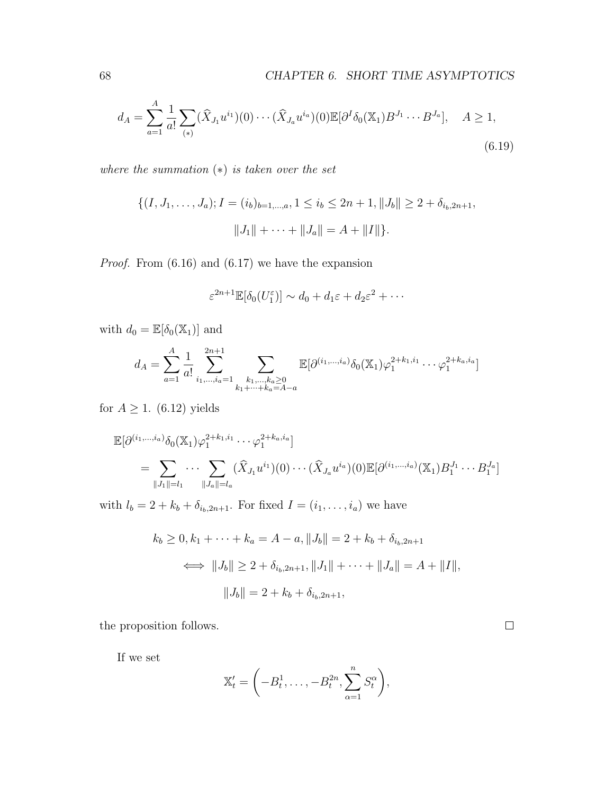$$
d_A = \sum_{a=1}^{A} \frac{1}{a!} \sum_{(*)} (\hat{X}_{J_1} u^{i_1})(0) \cdots (\hat{X}_{J_a} u^{i_a})(0) \mathbb{E}[\partial^I \delta_0(\mathbb{X}_1) B^{J_1} \cdots B^{J_a}], \quad A \ge 1,
$$
\n(6.19)

*where the summation* (*∗*) *is taken over the set*

$$
\{(I, J_1, \dots, J_a); I = (i_b)_{b=1,\dots,a}, 1 \le i_b \le 2n+1, ||J_b|| \ge 2 + \delta_{i_b, 2n+1},
$$

$$
||J_1|| + \dots + ||J_a|| = A + ||I||\}.
$$

*Proof.* From (6.16) and (6.17) we have the expansion

$$
\varepsilon^{2n+1}\mathbb{E}[\delta_0(U_1^{\varepsilon})] \sim d_0 + d_1\varepsilon + d_2\varepsilon^2 + \cdots
$$

with  $d_0 = \mathbb{E}[\delta_0(\mathbb{X}_1)]$  and

$$
d_A = \sum_{a=1}^A \frac{1}{a!} \sum_{i_1, \dots, i_a=1}^{2n+1} \sum_{\substack{k_1, \dots, k_a \ge 0 \\ k_1 + \dots + k_a = A - a}} \mathbb{E}[\partial^{(i_1, \dots, i_a)} \delta_0(\mathbb{X}_1) \varphi_1^{2+k_1, i_1} \cdots \varphi_1^{2+k_a, i_a}]
$$

for  $A \geq 1$ . (6.12) yields

$$
\mathbb{E}[\partial^{(i_1,\dots,i_a)}\delta_0(\mathbb{X}_1)\varphi_1^{2+k_1,i_1}\cdots\varphi_1^{2+k_a,i_a}]
$$
\n
$$
=\sum_{\|J_1\|=l_1}\cdots\sum_{\|J_a\|=l_a}(\widehat{X}_{J_1}u^{i_1})(0)\cdots(\widehat{X}_{J_a}u^{i_a})(0)\mathbb{E}[\partial^{(i_1,\dots,i_a)}(\mathbb{X}_1)B_1^{J_1}\cdots B_1^{J_a}]
$$

with  $l_b = 2 + k_b + \delta_{i_b, 2n+1}$ . For fixed  $I = (i_1, ..., i_a)$  we have

$$
k_b \ge 0, k_1 + \dots + k_a = A - a, ||J_b|| = 2 + k_b + \delta_{i_b, 2n + 1}
$$
  

$$
\iff ||J_b|| \ge 2 + \delta_{i_b, 2n + 1}, ||J_1|| + \dots + ||J_a|| = A + ||I||,
$$
  

$$
||J_b|| = 2 + k_b + \delta_{i_b, 2n + 1},
$$

the proposition follows.

If we set

$$
\mathbb{X}'_t = \left(-B_t^1, \ldots, -B_t^{2n}, \sum_{\alpha=1}^n S_t^{\alpha}\right),
$$

 $\Box$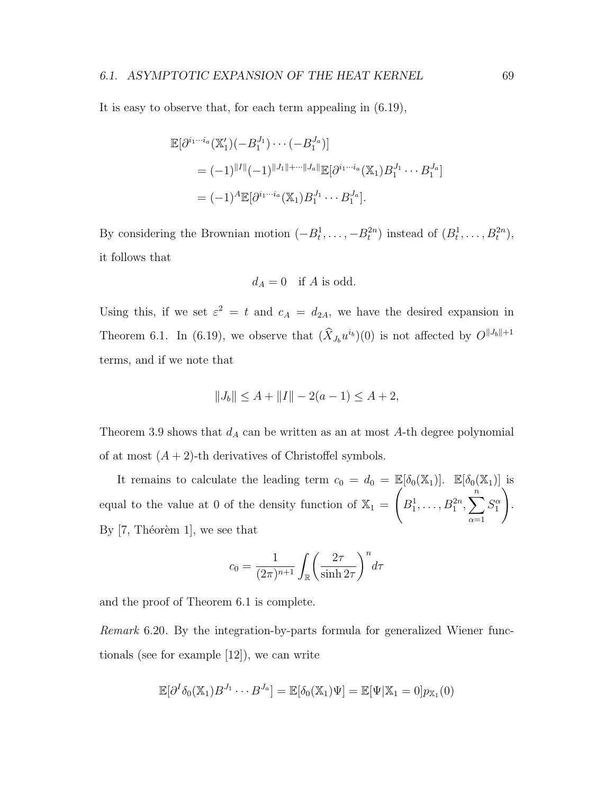#### *6.1. ASYMPTOTIC EXPANSION OF THE HEAT KERNEL* 69

It is easy to observe that, for each term appealing in (6.19),

$$
\mathbb{E}[\partial^{i_1\cdots i_a}(\mathbb{X}_1')(-B_1^{J_1})\cdots(-B_1^{J_a})]
$$
  
=  $(-1)^{\|I\|}(-1)^{\|J_1\|+\cdots\|J_a\|}\mathbb{E}[\partial^{i_1\cdots i_a}(\mathbb{X}_1)B_1^{J_1}\cdots B_1^{J_a}]$   
=  $(-1)^A \mathbb{E}[\partial^{i_1\cdots i_a}(\mathbb{X}_1)B_1^{J_1}\cdots B_1^{J_a}].$ 

By considering the Brownian motion  $(-B_t^1, \ldots, -B_t^{2n})$  instead of  $(B_t^1, \ldots, B_t^{2n})$ , it follows that

$$
d_A = 0 \quad \text{if } A \text{ is odd.}
$$

Using this, if we set  $\varepsilon^2 = t$  and  $c_A = d_{2A}$ , we have the desired expansion in Theorem 6.1. In (6.19), we observe that  $(\hat{X}_{J_b}u^{i_b})(0)$  is not affected by  $O^{\|J_b\|+1}$ terms, and if we note that

$$
||J_b|| \le A + ||I|| - 2(a-1) \le A + 2,
$$

Theorem 3.9 shows that  $d_A$  can be written as an at most  $A$ -th degree polynomial of at most  $(A + 2)$ -th derivatives of Christoffel symbols.

It remains to calculate the leading term  $c_0 = d_0 = \mathbb{E}[\delta_0(\mathbb{X}_1)]$ .  $\mathbb{E}[\delta_0(\mathbb{X}_1)]$  is equal to the value at 0 of the density function of  $\mathbb{X}_1 =$  $\sqrt{ }$  $B_1^1, \ldots, B_1^{2n}, \sum^n$ *α*=1  $S_1^{\alpha}$  $\setminus$ . By  $[7,$  Théorèm 1, we see that

$$
c_0 = \frac{1}{(2\pi)^{n+1}} \int_{\mathbb{R}} \left(\frac{2\tau}{\sinh 2\tau}\right)^n d\tau
$$

and the proof of Theorem 6.1 is complete.

*Remark* 6.20*.* By the integration-by-parts formula for generalized Wiener functionals (see for example [12]), we can write

$$
\mathbb{E}[\partial^I \delta_0(\mathbb{X}_1) B^{J_1} \cdots B^{J_a}] = \mathbb{E}[\delta_0(\mathbb{X}_1)\Psi] = \mathbb{E}[\Psi|\mathbb{X}_1 = 0] p_{\mathbb{X}_1}(0)
$$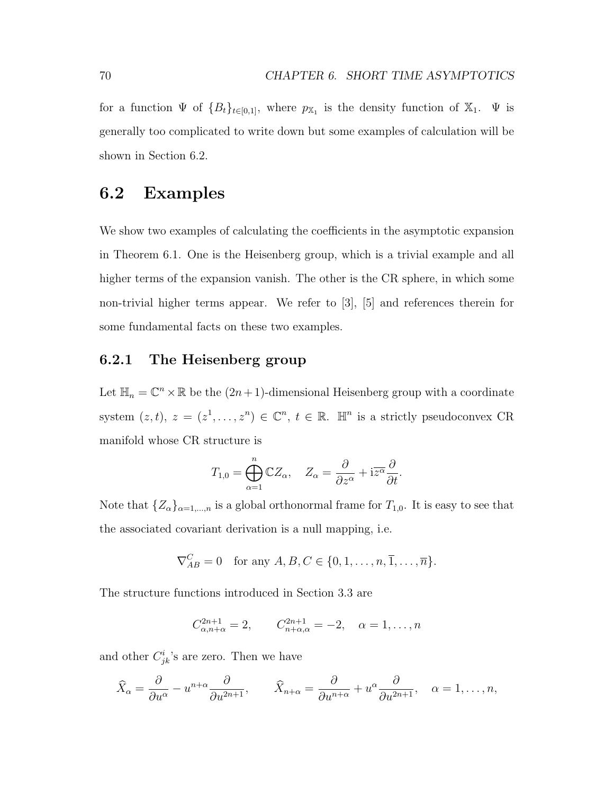for a function  $\Psi$  of  ${B_t}_{t \in [0,1]}$ , where  $p_{X_1}$  is the density function of  $X_1$ .  $\Psi$  is generally too complicated to write down but some examples of calculation will be shown in Section 6.2.

### **6.2 Examples**

We show two examples of calculating the coefficients in the asymptotic expansion in Theorem 6.1. One is the Heisenberg group, which is a trivial example and all higher terms of the expansion vanish. The other is the CR sphere, in which some non-trivial higher terms appear. We refer to [3], [5] and references therein for some fundamental facts on these two examples.

#### **6.2.1 The Heisenberg group**

Let  $\mathbb{H}_n = \mathbb{C}^n \times \mathbb{R}$  be the  $(2n+1)$ -dimensional Heisenberg group with a coordinate system  $(z, t)$ ,  $z = (z^1, \ldots, z^n) \in \mathbb{C}^n$ ,  $t \in \mathbb{R}$ .  $\mathbb{H}^n$  is a strictly pseudoconvex CR manifold whose CR structure is

$$
T_{1,0} = \bigoplus_{\alpha=1}^{n} \mathbb{C} Z_{\alpha}, \quad Z_{\alpha} = \frac{\partial}{\partial z^{\alpha}} + i \overline{z^{\alpha}} \frac{\partial}{\partial t}.
$$

Note that  ${Z_\alpha}_{\alpha=1,\dots,n}$  is a global orthonormal frame for  $T_{1,0}$ . It is easy to see that the associated covariant derivation is a null mapping, i.e.

$$
\nabla_{AB}^{C} = 0
$$
 for any  $A, B, C \in \{0, 1, ..., n, \overline{1}, ..., \overline{n}\}.$ 

The structure functions introduced in Section 3.3 are

$$
C_{\alpha,n+\alpha}^{2n+1} = 2
$$
,  $C_{n+\alpha,\alpha}^{2n+1} = -2$ ,  $\alpha = 1, ..., n$ 

and other  $C_{jk}^i$ 's are zero. Then we have

$$
\widehat{X}_{\alpha} = \frac{\partial}{\partial u^{\alpha}} - u^{n+\alpha} \frac{\partial}{\partial u^{2n+1}}, \qquad \widehat{X}_{n+\alpha} = \frac{\partial}{\partial u^{n+\alpha}} + u^{\alpha} \frac{\partial}{\partial u^{2n+1}}, \quad \alpha = 1, \dots, n,
$$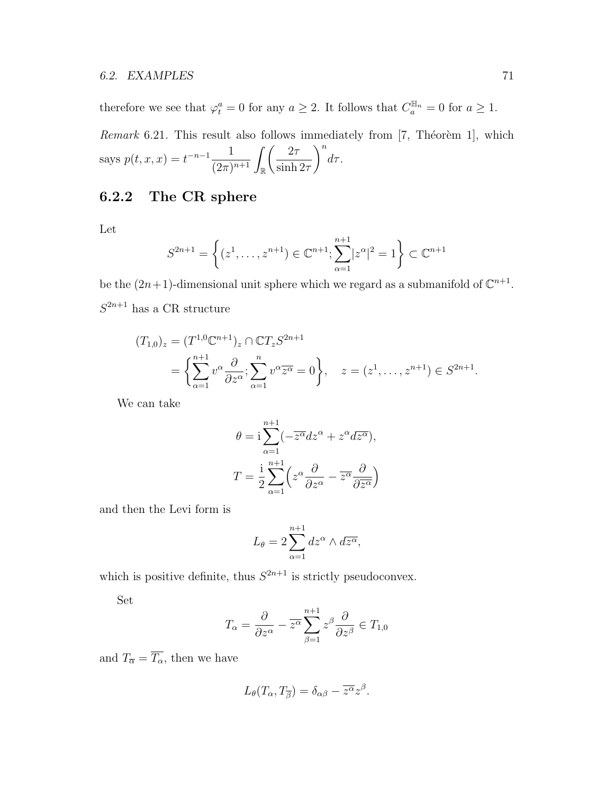therefore we see that  $\varphi_t^a = 0$  for any  $a \geq 2$ . It follows that  $C_a^{\mathbb{H}_n} = 0$  for  $a \geq 1$ .

*Remark* 6.21. This result also follows immediately from [7, Théorèm 1], which says  $p(t, x, x) = t^{-n-1} \frac{1}{(2-t)^n}$  $\frac{1}{(2\pi)^{n+1}}\int_{\mathbb{R}}$ ( 2*τ* sinh 2*τ* )*<sup>n</sup> dτ* .

## **6.2.2 The CR sphere**

Let

$$
S^{2n+1} = \left\{ (z^1, \dots, z^{n+1}) \in \mathbb{C}^{n+1}; \sum_{\alpha=1}^{n+1} |z^{\alpha}|^2 = 1 \right\} \subset \mathbb{C}^{n+1}
$$

be the  $(2n+1)$ -dimensional unit sphere which we regard as a submanifold of  $\mathbb{C}^{n+1}$ .  $S^{2n+1}$  has a CR structure

$$
(T_{1,0})_z = (T^{1,0}\mathbb{C}^{n+1})_z \cap \mathbb{C}T_z S^{2n+1}
$$
  
=  $\left\{ \sum_{\alpha=1}^{n+1} v^{\alpha} \frac{\partial}{\partial z^{\alpha}}, \sum_{\alpha=1}^n v^{\alpha} \overline{z^{\alpha}} = 0 \right\}, \quad z = (z^1, \dots, z^{n+1}) \in S^{2n+1}.$ 

We can take

$$
\theta = \mathbf{i} \sum_{\alpha=1}^{n+1} (-\overline{z^{\alpha}} dz^{\alpha} + z^{\alpha} d\overline{z^{\alpha}}),
$$

$$
T = \frac{\mathbf{i}}{2} \sum_{\alpha=1}^{n+1} \left( z^{\alpha} \frac{\partial}{\partial z^{\alpha}} - \overline{z^{\alpha}} \frac{\partial}{\partial \overline{z^{\alpha}}} \right)
$$

and then the Levi form is

$$
L_{\theta} = 2 \sum_{\alpha=1}^{n+1} dz^{\alpha} \wedge d\overline{z^{\alpha}},
$$

which is positive definite, thus  $S^{2n+1}$  is strictly pseudoconvex.

Set

$$
T_{\alpha} = \frac{\partial}{\partial z^{\alpha}} - \overline{z^{\alpha}} \sum_{\beta=1}^{n+1} z^{\beta} \frac{\partial}{\partial z^{\beta}} \in T_{1,0}
$$

and  $T_{\overline{\alpha}} = \overline{T_{\alpha}}$ , then we have

$$
L_{\theta}(T_{\alpha}, T_{\overline{\beta}}) = \delta_{\alpha\beta} - \overline{z^{\alpha}} z^{\beta}.
$$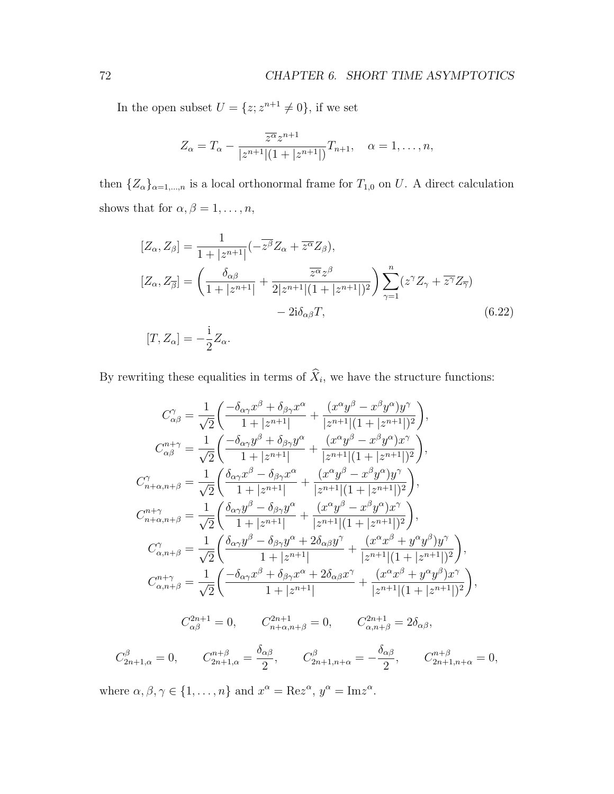In the open subset  $U = \{z; z^{n+1} \neq 0\}$ , if we set

$$
Z_{\alpha} = T_{\alpha} - \frac{\overline{z^{\alpha}} z^{n+1}}{|z^{n+1}| (1 + |z^{n+1}|)} T_{n+1}, \quad \alpha = 1, \dots, n,
$$

then  $\{Z_{\alpha}\}_{{\alpha}=1,\dots,n}$  is a local orthonormal frame for  $T_{1,0}$  on *U*. A direct calculation shows that for  $\alpha, \beta = 1, \ldots, n$ ,

$$
[Z_{\alpha}, Z_{\beta}] = \frac{1}{1 + |z^{n+1}|} (-\overline{z^{\beta}} Z_{\alpha} + \overline{z^{\alpha}} Z_{\beta}),
$$
  
\n
$$
[Z_{\alpha}, Z_{\overline{\beta}}] = \left(\frac{\delta_{\alpha\beta}}{1 + |z^{n+1}|} + \frac{\overline{z^{\alpha}} z^{\beta}}{2|z^{n+1}|(1 + |z^{n+1}|)^2}\right) \sum_{\gamma=1}^{n} (z^{\gamma} Z_{\gamma} + \overline{z^{\gamma}} Z_{\overline{\gamma}})
$$
  
\n
$$
-2i\delta_{\alpha\beta} T,
$$
  
\n
$$
[T, Z_{\alpha}] = -\frac{i}{2} Z_{\alpha}.
$$
\n(6.22)

By rewriting these equalities in terms of  $X_i$ , we have the structure functions:

$$
C_{\alpha\beta}^{\gamma} = \frac{1}{\sqrt{2}} \bigg( \frac{-\delta_{\alpha\gamma}x^{\beta} + \delta_{\beta\gamma}x^{\alpha}}{1 + |z^{n+1}|} + \frac{(x^{\alpha}y^{\beta} - x^{\beta}y^{\alpha})y^{\gamma}}{|z^{n+1}|(1 + |z^{n+1}|)^{2}} \bigg),
$$
  
\n
$$
C_{\alpha\beta}^{n+\gamma} = \frac{1}{\sqrt{2}} \bigg( \frac{-\delta_{\alpha\gamma}y^{\beta} + \delta_{\beta\gamma}y^{\alpha}}{1 + |z^{n+1}|} + \frac{(x^{\alpha}y^{\beta} - x^{\beta}y^{\alpha})x^{\gamma}}{|z^{n+1}|(1 + |z^{n+1}|)^{2}} \bigg),
$$
  
\n
$$
C_{n+\alpha,n+\beta}^{\gamma} = \frac{1}{\sqrt{2}} \bigg( \frac{\delta_{\alpha\gamma}x^{\beta} - \delta_{\beta\gamma}x^{\alpha}}{1 + |z^{n+1}|} + \frac{(x^{\alpha}y^{\beta} - x^{\beta}y^{\alpha})y^{\gamma}}{|z^{n+1}|(1 + |z^{n+1}|)^{2}} \bigg),
$$
  
\n
$$
C_{n+\alpha,n+\beta}^{n+\gamma} = \frac{1}{\sqrt{2}} \bigg( \frac{\delta_{\alpha\gamma}y^{\beta} - \delta_{\beta\gamma}y^{\alpha}}{1 + |z^{n+1}|} + \frac{(x^{\alpha}y^{\beta} - x^{\beta}y^{\alpha})x^{\gamma}}{|z^{n+1}|(1 + |z^{n+1}|)^{2}} \bigg),
$$
  
\n
$$
C_{\alpha,n+\beta}^{\gamma} = \frac{1}{\sqrt{2}} \bigg( \frac{\delta_{\alpha\gamma}y^{\beta} - \delta_{\beta\gamma}y^{\alpha} + 2\delta_{\alpha\beta}y^{\gamma}}{1 + |z^{n+1}|} + \frac{(x^{\alpha}x^{\beta} + y^{\alpha}y^{\beta})y^{\gamma}}{|z^{n+1}|(1 + |z^{n+1}|)^{2}} \bigg),
$$
  
\n
$$
C_{\alpha,n+\beta}^{n+\gamma} = \frac{1}{\sqrt{2}} \bigg( \frac{-\delta_{\alpha\gamma}x^{\beta} + \delta_{\beta\gamma}x^{\alpha} + 2\delta_{\alpha\beta}
$$

where  $\alpha, \beta, \gamma \in \{1, \ldots, n\}$  and  $x^{\alpha} = \text{Re}z^{\alpha}, y^{\alpha} = \text{Im}z^{\alpha}$ .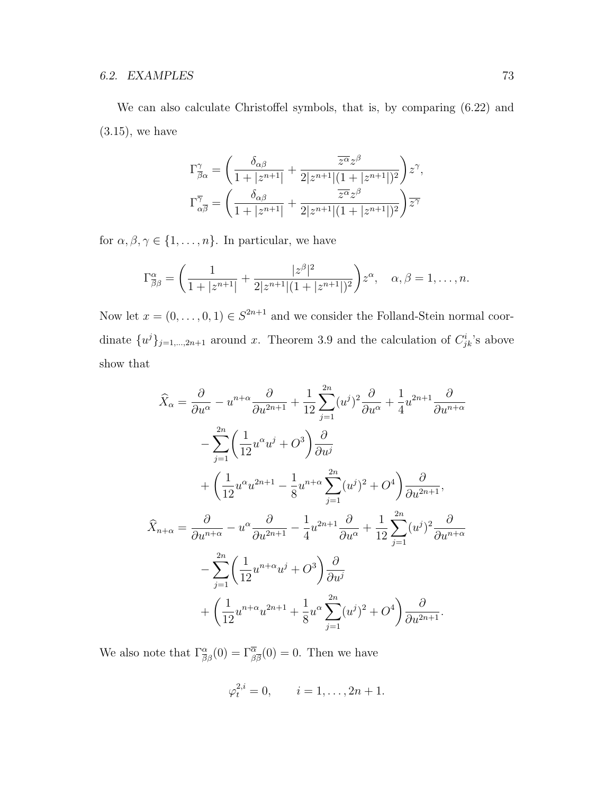We can also calculate Christoffel symbols, that is, by comparing (6.22) and  $(3.15)$ , we have

$$
\Gamma^\gamma_{\overline{\beta}\alpha} = \left(\frac{\delta_{\alpha\beta}}{1+|z^{n+1}|} + \frac{\overline{z^\alpha}z^\beta}{2|z^{n+1}|(1+|z^{n+1}|)^2}\right)z^\gamma,
$$
  

$$
\Gamma^\overline{\gamma}_{\alpha\overline{\beta}} = \left(\frac{\delta_{\alpha\beta}}{1+|z^{n+1}|} + \frac{\overline{z^\alpha}z^\beta}{2|z^{n+1}|(1+|z^{n+1}|)^2}\right)\overline{z^\gamma}
$$

for  $\alpha, \beta, \gamma \in \{1, \ldots, n\}$ . In particular, we have

$$
\Gamma^{\alpha}_{\overline{\beta}\beta} = \left(\frac{1}{1+|z^{n+1}|} + \frac{|z^{\beta}|^2}{2|z^{n+1}|(1+|z^{n+1}|)^2}\right)z^{\alpha}, \quad \alpha, \beta = 1, \dots, n.
$$

Now let  $x = (0, \ldots, 0, 1) \in S^{2n+1}$  and we consider the Folland-Stein normal coordinate  $\{u^j\}_{j=1,\dots,2n+1}$  around *x*. Theorem 3.9 and the calculation of  $C^i_{jk}$ 's above show that

$$
\widehat{X}_{\alpha} = \frac{\partial}{\partial u^{\alpha}} - u^{n+\alpha} \frac{\partial}{\partial u^{2n+1}} + \frac{1}{12} \sum_{j=1}^{2n} (u^{j})^{2} \frac{\partial}{\partial u^{\alpha}} + \frac{1}{4} u^{2n+1} \frac{\partial}{\partial u^{n+\alpha}}
$$

$$
- \sum_{j=1}^{2n} \left( \frac{1}{12} u^{\alpha} u^{j} + O^{3} \right) \frac{\partial}{\partial u^{j}}
$$

$$
+ \left( \frac{1}{12} u^{\alpha} u^{2n+1} - \frac{1}{8} u^{n+\alpha} \sum_{j=1}^{2n} (u^{j})^{2} + O^{4} \right) \frac{\partial}{\partial u^{2n+1}},
$$

$$
\widehat{X}_{n+\alpha} = \frac{\partial}{\partial u^{n+\alpha}} - u^{\alpha} \frac{\partial}{\partial u^{2n+1}} - \frac{1}{4} u^{2n+1} \frac{\partial}{\partial u^{\alpha}} + \frac{1}{12} \sum_{j=1}^{2n} (u^{j})^{2} \frac{\partial}{\partial u^{n+\alpha}}
$$

$$
- \sum_{j=1}^{2n} \left( \frac{1}{12} u^{n+\alpha} u^{j} + O^{3} \right) \frac{\partial}{\partial u^{j}}
$$

$$
+ \left( \frac{1}{12} u^{n+\alpha} u^{2n+1} + \frac{1}{8} u^{\alpha} \sum_{j=1}^{2n} (u^{j})^{2} + O^{4} \right) \frac{\partial}{\partial u^{2n+1}}.
$$

We also note that  $\Gamma^{\alpha}_{\beta\beta}(0) = \Gamma^{\overline{\alpha}}_{\beta\overline{\beta}}(0) = 0$ . Then we have

$$
\varphi_t^{2,i} = 0, \qquad i = 1, \ldots, 2n + 1.
$$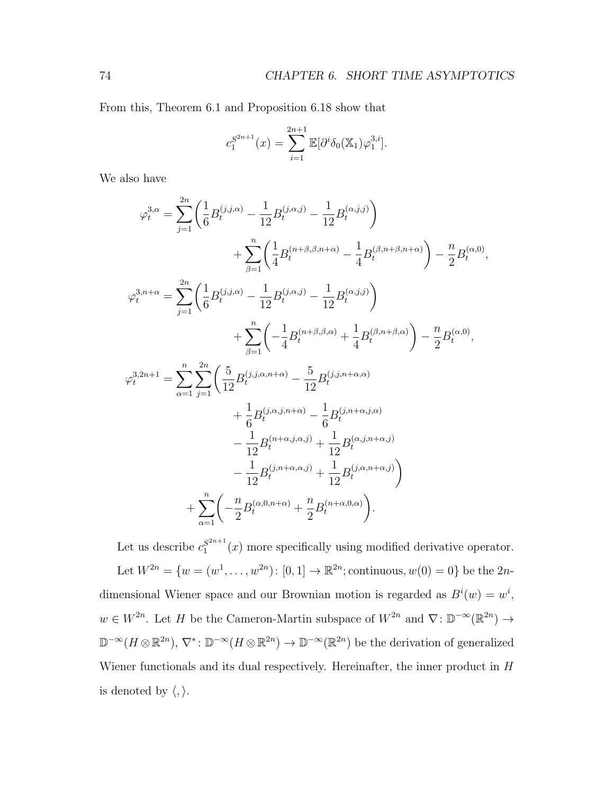*,*

From this, Theorem 6.1 and Proposition 6.18 show that

$$
c_1^{S^{2n+1}}(x) = \sum_{i=1}^{2n+1} \mathbb{E}[\partial^i \delta_0(\mathbb{X}_1) \varphi_1^{3,i}].
$$

We also have

$$
\varphi_t^{3,\alpha} = \sum_{j=1}^{2n} \left( \frac{1}{6} B_t^{(j,j,\alpha)} - \frac{1}{12} B_t^{(j,\alpha,j)} - \frac{1}{12} B_t^{(\alpha,j,j)} \right)
$$
  
+ 
$$
\sum_{\beta=1}^n \left( \frac{1}{4} B_t^{(n+\beta,\beta,n+\alpha)} - \frac{1}{4} B_t^{(\beta,n+\beta,n+\alpha)} \right) - \frac{n}{2} B_t^{(\alpha,0)}
$$
  

$$
\varphi_t^{3,n+\alpha} = \sum_{j=1}^{2n} \left( \frac{1}{6} B_t^{(j,j,\alpha)} - \frac{1}{12} B_t^{(j,\alpha,j)} - \frac{1}{12} B_t^{(\alpha,j,j)} \right)
$$
  
+ 
$$
\sum_{\beta=1}^n \left( -\frac{1}{4} B_t^{(n+\beta,\beta,\alpha)} + \frac{1}{4} B_t^{(\beta,n+\beta,\alpha)} \right) - \frac{n}{2} B_t^{(\alpha,0)},
$$
  

$$
\varphi_t^{3,2n+1} = \sum_{\alpha=1}^n \sum_{j=1}^{2n} \left( \frac{5}{12} B_t^{(j,j,\alpha,n+\alpha)} - \frac{5}{12} B_t^{(j,j,n+\alpha,\alpha)}
$$
  
+ 
$$
\frac{1}{6} B_t^{(j,\alpha,j,n+\alpha)} - \frac{1}{6} B_t^{(j,n+\alpha,j,\alpha)}
$$
  
- 
$$
\frac{1}{12} B_t^{(n+\alpha,j,\alpha,j)} + \frac{1}{12} B_t^{(j,\alpha,n+\alpha,j)}
$$
  
- 
$$
\frac{1}{12} B_t^{(j,n+\alpha,\alpha,j)} + \frac{1}{12} B_t^{(j,\alpha,n+\alpha,j)}
$$
  
+ 
$$
\sum_{\alpha=1}^n \left( -\frac{n}{2} B_t^{(\alpha,0,n+\alpha)} + \frac{n}{2} B_t^{(n+\alpha,0,\alpha)} \right).
$$

Let us describe  $c_1^{S^{2n+1}}$  $S^{2n+1}(x)$  more specifically using modified derivative operator. Let  $W^{2n} = \{w = (w^1, \ldots, w^{2n}) : [0, 1] \to \mathbb{R}^{2n}$ ; continuous,  $w(0) = 0\}$  be the 2*n*dimensional Wiener space and our Brownian motion is regarded as  $B^i(w) = w^i$ ,  $w \in W^{2n}$ . Let *H* be the Cameron-Martin subspace of  $W^{2n}$  and  $\nabla: \mathbb{D}^{-\infty}(\mathbb{R}^{2n}) \to$  $\mathbb{D}^{-\infty}(H \otimes \mathbb{R}^{2n}), \nabla^* : \mathbb{D}^{-\infty}(H \otimes \mathbb{R}^{2n}) \to \mathbb{D}^{-\infty}(\mathbb{R}^{2n})$  be the derivation of generalized Wiener functionals and its dual respectively. Hereinafter, the inner product in *H* is denoted by  $\langle , \rangle$ .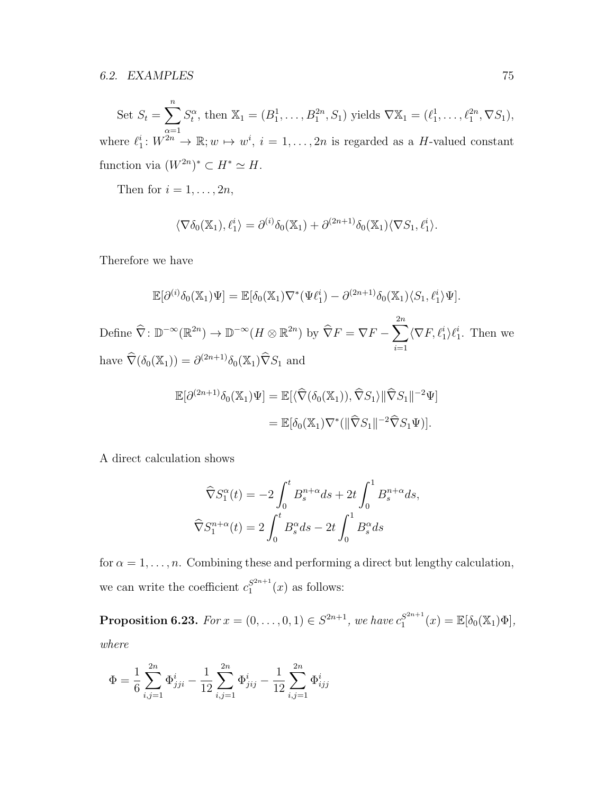Set 
$$
S_t = \sum_{\alpha=1}^n S_t^{\alpha}
$$
, then  $\mathbb{X}_1 = (B_1^1, \dots, B_1^{2n}, S_1)$  yields  $\nabla \mathbb{X}_1 = (\ell_1^1, \dots, \ell_1^{2n}, \nabla S_1)$ ,

where  $\ell_1^i: W^{2n} \to \mathbb{R}; w \mapsto w^i, i = 1, \ldots, 2n$  is regarded as a *H*-valued constant function via  $(W^{2n})^* \subset H^* \simeq H$ .

Then for  $i = 1, \ldots, 2n$ ,

$$
\langle \nabla \delta_0(\mathbb{X}_1), \ell_1^i \rangle = \partial^{(i)} \delta_0(\mathbb{X}_1) + \partial^{(2n+1)} \delta_0(\mathbb{X}_1) \langle \nabla S_1, \ell_1^i \rangle.
$$

Therefore we have

$$
\mathbb{E}[\partial^{(i)}\delta_0(\mathbb{X}_1)\Psi] = \mathbb{E}[\delta_0(\mathbb{X}_1)\nabla^*(\Psi\ell_1^i) - \partial^{(2n+1)}\delta_0(\mathbb{X}_1)\langle S_1, \ell_1^i \rangle \Psi].
$$
  
Define  $\widehat{\nabla}: \mathbb{D}^{-\infty}(\mathbb{R}^{2n}) \to \mathbb{D}^{-\infty}(H \otimes \mathbb{R}^{2n})$  by  $\widehat{\nabla}F = \nabla F - \sum_{i=1}^{2n} \langle \nabla F, \ell_1^i \rangle \ell_1^i$ . Then we have  $\widehat{\nabla}(\delta_0(\mathbb{X}_1)) = \partial^{(2n+1)}\delta_0(\mathbb{X}_1)\widehat{\nabla}S_1$  and

$$
\mathbb{E}[\partial^{(2n+1)}\delta_0(\mathbb{X}_1)\Psi] = \mathbb{E}[\langle \widehat{\nabla}(\delta_0(\mathbb{X}_1)), \widehat{\nabla}S_1 \rangle || \widehat{\nabla}S_1 ||^{-2}\Psi]
$$
  
= 
$$
\mathbb{E}[\delta_0(\mathbb{X}_1)\nabla^* (||\widehat{\nabla}S_1||^{-2}\widehat{\nabla}S_1\Psi)].
$$

A direct calculation shows

$$
\widehat{\nabla}S_1^{\alpha}(t) = -2 \int_0^t B_s^{n+\alpha} ds + 2t \int_0^1 B_s^{n+\alpha} ds,
$$
  

$$
\widehat{\nabla}S_1^{n+\alpha}(t) = 2 \int_0^t B_s^{\alpha} ds - 2t \int_0^1 B_s^{\alpha} ds
$$

for  $\alpha = 1, \ldots, n$ . Combining these and performing a direct but lengthy calculation, we can write the coefficient  $c_1^{S^{2n+1}}$  $\int_1^{S^{2n+1}}(x)$  as follows:

**Proposition 6.23.** *For*  $x = (0, \ldots, 0, 1) \in S^{2n+1}$ *, we have*  $c_1^{S^{2n+1}}$  $J_1^{S^{2n+1}}(x) = \mathbb{E}[\delta_0(\mathbb{X}_1)\Phi],$ *where*

$$
\Phi = \frac{1}{6} \sum_{i,j=1}^{2n} \Phi_{jji}^{i} - \frac{1}{12} \sum_{i,j=1}^{2n} \Phi_{jij}^{i} - \frac{1}{12} \sum_{i,j=1}^{2n} \Phi_{ijj}^{i}
$$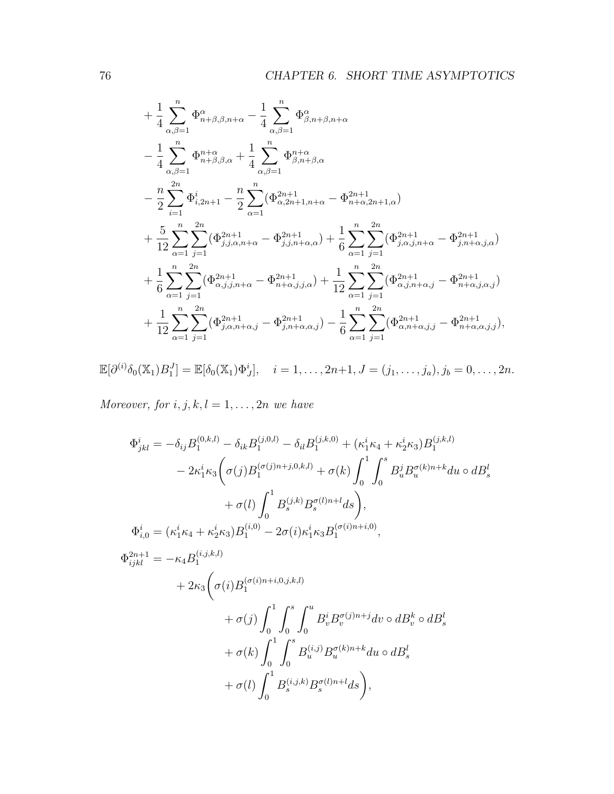$$
+\frac{1}{4}\sum_{\alpha,\beta=1}^{n}\Phi_{n+\beta,\beta,n+\alpha}^{\alpha}-\frac{1}{4}\sum_{\alpha,\beta=1}^{n}\Phi_{\beta,n+\beta,n+\alpha}^{\alpha}\\-\frac{1}{4}\sum_{\alpha,\beta=1}^{n}\Phi_{n+\beta,\beta,\alpha}^{n+\alpha}+\frac{1}{4}\sum_{\alpha,\beta=1}^{n}\Phi_{\beta,n+\beta,\alpha}^{n+\alpha}\\-\frac{n}{2}\sum_{i=1}^{2n}\Phi_{i,2n+1}^{i}-\frac{n}{2}\sum_{\alpha=1}^{n}(\Phi_{\alpha,2n+1,n+\alpha}^{2n+1}-\Phi_{n+\alpha,2n+1,\alpha}^{2n+1})\\+\frac{5}{12}\sum_{\alpha=1}^{n}\sum_{j=1}^{2n}(\Phi_{j,j,\alpha,n+\alpha}^{2n+1}-\Phi_{j,j,n+\alpha,\alpha}^{2n+1})+\frac{1}{6}\sum_{\alpha=1}^{n}\sum_{j=1}^{2n}(\Phi_{j,\alpha,j,n+\alpha}^{2n+1}-\Phi_{j,n+\alpha,j,\alpha}^{2n+1})\\+\frac{1}{6}\sum_{\alpha=1}^{n}\sum_{j=1}^{2n}(\Phi_{\alpha,j,j,n+\alpha}^{2n+1}-\Phi_{n+\alpha,j,j,\alpha}^{2n+1})+\frac{1}{12}\sum_{\alpha=1}^{n}\sum_{j=1}^{2n}(\Phi_{\alpha,j,n+\alpha,j}^{2n+1}-\Phi_{n+\alpha,j,\alpha,j}^{2n+1})\\+\frac{1}{12}\sum_{\alpha=1}^{n}\sum_{j=1}^{2n}(\Phi_{j,\alpha,n+\alpha,j}^{2n+1}-\Phi_{j,n+\alpha,\alpha,j}^{2n+1})-\frac{1}{6}\sum_{\alpha=1}^{n}\sum_{j=1}^{2n}(\Phi_{\alpha,n+\alpha,j,j}^{2n+1}-\Phi_{n+\alpha,\alpha,j,j}^{2n+1}),
$$

 $\mathbb{E}[\partial^{(i)}\delta_0(\mathbb{X}_1)B_1^J] = \mathbb{E}[\delta_0(\mathbb{X}_1)\Phi_J^i], \quad i = 1, \ldots, 2n+1, J = (j_1, \ldots, j_a), j_b = 0, \ldots, 2n.$ 

*Moreover, for*  $i, j, k, l = 1, \ldots, 2n$  *we have* 

$$
\Phi_{jkl}^{i} = -\delta_{ij}B_{1}^{(0,k,l)} - \delta_{ik}B_{1}^{(j,0,l)} - \delta_{il}B_{1}^{(j,k,0)} + (\kappa_{1}^{i}\kappa_{4} + \kappa_{2}^{i}\kappa_{3})B_{1}^{(j,k,l)} \n- 2\kappa_{1}^{i}\kappa_{3}\left(\sigma(j)B_{1}^{(\sigma(j)n+j,0,k,l)} + \sigma(k)\int_{0}^{1}\int_{0}^{s}B_{u}^{j}B_{u}^{\sigma(k)n+k}du \circ dB_{s}^{l} \n+ \sigma(l)\int_{0}^{1}B_{s}^{(j,k)}B_{s}^{\sigma(l)n+l}ds\right), \n\Phi_{i,0}^{i} = (\kappa_{1}^{i}\kappa_{4} + \kappa_{2}^{i}\kappa_{3})B_{1}^{(i,0)} - 2\sigma(i)\kappa_{1}^{i}\kappa_{3}B_{1}^{(\sigma(i)n+i,0)}, \n+ 2\kappa_{3}\left(\sigma(i)B_{1}^{(\sigma(i)n+i,0,j,k,l)} + 2\kappa_{3}\left(\sigma(i)B_{1}^{(\sigma(i)n+i,0,j,k,l)}\right) \right) \n+ \sigma(j)\int_{0}^{1}\int_{0}^{s}\int_{0}^{u}B_{v}^{i}B_{v}^{\sigma(j)n+j}dv \circ dB_{v}^{k} \circ dB_{s}^{l} \n+ \sigma(k)\int_{0}^{1}\int_{0}^{s}B_{u}^{(i,j)}B_{u}^{\sigma(k)n+k}du \circ dB_{s}^{l} \n+ \sigma(l)\int_{0}^{1}B_{s}^{(i,j,k)}B_{s}^{\sigma(l)n+l}ds\right),
$$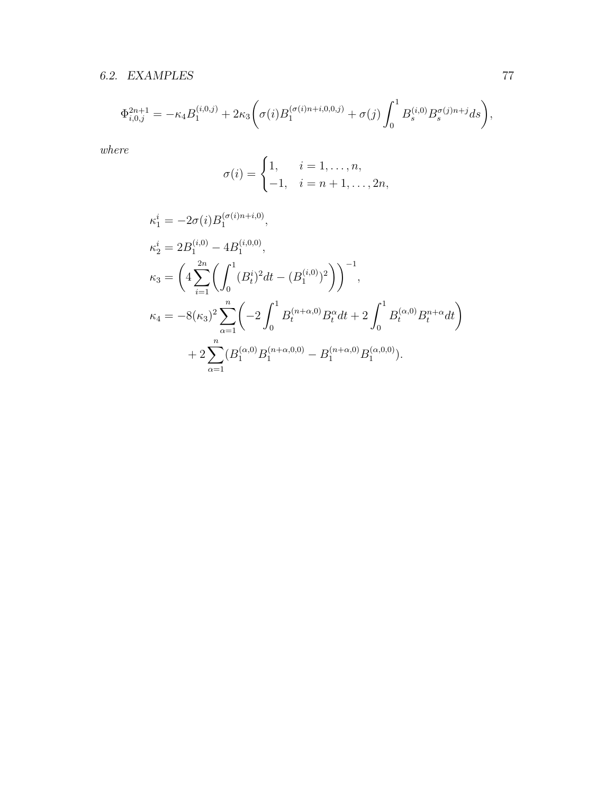## *6.2. EXAMPLES* 77

$$
\Phi_{i,0,j}^{2n+1} = -\kappa_4 B_1^{(i,0,j)} + 2\kappa_3 \bigg(\sigma(i) B_1^{(\sigma(i)n+i,0,0,j)} + \sigma(j) \int_0^1 B_s^{(i,0)} B_s^{\sigma(j)n+j} ds\bigg),
$$

*where*

$$
\sigma(i) = \begin{cases} 1, & i = 1, ..., n, \\ -1, & i = n + 1, ..., 2n, \end{cases}
$$

$$
\kappa_1^i = -2\sigma(i)B_1^{(\sigma(i)n+i,0)},
$$
\n
$$
\kappa_2^i = 2B_1^{(i,0)} - 4B_1^{(i,0,0)},
$$
\n
$$
\kappa_3 = \left(4\sum_{i=1}^{2n} \left(\int_0^1 (B_t^i)^2 dt - (B_1^{(i,0)})^2\right)\right)^{-1},
$$
\n
$$
\kappa_4 = -8(\kappa_3)^2 \sum_{\alpha=1}^n \left(-2\int_0^1 B_t^{(n+\alpha,0)} B_t^{\alpha} dt + 2\int_0^1 B_t^{(\alpha,0)} B_t^{n+\alpha} dt\right)
$$
\n
$$
+ 2\sum_{\alpha=1}^n (B_1^{(\alpha,0)} B_1^{(n+\alpha,0,0)} - B_1^{(n+\alpha,0)} B_1^{(\alpha,0,0)}).
$$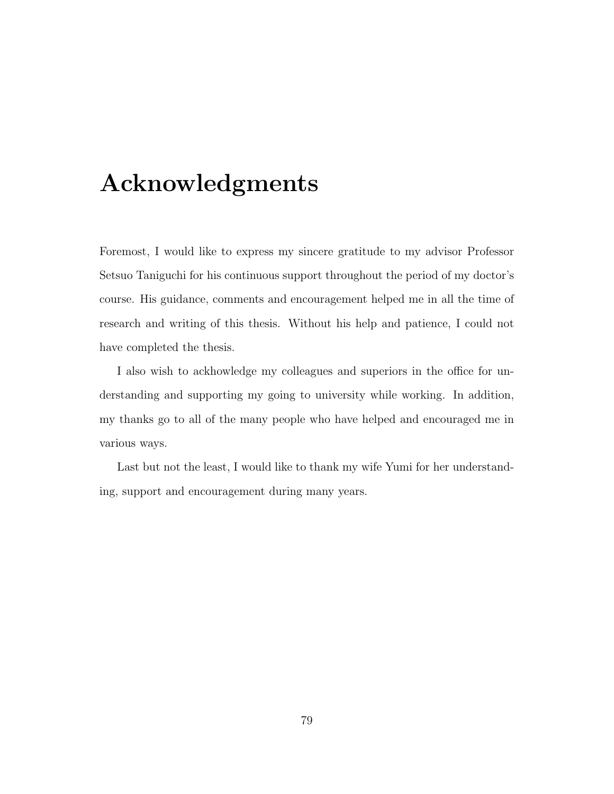## **Acknowledgments**

Foremost, I would like to express my sincere gratitude to my advisor Professor Setsuo Taniguchi for his continuous support throughout the period of my doctor's course. His guidance, comments and encouragement helped me in all the time of research and writing of this thesis. Without his help and patience, I could not have completed the thesis.

I also wish to ackhowledge my colleagues and superiors in the office for understanding and supporting my going to university while working. In addition, my thanks go to all of the many people who have helped and encouraged me in various ways.

Last but not the least, I would like to thank my wife Yumi for her understanding, support and encouragement during many years.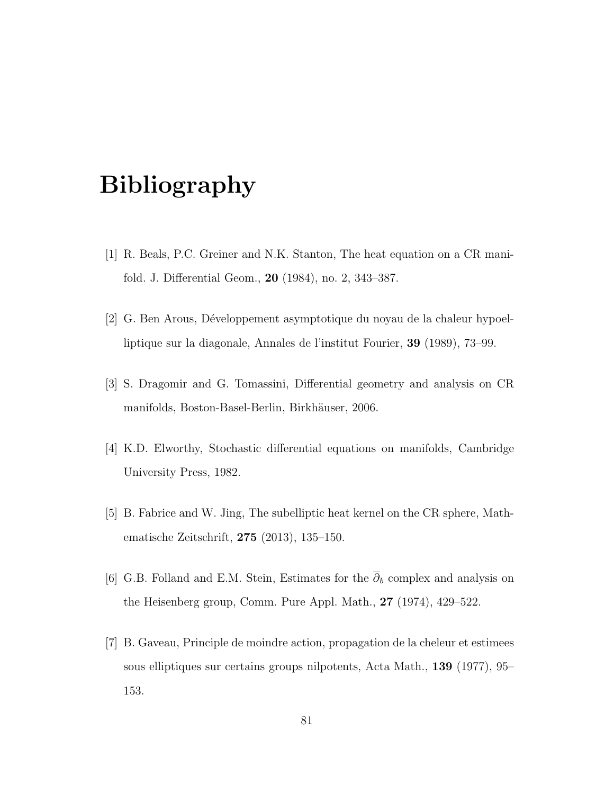## **Bibliography**

- [1] R. Beals, P.C. Greiner and N.K. Stanton, The heat equation on a CR manifold. J. Differential Geom., **20** (1984), no. 2, 343–387.
- [2] G. Ben Arous, D´eveloppement asymptotique du noyau de la chaleur hypoelliptique sur la diagonale, Annales de l'institut Fourier, **39** (1989), 73–99.
- [3] S. Dragomir and G. Tomassini, Differential geometry and analysis on CR manifolds, Boston-Basel-Berlin, Birkhäuser, 2006.
- [4] K.D. Elworthy, Stochastic differential equations on manifolds, Cambridge University Press, 1982.
- [5] B. Fabrice and W. Jing, The subelliptic heat kernel on the CR sphere, Mathematische Zeitschrift, **275** (2013), 135–150.
- [6] G.B. Folland and E.M. Stein, Estimates for the *∂<sup>b</sup>* complex and analysis on the Heisenberg group, Comm. Pure Appl. Math., **27** (1974), 429–522.
- [7] B. Gaveau, Principle de moindre action, propagation de la cheleur et estimees sous elliptiques sur certains groups nilpotents, Acta Math., **139** (1977), 95– 153.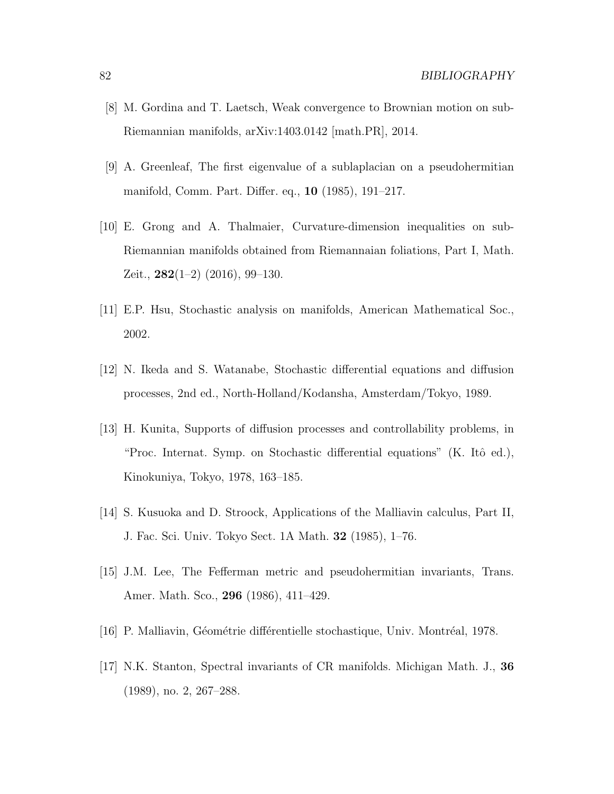- [8] M. Gordina and T. Laetsch, Weak convergence to Brownian motion on sub-Riemannian manifolds, arXiv:1403.0142 [math.PR], 2014.
- [9] A. Greenleaf, The first eigenvalue of a sublaplacian on a pseudohermitian manifold, Comm. Part. Differ. eq., **10** (1985), 191–217.
- [10] E. Grong and A. Thalmaier, Curvature-dimension inequalities on sub-Riemannian manifolds obtained from Riemannaian foliations, Part I, Math. Zeit., **282**(1–2) (2016), 99–130.
- [11] E.P. Hsu, Stochastic analysis on manifolds, American Mathematical Soc., 2002.
- [12] N. Ikeda and S. Watanabe, Stochastic differential equations and diffusion processes, 2nd ed., North-Holland/Kodansha, Amsterdam/Tokyo, 1989.
- [13] H. Kunita, Supports of diffusion processes and controllability problems, in "Proc. Internat. Symp. on Stochastic differential equations" (K. Itô ed.), Kinokuniya, Tokyo, 1978, 163–185.
- [14] S. Kusuoka and D. Stroock, Applications of the Malliavin calculus, Part II, J. Fac. Sci. Univ. Tokyo Sect. 1A Math. **32** (1985), 1–76.
- [15] J.M. Lee, The Fefferman metric and pseudohermitian invariants, Trans. Amer. Math. Sco., **296** (1986), 411–429.
- [16] P. Malliavin, G´eom´etrie diff´erentielle stochastique, Univ. Montr´eal, 1978.
- [17] N.K. Stanton, Spectral invariants of CR manifolds. Michigan Math. J., **36** (1989), no. 2, 267–288.